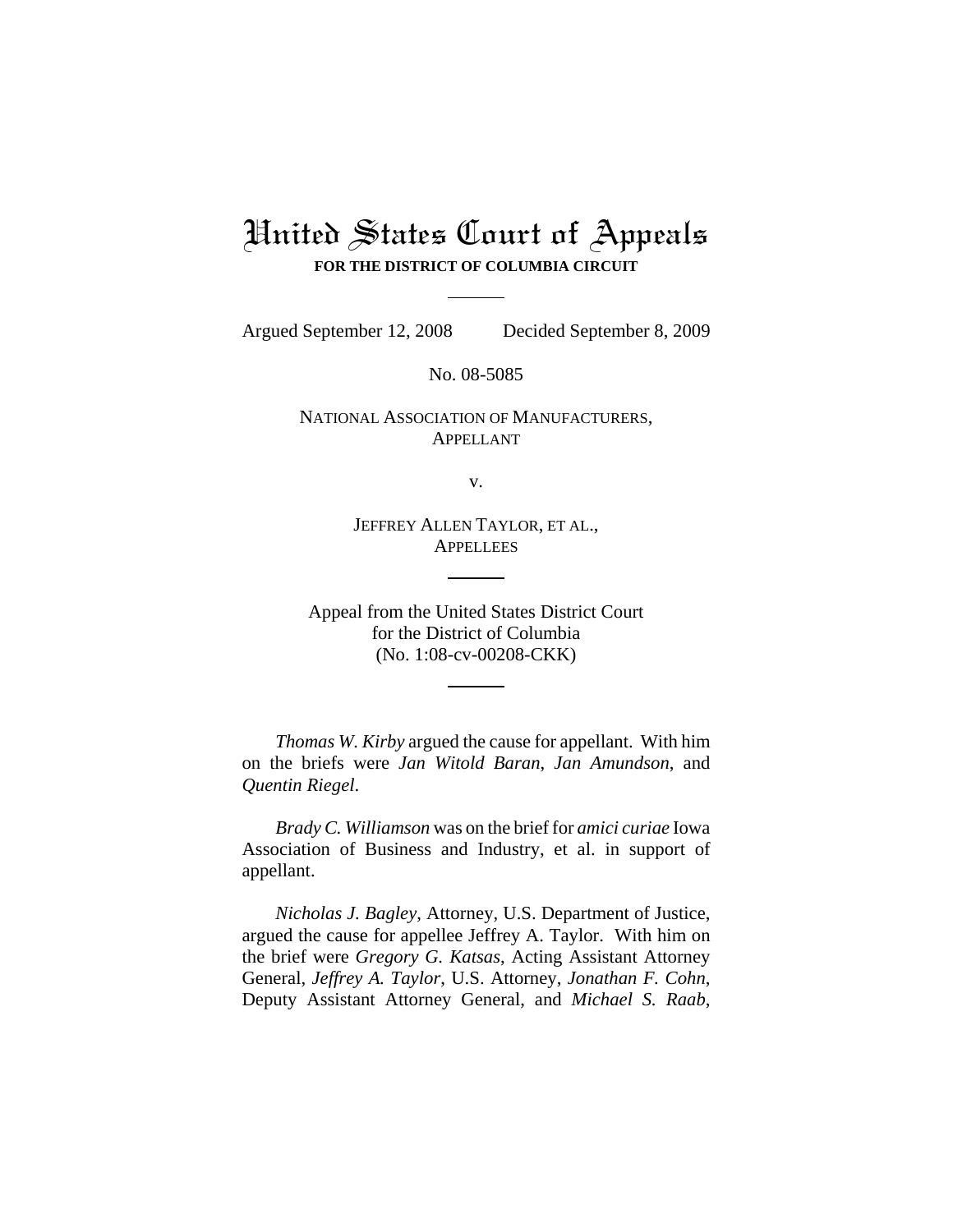# United States Court of Appeals **FOR THE DISTRICT OF COLUMBIA CIRCUIT**

Argued September 12, 2008 Decided September 8, 2009

No. 08-5085

NATIONAL ASSOCIATION OF MANUFACTURERS, APPELLANT

v.

JEFFREY ALLEN TAYLOR, ET AL., **APPELLEES** 

Appeal from the United States District Court for the District of Columbia (No. 1:08-cv-00208-CKK)

*Thomas W. Kirby* argued the cause for appellant. With him on the briefs were *Jan Witold Baran*, *Jan Amundson*, and *Quentin Riegel*.

*Brady C. Williamson* was on the brief for *amici curiae* Iowa Association of Business and Industry, et al. in support of appellant.

*Nicholas J. Bagley*, Attorney, U.S. Department of Justice, argued the cause for appellee Jeffrey A. Taylor. With him on the brief were *Gregory G. Katsas*, Acting Assistant Attorney General, *Jeffrey A. Taylor*, U.S. Attorney, *Jonathan F. Cohn*, Deputy Assistant Attorney General, and *Michael S. Raab*,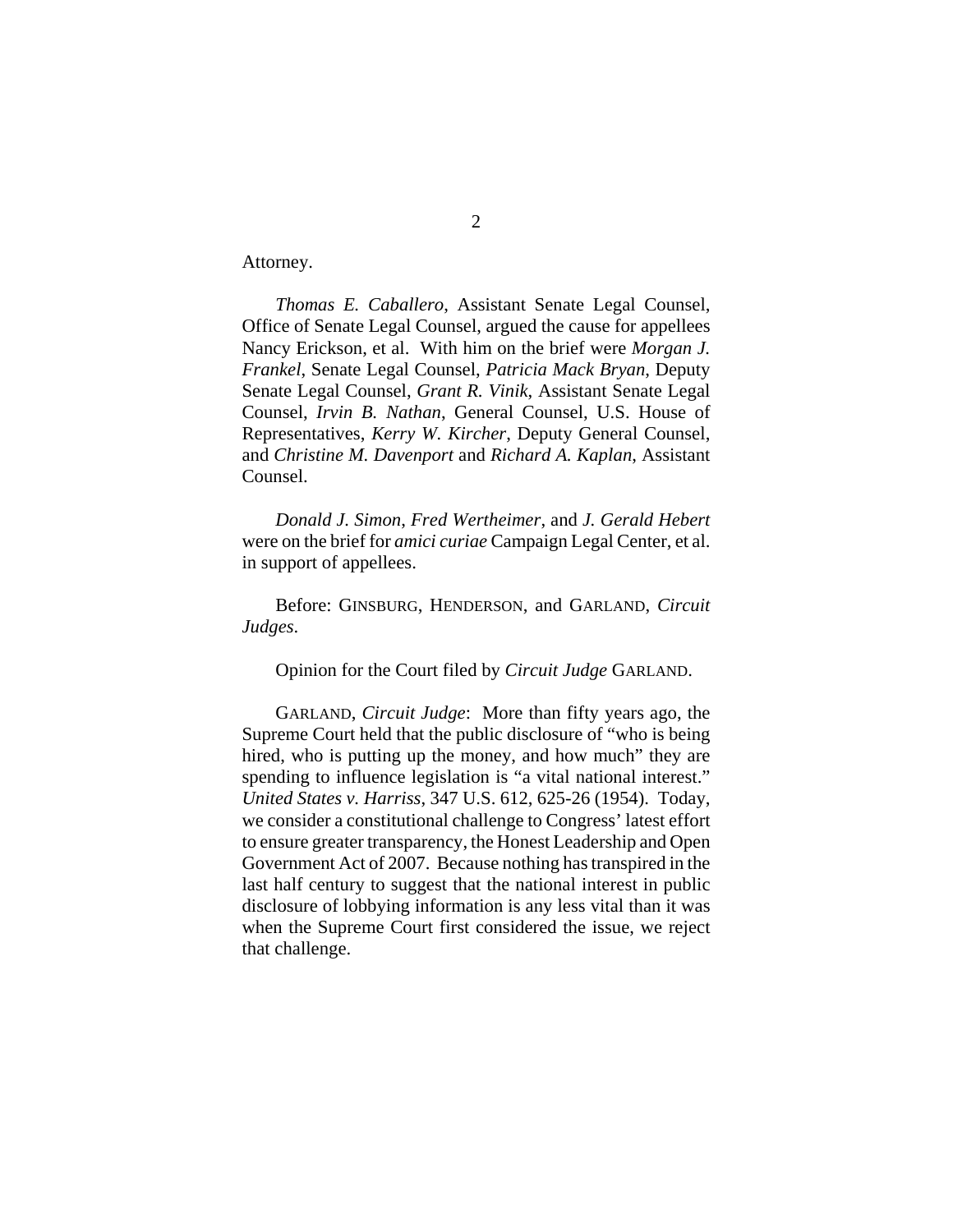Attorney.

*Thomas E. Caballero*, Assistant Senate Legal Counsel, Office of Senate Legal Counsel, argued the cause for appellees Nancy Erickson, et al. With him on the brief were *Morgan J. Frankel*, Senate Legal Counsel, *Patricia Mack Bryan*, Deputy Senate Legal Counsel, *Grant R. Vinik*, Assistant Senate Legal Counsel, *Irvin B. Nathan*, General Counsel, U.S. House of Representatives, *Kerry W. Kircher*, Deputy General Counsel, and *Christine M. Davenport* and *Richard A. Kaplan*, Assistant Counsel.

*Donald J. Simon*, *Fred Wertheimer*, and *J. Gerald Hebert* were on the brief for *amici curiae* Campaign Legal Center, et al. in support of appellees.

Before: GINSBURG, HENDERSON, and GARLAND, *Circuit Judges*.

Opinion for the Court filed by *Circuit Judge* GARLAND.

GARLAND, *Circuit Judge*: More than fifty years ago, the Supreme Court held that the public disclosure of "who is being hired, who is putting up the money, and how much" they are spending to influence legislation is "a vital national interest." *United States v. Harriss*, 347 U.S. 612, 625-26 (1954). Today, we consider a constitutional challenge to Congress' latest effort to ensure greater transparency, the Honest Leadership and Open Government Act of 2007. Because nothing has transpired in the last half century to suggest that the national interest in public disclosure of lobbying information is any less vital than it was when the Supreme Court first considered the issue, we reject that challenge.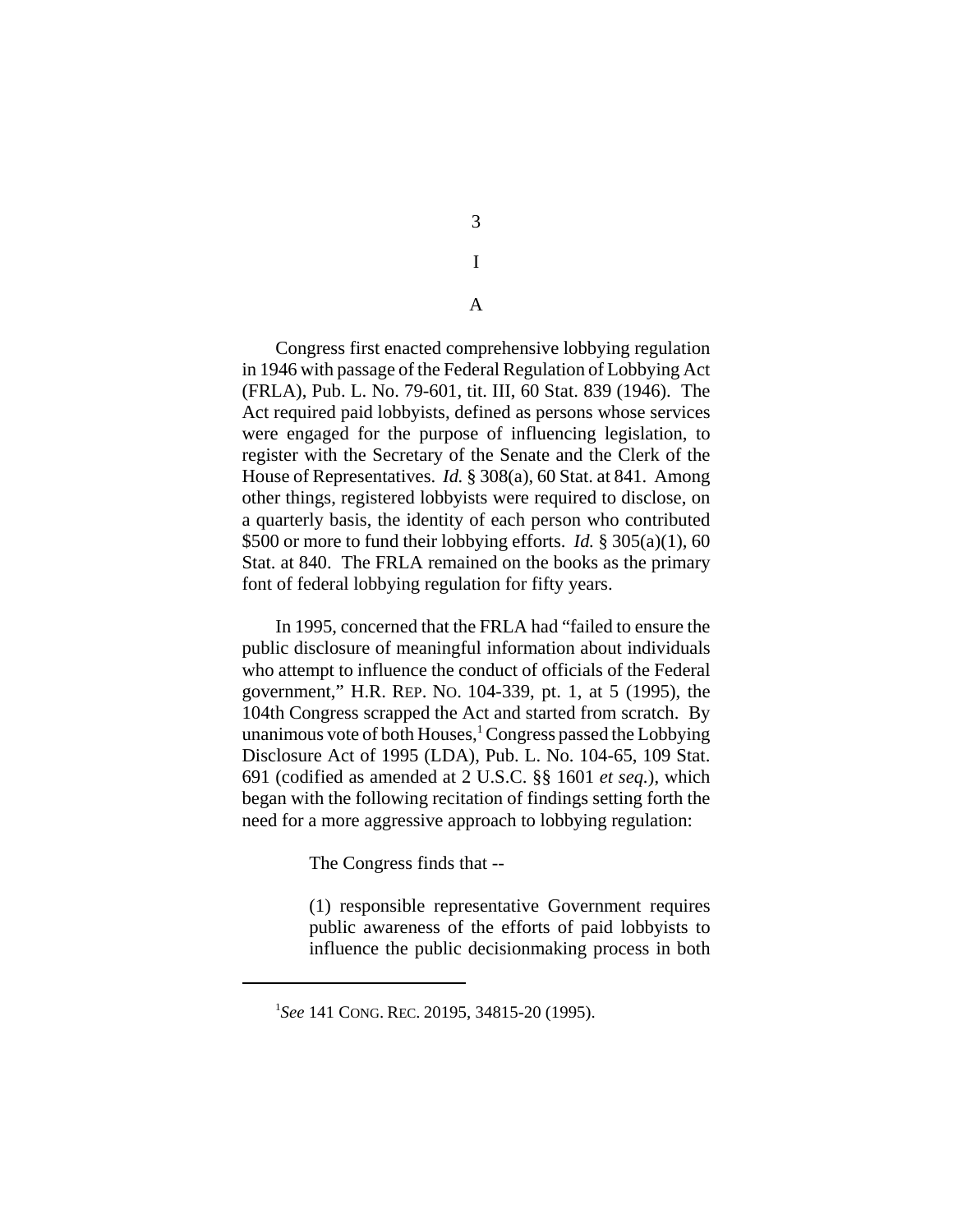3 I

A

Congress first enacted comprehensive lobbying regulation in 1946 with passage of the Federal Regulation of Lobbying Act (FRLA), Pub. L. No. 79-601, tit. III, 60 Stat. 839 (1946). The Act required paid lobbyists, defined as persons whose services were engaged for the purpose of influencing legislation, to register with the Secretary of the Senate and the Clerk of the House of Representatives. *Id.* § 308(a), 60 Stat. at 841. Among other things, registered lobbyists were required to disclose, on a quarterly basis, the identity of each person who contributed \$500 or more to fund their lobbying efforts. *Id.* § 305(a)(1), 60 Stat. at 840. The FRLA remained on the books as the primary font of federal lobbying regulation for fifty years.

In 1995, concerned that the FRLA had "failed to ensure the public disclosure of meaningful information about individuals who attempt to influence the conduct of officials of the Federal government," H.R. REP. NO. 104-339, pt. 1, at 5 (1995), the 104th Congress scrapped the Act and started from scratch. By unanimous vote of both Houses,<sup>1</sup> Congress passed the Lobbying Disclosure Act of 1995 (LDA), Pub. L. No. 104-65, 109 Stat. 691 (codified as amended at 2 U.S.C. §§ 1601 *et seq.*), which began with the following recitation of findings setting forth the need for a more aggressive approach to lobbying regulation:

The Congress finds that --

(1) responsible representative Government requires public awareness of the efforts of paid lobbyists to influence the public decisionmaking process in both

<sup>1</sup> *See* 141 CONG. REC. 20195, 34815-20 (1995).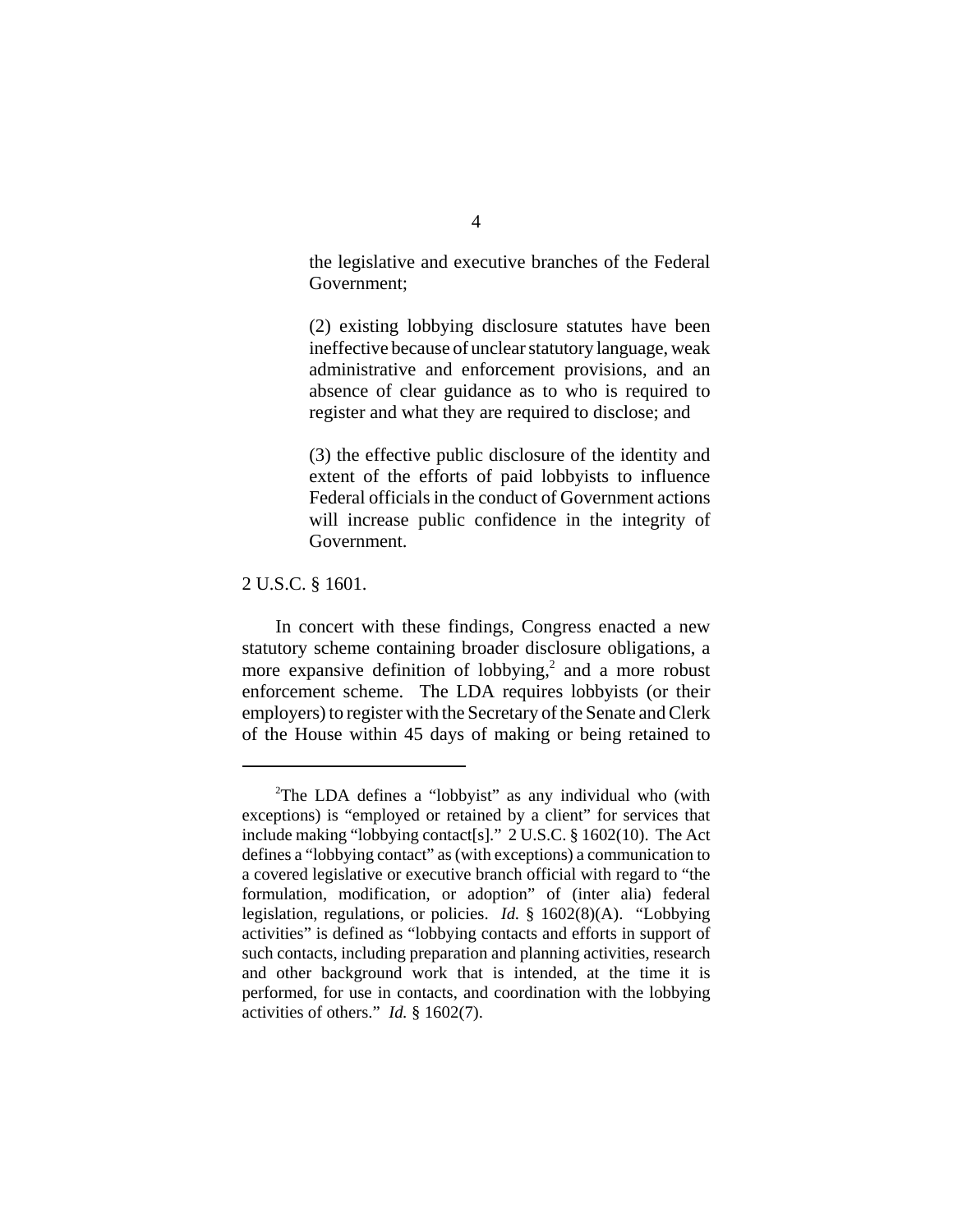the legislative and executive branches of the Federal Government;

(2) existing lobbying disclosure statutes have been ineffective because of unclear statutory language, weak administrative and enforcement provisions, and an absence of clear guidance as to who is required to register and what they are required to disclose; and

(3) the effective public disclosure of the identity and extent of the efforts of paid lobbyists to influence Federal officials in the conduct of Government actions will increase public confidence in the integrity of Government.

2 U.S.C. § 1601.

In concert with these findings, Congress enacted a new statutory scheme containing broader disclosure obligations, a more expansive definition of lobbying,<sup>2</sup> and a more robust enforcement scheme. The LDA requires lobbyists (or their employers) to register with the Secretary of the Senate and Clerk of the House within 45 days of making or being retained to

<sup>&</sup>lt;sup>2</sup>The LDA defines a "lobbyist" as any individual who (with exceptions) is "employed or retained by a client" for services that include making "lobbying contact[s]." 2 U.S.C. § 1602(10). The Act defines a "lobbying contact" as (with exceptions) a communication to a covered legislative or executive branch official with regard to "the formulation, modification, or adoption" of (inter alia) federal legislation, regulations, or policies. *Id.* § 1602(8)(A). "Lobbying activities" is defined as "lobbying contacts and efforts in support of such contacts, including preparation and planning activities, research and other background work that is intended, at the time it is performed, for use in contacts, and coordination with the lobbying activities of others." *Id.* § 1602(7).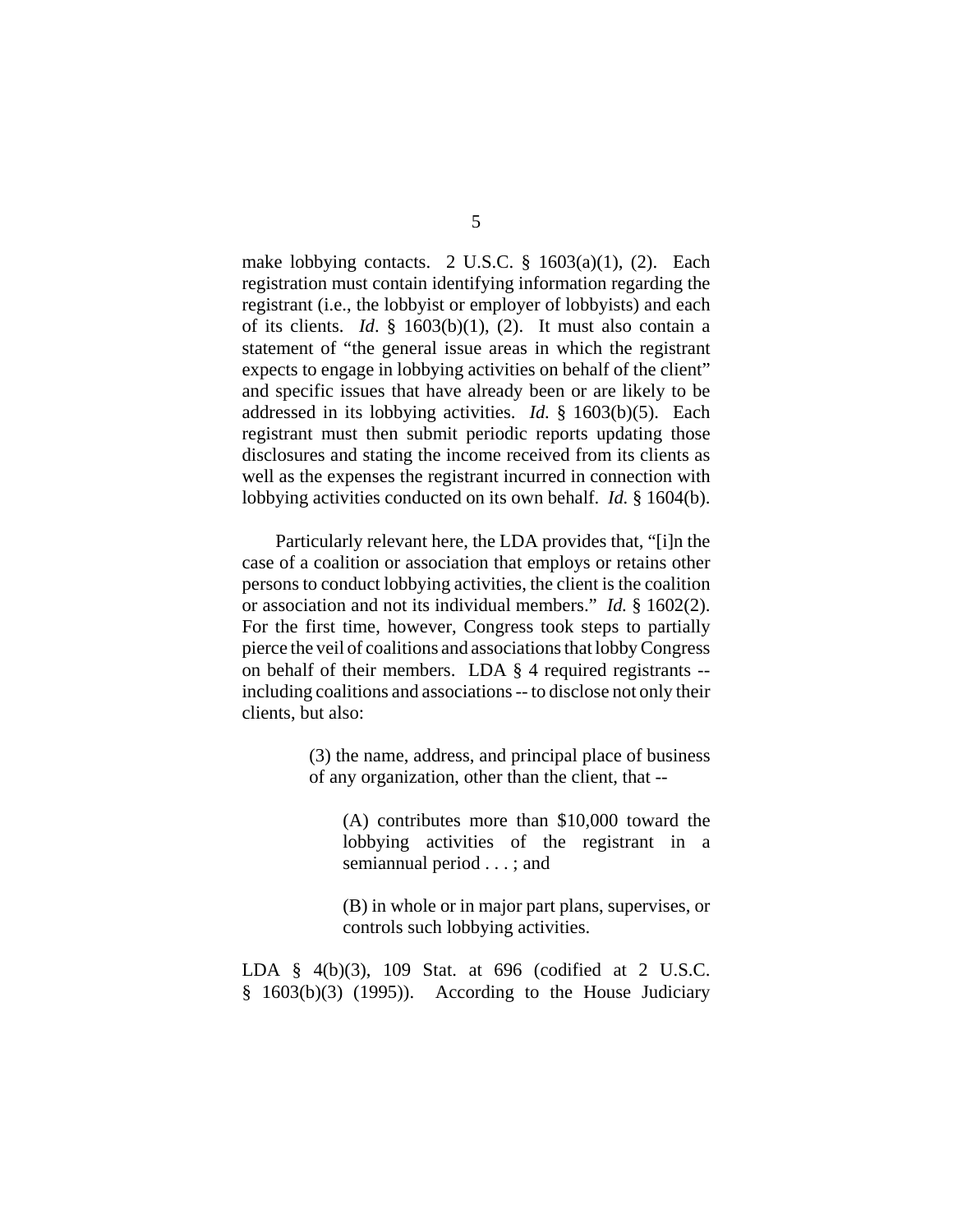make lobbying contacts. 2 U.S.C. § 1603(a)(1), (2). Each registration must contain identifying information regarding the registrant (i.e., the lobbyist or employer of lobbyists) and each of its clients. *Id*. § 1603(b)(1), (2). It must also contain a statement of "the general issue areas in which the registrant expects to engage in lobbying activities on behalf of the client" and specific issues that have already been or are likely to be addressed in its lobbying activities. *Id.* § 1603(b)(5). Each registrant must then submit periodic reports updating those disclosures and stating the income received from its clients as well as the expenses the registrant incurred in connection with lobbying activities conducted on its own behalf. *Id.* § 1604(b).

Particularly relevant here, the LDA provides that, "[i]n the case of a coalition or association that employs or retains other persons to conduct lobbying activities, the client is the coalition or association and not its individual members." *Id.* § 1602(2). For the first time, however, Congress took steps to partially pierce the veil of coalitions and associations that lobby Congress on behalf of their members. LDA § 4 required registrants - including coalitions and associations -- to disclose not only their clients, but also:

> (3) the name, address, and principal place of business of any organization, other than the client, that --

(A) contributes more than \$10,000 toward the lobbying activities of the registrant in a semiannual period . . . ; and

(B) in whole or in major part plans, supervises, or controls such lobbying activities.

LDA § 4(b)(3), 109 Stat. at 696 (codified at 2 U.S.C.  $§$  1603(b)(3) (1995)). According to the House Judiciary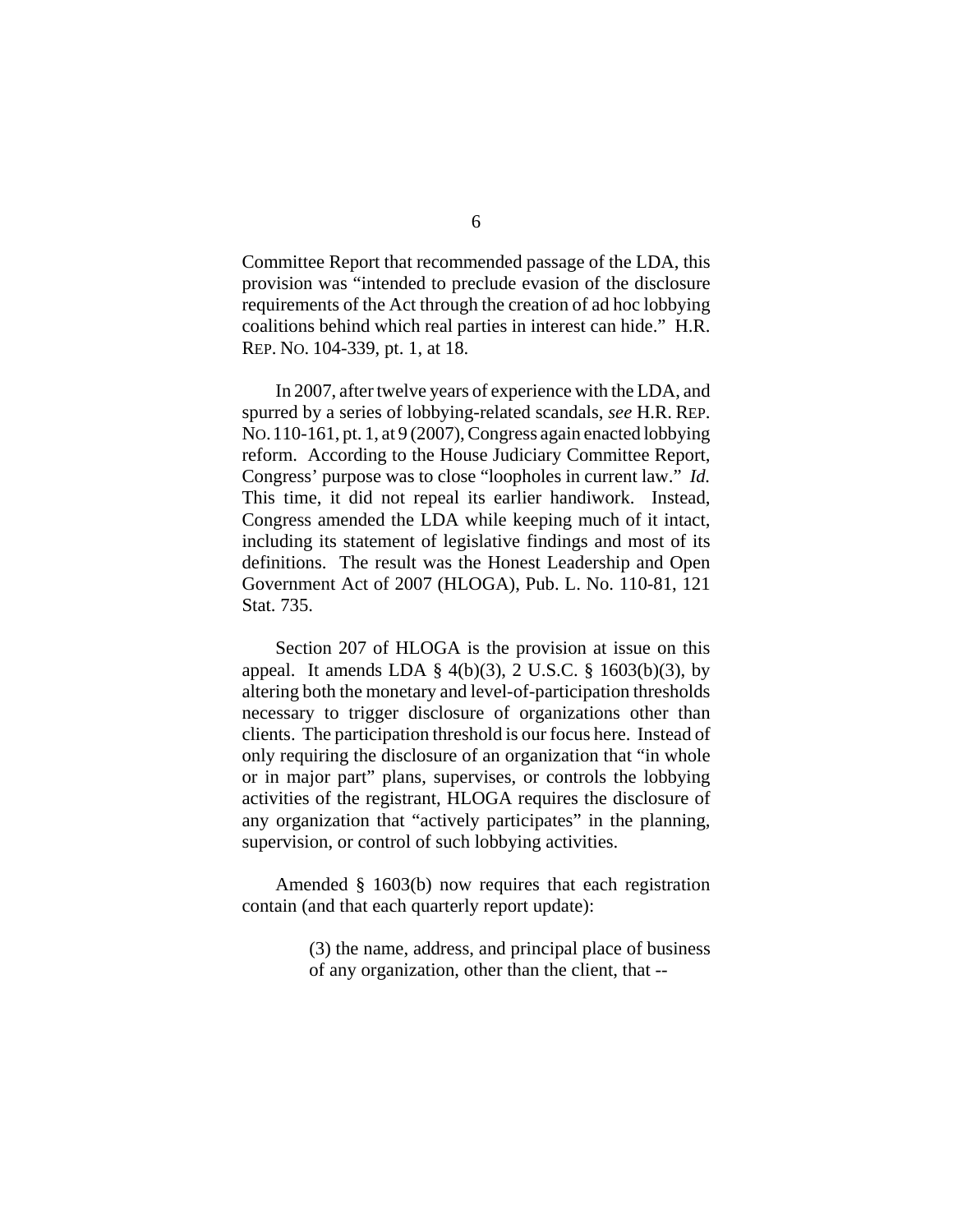Committee Report that recommended passage of the LDA, this provision was "intended to preclude evasion of the disclosure requirements of the Act through the creation of ad hoc lobbying coalitions behind which real parties in interest can hide." H.R. REP. NO. 104-339, pt. 1, at 18.

In 2007, after twelve years of experience with the LDA, and spurred by a series of lobbying-related scandals, *see* H.R. REP. NO.110-161, pt. 1, at 9 (2007), Congress again enacted lobbying reform. According to the House Judiciary Committee Report, Congress' purpose was to close "loopholes in current law." *Id.* This time, it did not repeal its earlier handiwork. Instead, Congress amended the LDA while keeping much of it intact, including its statement of legislative findings and most of its definitions. The result was the Honest Leadership and Open Government Act of 2007 (HLOGA), Pub. L. No. 110-81, 121 Stat. 735.

Section 207 of HLOGA is the provision at issue on this appeal. It amends LDA  $\S$  4(b)(3), 2 U.S.C.  $\S$  1603(b)(3), by altering both the monetary and level-of-participation thresholds necessary to trigger disclosure of organizations other than clients. The participation threshold is our focus here. Instead of only requiring the disclosure of an organization that "in whole or in major part" plans, supervises, or controls the lobbying activities of the registrant, HLOGA requires the disclosure of any organization that "actively participates" in the planning, supervision, or control of such lobbying activities.

Amended § 1603(b) now requires that each registration contain (and that each quarterly report update):

> (3) the name, address, and principal place of business of any organization, other than the client, that --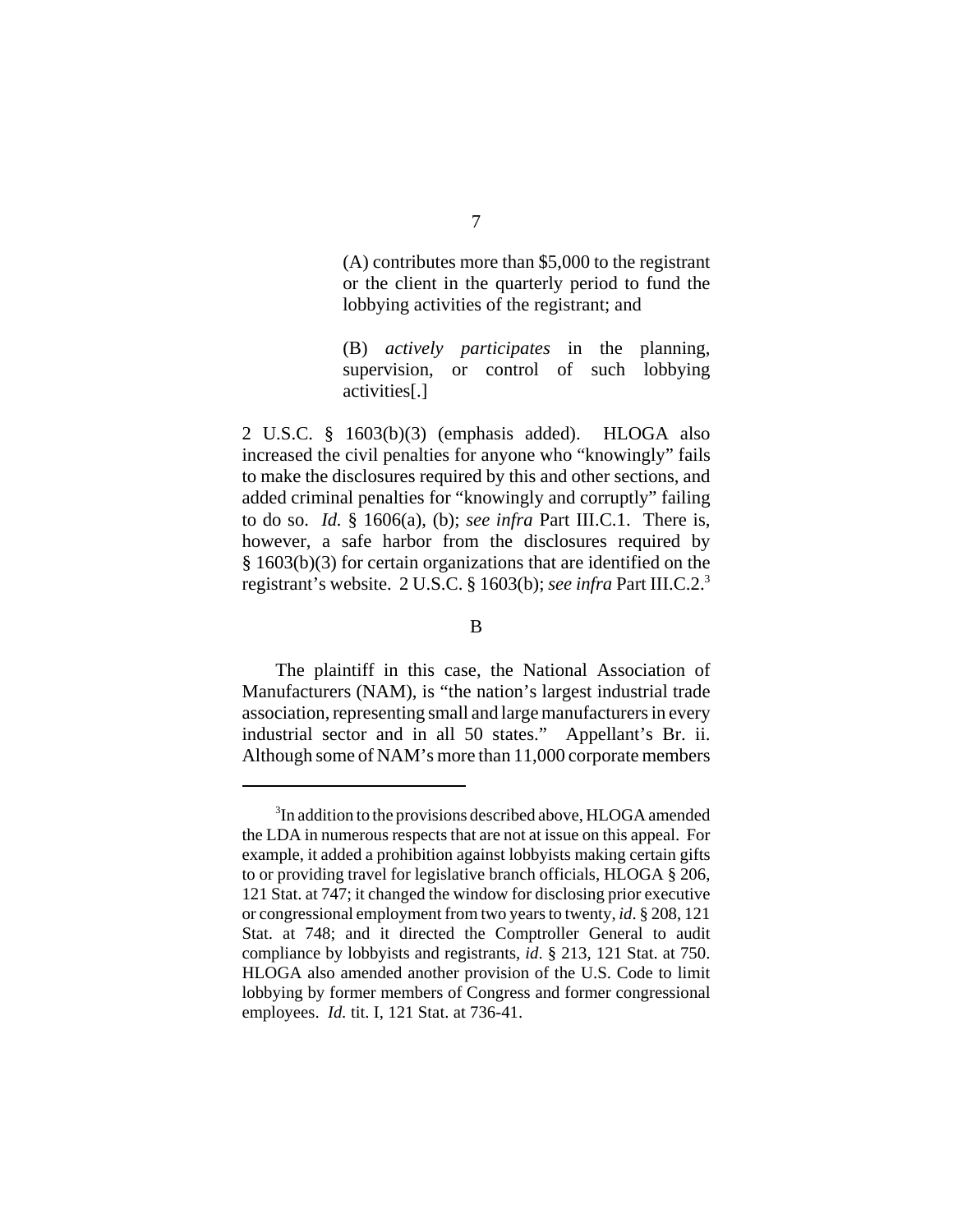(A) contributes more than \$5,000 to the registrant or the client in the quarterly period to fund the lobbying activities of the registrant; and

(B) *actively participates* in the planning, supervision, or control of such lobbying activities[.]

2 U.S.C. § 1603(b)(3) (emphasis added). HLOGA also increased the civil penalties for anyone who "knowingly" fails to make the disclosures required by this and other sections, and added criminal penalties for "knowingly and corruptly" failing to do so. *Id.* § 1606(a), (b); *see infra* Part III.C.1. There is, however, a safe harbor from the disclosures required by § 1603(b)(3) for certain organizations that are identified on the registrant's website. 2 U.S.C. § 1603(b); *see infra* Part III.C.2.3

## B

The plaintiff in this case, the National Association of Manufacturers (NAM), is "the nation's largest industrial trade association, representing small and large manufacturers in every industrial sector and in all 50 states." Appellant's Br. ii. Although some of NAM's more than 11,000 corporate members

<sup>&</sup>lt;sup>3</sup>In addition to the provisions described above, HLOGA amended the LDA in numerous respects that are not at issue on this appeal. For example, it added a prohibition against lobbyists making certain gifts to or providing travel for legislative branch officials, HLOGA § 206, 121 Stat. at 747; it changed the window for disclosing prior executive or congressional employment from two years to twenty, *id*. § 208, 121 Stat. at 748; and it directed the Comptroller General to audit compliance by lobbyists and registrants, *id*. § 213, 121 Stat. at 750. HLOGA also amended another provision of the U.S. Code to limit lobbying by former members of Congress and former congressional employees. *Id.* tit. I, 121 Stat. at 736-41.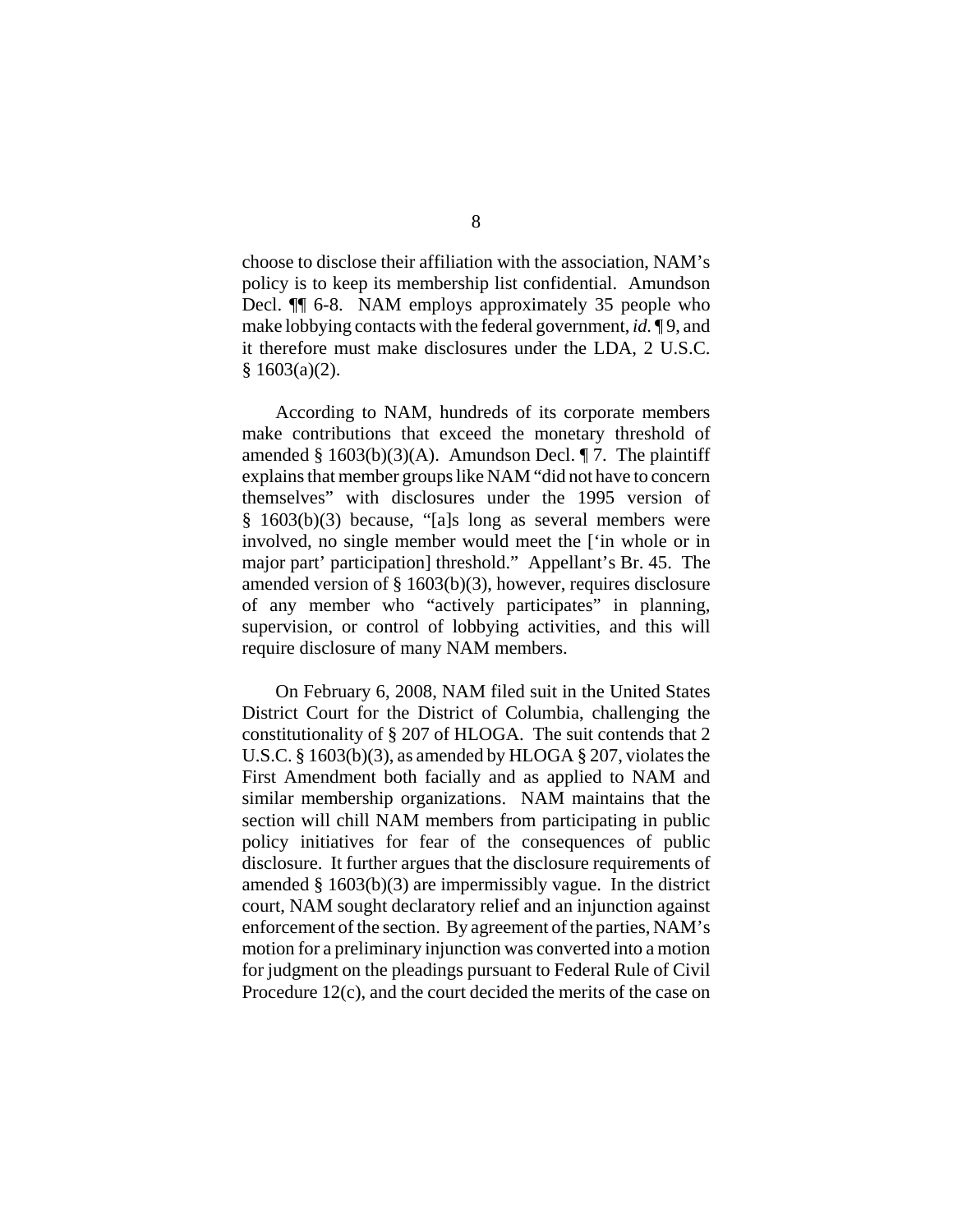choose to disclose their affiliation with the association, NAM's policy is to keep its membership list confidential. Amundson Decl. ¶¶ 6-8. NAM employs approximately 35 people who make lobbying contacts with the federal government, *id.* ¶ 9, and it therefore must make disclosures under the LDA, 2 U.S.C. § 1603(a)(2).

According to NAM, hundreds of its corporate members make contributions that exceed the monetary threshold of amended §  $1603(b)(3)(A)$ . Amundson Decl. ¶ 7. The plaintiff explains that member groups like NAM "did not have to concern themselves" with disclosures under the 1995 version of § 1603(b)(3) because, "[a]s long as several members were involved, no single member would meet the ['in whole or in major part' participation] threshold." Appellant's Br. 45. The amended version of § 1603(b)(3), however, requires disclosure of any member who "actively participates" in planning, supervision, or control of lobbying activities, and this will require disclosure of many NAM members.

On February 6, 2008, NAM filed suit in the United States District Court for the District of Columbia, challenging the constitutionality of § 207 of HLOGA. The suit contends that 2 U.S.C. § 1603(b)(3), as amended by HLOGA § 207, violates the First Amendment both facially and as applied to NAM and similar membership organizations. NAM maintains that the section will chill NAM members from participating in public policy initiatives for fear of the consequences of public disclosure. It further argues that the disclosure requirements of amended § 1603(b)(3) are impermissibly vague. In the district court, NAM sought declaratory relief and an injunction against enforcement of the section. By agreement of the parties, NAM's motion for a preliminary injunction was converted into a motion for judgment on the pleadings pursuant to Federal Rule of Civil Procedure 12(c), and the court decided the merits of the case on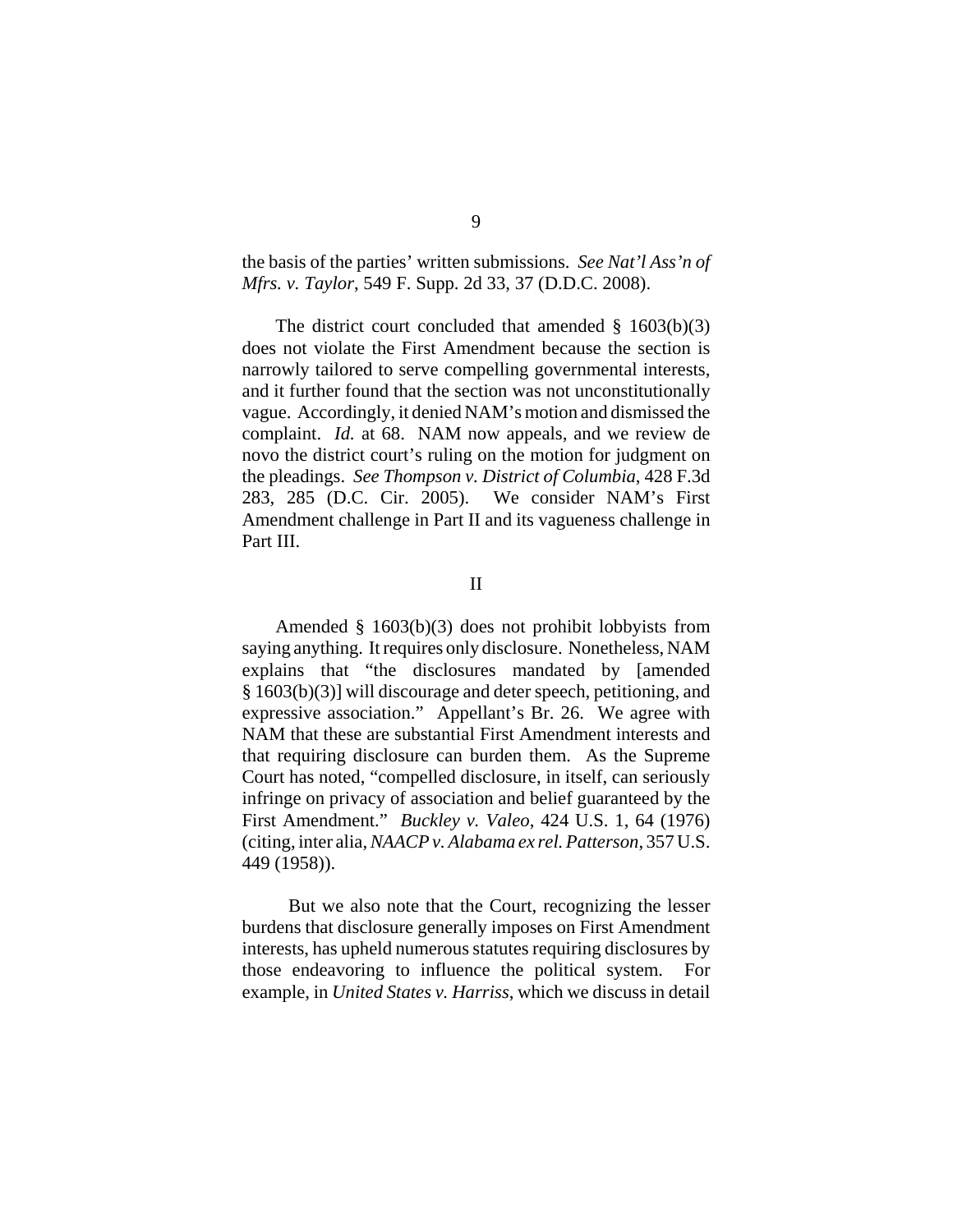the basis of the parties' written submissions. *See Nat'l Ass'n of Mfrs. v. Taylor*, 549 F. Supp. 2d 33, 37 (D.D.C. 2008).

The district court concluded that amended § 1603(b)(3) does not violate the First Amendment because the section is narrowly tailored to serve compelling governmental interests, and it further found that the section was not unconstitutionally vague. Accordingly, it denied NAM's motion and dismissed the complaint. *Id.* at 68. NAM now appeals, and we review de novo the district court's ruling on the motion for judgment on the pleadings. *See Thompson v. District of Columbia*, 428 F.3d 283, 285 (D.C. Cir. 2005). We consider NAM's First Amendment challenge in Part II and its vagueness challenge in Part III.

II

Amended § 1603(b)(3) does not prohibit lobbyists from saying anything. It requires only disclosure. Nonetheless, NAM explains that "the disclosures mandated by [amended § 1603(b)(3)] will discourage and deter speech, petitioning, and expressive association." Appellant's Br. 26. We agree with NAM that these are substantial First Amendment interests and that requiring disclosure can burden them. As the Supreme Court has noted, "compelled disclosure, in itself, can seriously infringe on privacy of association and belief guaranteed by the First Amendment." *Buckley v. Valeo*, 424 U.S. 1, 64 (1976) (citing, inter alia, *NAACP v. Alabama ex rel. Patterson*, 357 U.S. 449 (1958)).

 But we also note that the Court, recognizing the lesser burdens that disclosure generally imposes on First Amendment interests, has upheld numerous statutes requiring disclosures by those endeavoring to influence the political system. For example, in *United States v. Harriss*, which we discuss in detail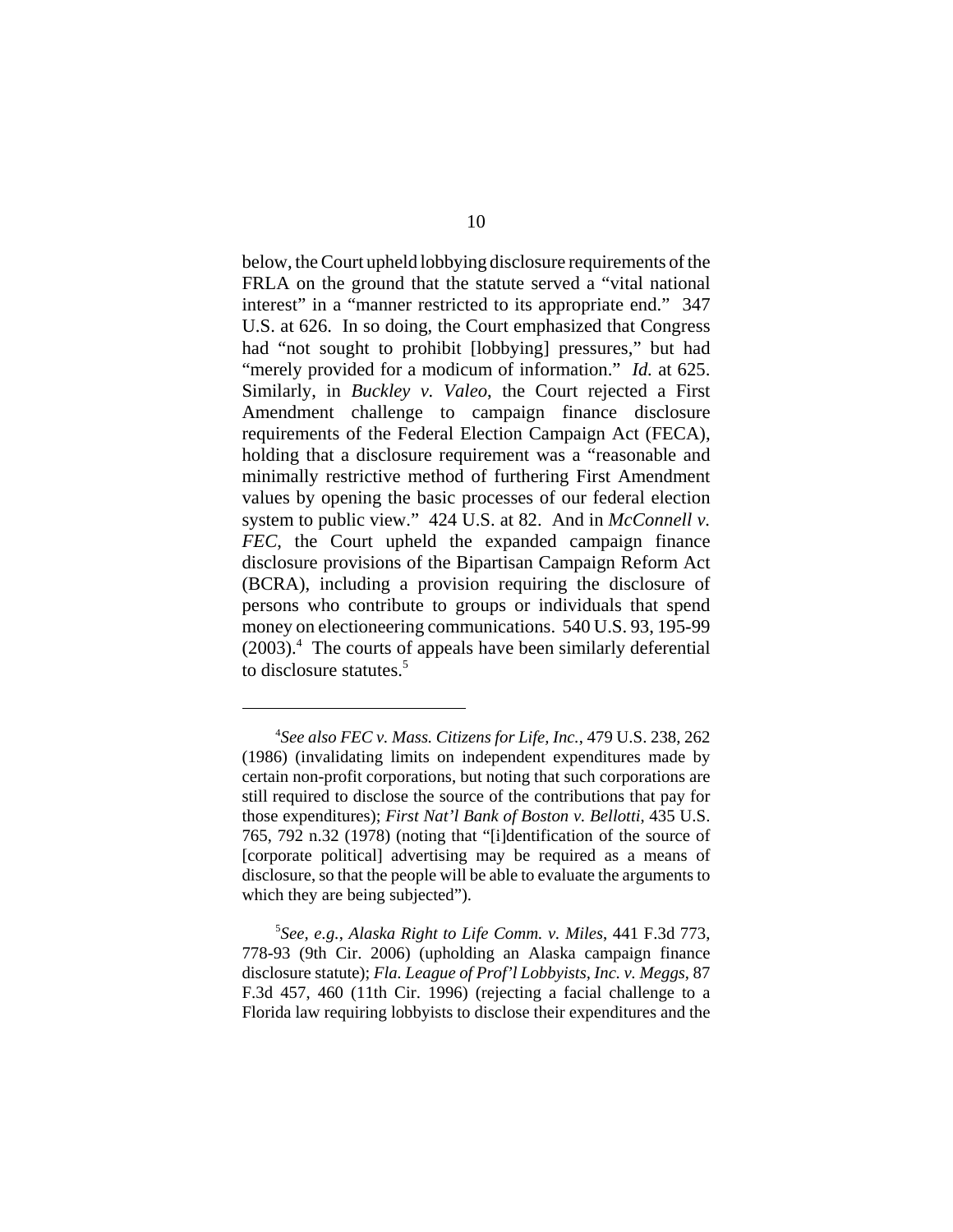below, the Court upheld lobbying disclosure requirements of the FRLA on the ground that the statute served a "vital national interest" in a "manner restricted to its appropriate end." 347 U.S. at 626. In so doing, the Court emphasized that Congress had "not sought to prohibit [lobbying] pressures," but had "merely provided for a modicum of information." *Id.* at 625. Similarly, in *Buckley v. Valeo*, the Court rejected a First Amendment challenge to campaign finance disclosure requirements of the Federal Election Campaign Act (FECA), holding that a disclosure requirement was a "reasonable and minimally restrictive method of furthering First Amendment values by opening the basic processes of our federal election system to public view." 424 U.S. at 82. And in *McConnell v. FEC*, the Court upheld the expanded campaign finance disclosure provisions of the Bipartisan Campaign Reform Act (BCRA), including a provision requiring the disclosure of persons who contribute to groups or individuals that spend money on electioneering communications. 540 U.S. 93, 195-99 (2003).4 The courts of appeals have been similarly deferential to disclosure statutes.<sup>5</sup>

<sup>4</sup> *See also FEC v. Mass. Citizens for Life, Inc.*, 479 U.S. 238, 262 (1986) (invalidating limits on independent expenditures made by certain non-profit corporations, but noting that such corporations are still required to disclose the source of the contributions that pay for those expenditures); *First Nat'l Bank of Boston v. Bellotti*, 435 U.S. 765, 792 n.32 (1978) (noting that "[i]dentification of the source of [corporate political] advertising may be required as a means of disclosure, so that the people will be able to evaluate the arguments to which they are being subjected").

<sup>5</sup> *See, e.g.*, *Alaska Right to Life Comm. v. Miles*, 441 F.3d 773, 778-93 (9th Cir. 2006) (upholding an Alaska campaign finance disclosure statute); *Fla. League of Prof'l Lobbyists, Inc. v. Meggs*, 87 F.3d 457, 460 (11th Cir. 1996) (rejecting a facial challenge to a Florida law requiring lobbyists to disclose their expenditures and the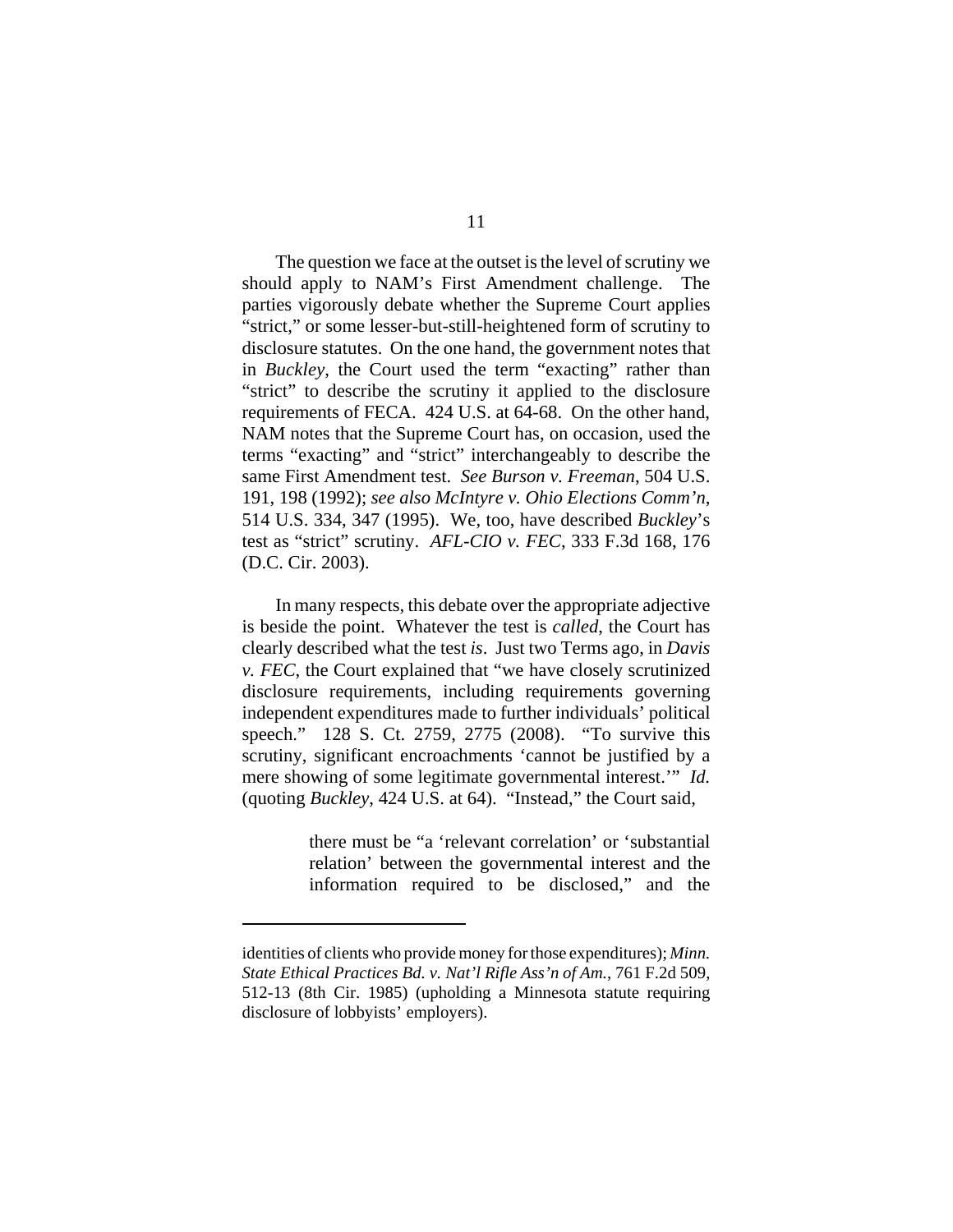The question we face at the outset is the level of scrutiny we should apply to NAM's First Amendment challenge. The parties vigorously debate whether the Supreme Court applies "strict," or some lesser-but-still-heightened form of scrutiny to disclosure statutes. On the one hand, the government notes that in *Buckley*, the Court used the term "exacting" rather than "strict" to describe the scrutiny it applied to the disclosure requirements of FECA. 424 U.S. at 64-68. On the other hand, NAM notes that the Supreme Court has, on occasion, used the terms "exacting" and "strict" interchangeably to describe the same First Amendment test. *See Burson v. Freeman*, 504 U.S. 191, 198 (1992); *see also McIntyre v. Ohio Elections Comm'n*, 514 U.S. 334, 347 (1995). We, too, have described *Buckley*'s test as "strict" scrutiny. *AFL-CIO v. FEC*, 333 F.3d 168, 176 (D.C. Cir. 2003).

In many respects, this debate over the appropriate adjective is beside the point. Whatever the test is *called*, the Court has clearly described what the test *is*. Just two Terms ago, in *Davis v. FEC*, the Court explained that "we have closely scrutinized disclosure requirements, including requirements governing independent expenditures made to further individuals' political speech." 128 S. Ct. 2759, 2775 (2008). "To survive this scrutiny, significant encroachments 'cannot be justified by a mere showing of some legitimate governmental interest.'" *Id.* (quoting *Buckley*, 424 U.S. at 64). "Instead," the Court said,

> there must be "a 'relevant correlation' or 'substantial relation' between the governmental interest and the information required to be disclosed," and the

identities of clients who provide money for those expenditures); *Minn. State Ethical Practices Bd. v. Nat'l Rifle Ass'n of Am.*, 761 F.2d 509, 512-13 (8th Cir. 1985) (upholding a Minnesota statute requiring disclosure of lobbyists' employers).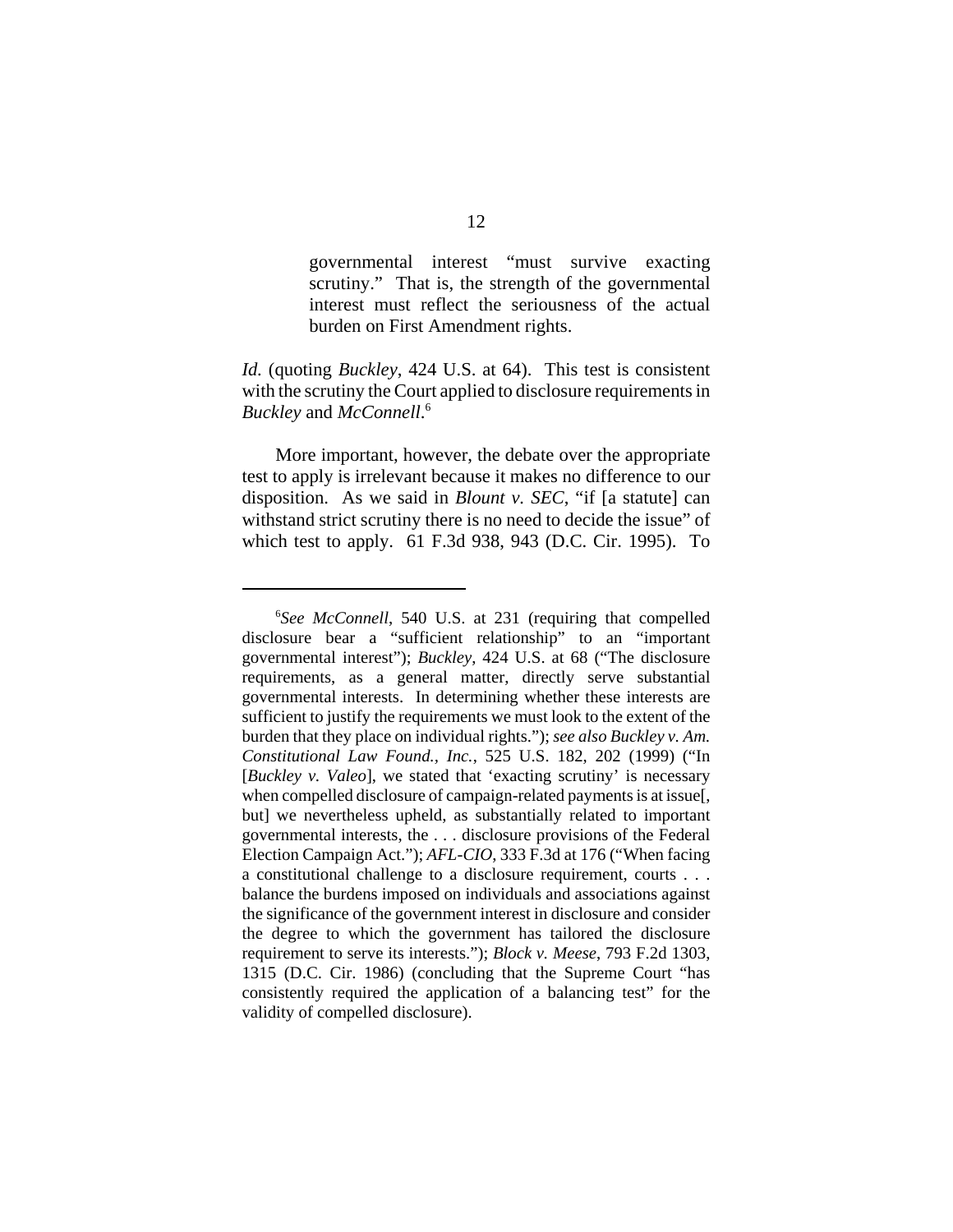governmental interest "must survive exacting scrutiny." That is, the strength of the governmental interest must reflect the seriousness of the actual burden on First Amendment rights.

*Id.* (quoting *Buckley*, 424 U.S. at 64). This test is consistent with the scrutiny the Court applied to disclosure requirements in *Buckley* and *McConnell*. 6

More important, however, the debate over the appropriate test to apply is irrelevant because it makes no difference to our disposition. As we said in *Blount v. SEC*, "if [a statute] can withstand strict scrutiny there is no need to decide the issue" of which test to apply. 61 F.3d 938, 943 (D.C. Cir. 1995). To

<sup>6</sup> *See McConnell*, 540 U.S. at 231 (requiring that compelled disclosure bear a "sufficient relationship" to an "important governmental interest"); *Buckley*, 424 U.S. at 68 ("The disclosure requirements, as a general matter, directly serve substantial governmental interests. In determining whether these interests are sufficient to justify the requirements we must look to the extent of the burden that they place on individual rights."); *see also Buckley v. Am. Constitutional Law Found., Inc.*, 525 U.S. 182, 202 (1999) ("In [*Buckley v. Valeo*], we stated that 'exacting scrutiny' is necessary when compelled disclosure of campaign-related payments is at issue[, but] we nevertheless upheld, as substantially related to important governmental interests, the . . . disclosure provisions of the Federal Election Campaign Act."); *AFL-CIO*, 333 F.3d at 176 ("When facing a constitutional challenge to a disclosure requirement, courts . . . balance the burdens imposed on individuals and associations against the significance of the government interest in disclosure and consider the degree to which the government has tailored the disclosure requirement to serve its interests."); *Block v. Meese*, 793 F.2d 1303, 1315 (D.C. Cir. 1986) (concluding that the Supreme Court "has consistently required the application of a balancing test" for the validity of compelled disclosure).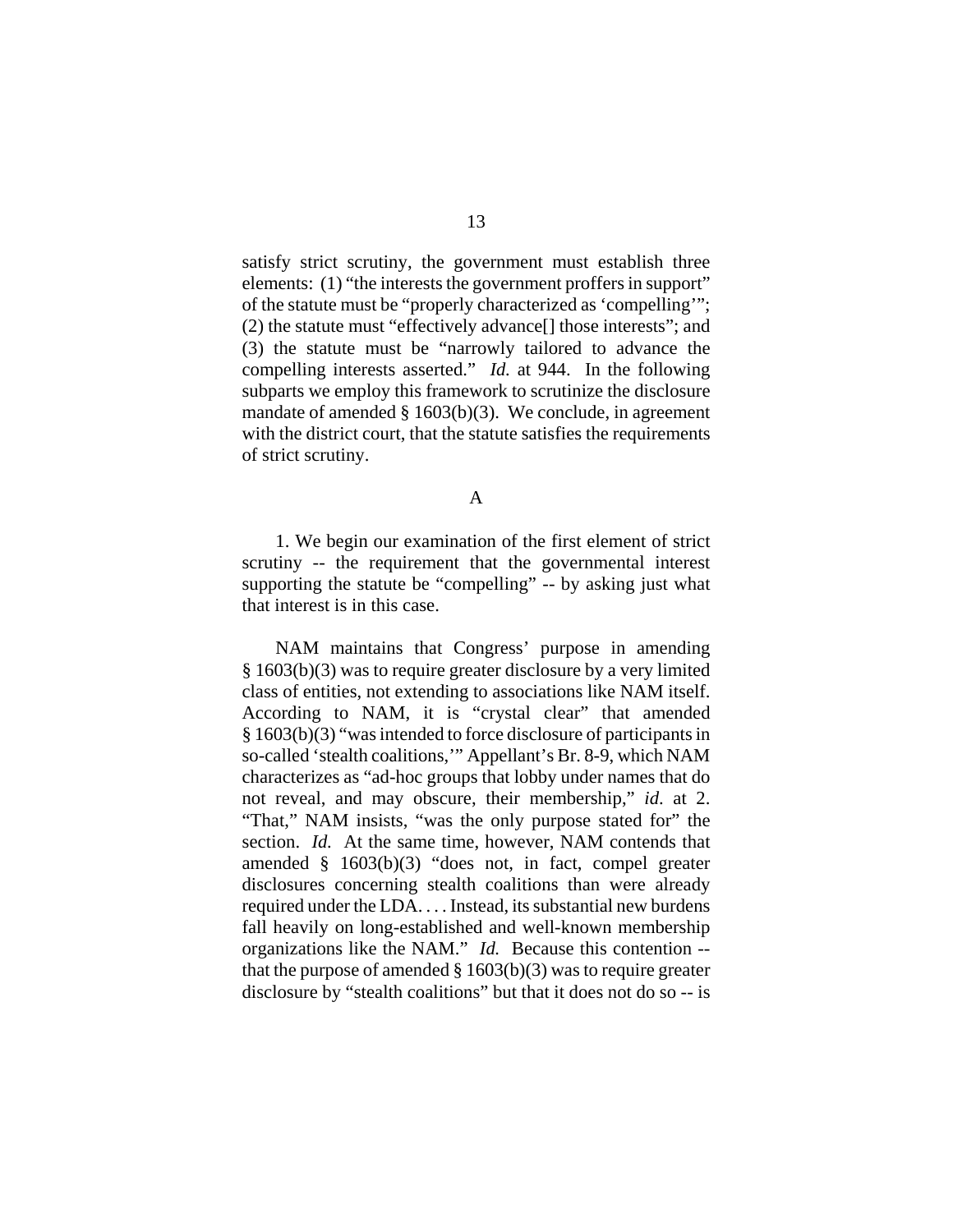satisfy strict scrutiny, the government must establish three elements: (1) "the interests the government proffers in support" of the statute must be "properly characterized as 'compelling'"; (2) the statute must "effectively advance[] those interests"; and (3) the statute must be "narrowly tailored to advance the compelling interests asserted." *Id.* at 944. In the following subparts we employ this framework to scrutinize the disclosure mandate of amended § 1603(b)(3). We conclude, in agreement with the district court, that the statute satisfies the requirements of strict scrutiny.

A

1. We begin our examination of the first element of strict scrutiny -- the requirement that the governmental interest supporting the statute be "compelling" -- by asking just what that interest is in this case.

NAM maintains that Congress' purpose in amending § 1603(b)(3) was to require greater disclosure by a very limited class of entities, not extending to associations like NAM itself. According to NAM, it is "crystal clear" that amended § 1603(b)(3) "was intended to force disclosure of participants in so-called 'stealth coalitions,'" Appellant's Br. 8-9, which NAM characterizes as "ad-hoc groups that lobby under names that do not reveal, and may obscure, their membership," *id*. at 2. "That," NAM insists, "was the only purpose stated for" the section. *Id.* At the same time, however, NAM contends that amended § 1603(b)(3) "does not, in fact, compel greater disclosures concerning stealth coalitions than were already required under the LDA. . . . Instead, its substantial new burdens fall heavily on long-established and well-known membership organizations like the NAM." *Id.* Because this contention - that the purpose of amended  $\S 1603(b)(3)$  was to require greater disclosure by "stealth coalitions" but that it does not do so -- is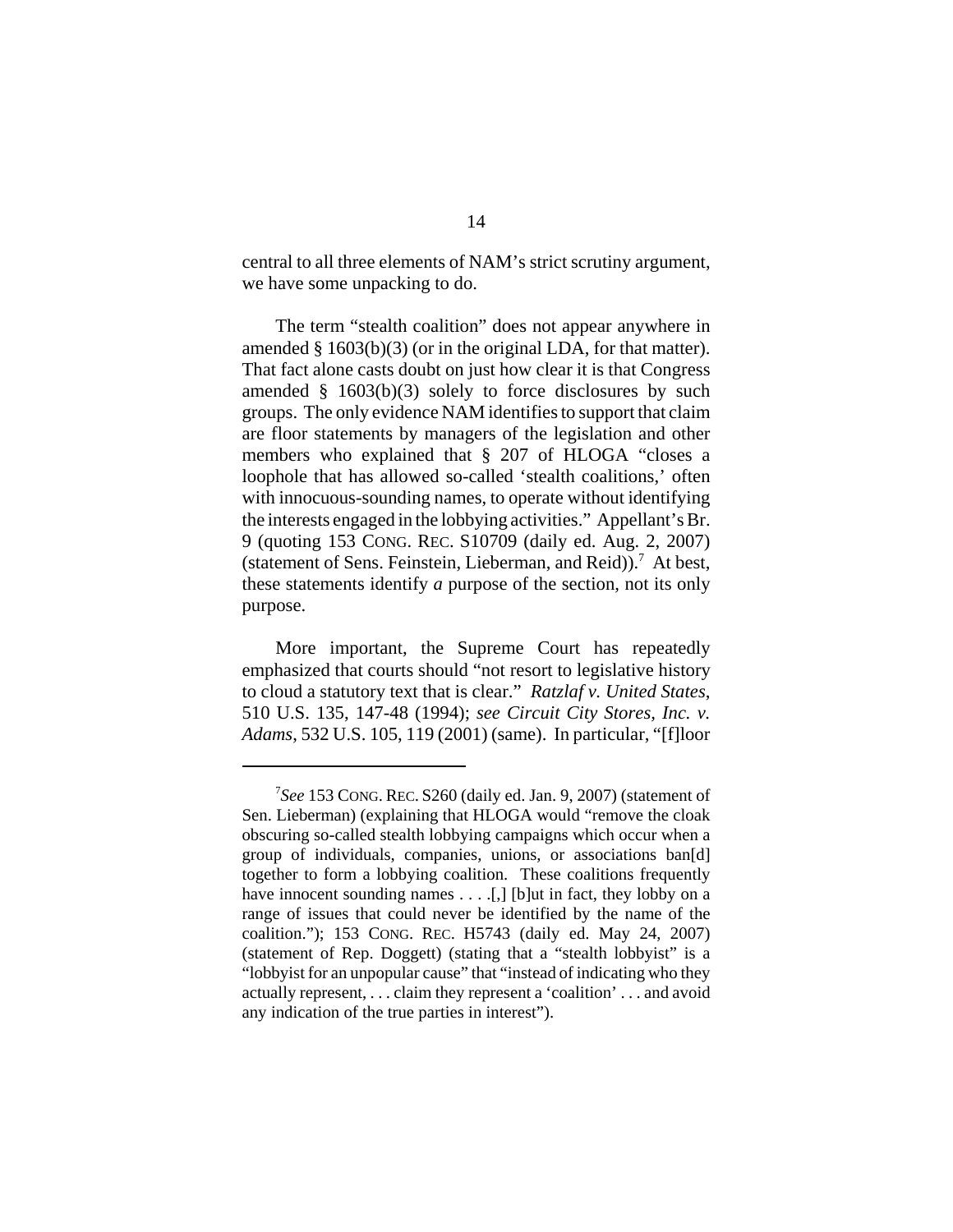central to all three elements of NAM's strict scrutiny argument, we have some unpacking to do.

The term "stealth coalition" does not appear anywhere in amended § 1603(b)(3) (or in the original LDA, for that matter). That fact alone casts doubt on just how clear it is that Congress amended § 1603(b)(3) solely to force disclosures by such groups. The only evidence NAM identifies to support that claim are floor statements by managers of the legislation and other members who explained that § 207 of HLOGA "closes a loophole that has allowed so-called 'stealth coalitions,' often with innocuous-sounding names, to operate without identifying the interests engaged in the lobbying activities." Appellant's Br. 9 (quoting 153 CONG. REC. S10709 (daily ed. Aug. 2, 2007) (statement of Sens. Feinstein, Lieberman, and Reid)).<sup>7</sup> At best, these statements identify *a* purpose of the section, not its only purpose.

More important, the Supreme Court has repeatedly emphasized that courts should "not resort to legislative history to cloud a statutory text that is clear." *Ratzlaf v. United States*, 510 U.S. 135, 147-48 (1994); *see Circuit City Stores, Inc. v. Adams*, 532 U.S. 105, 119 (2001) (same). In particular, "[f]loor

<sup>7</sup> *See* 153 CONG. REC. S260 (daily ed. Jan. 9, 2007) (statement of Sen. Lieberman) (explaining that HLOGA would "remove the cloak obscuring so-called stealth lobbying campaigns which occur when a group of individuals, companies, unions, or associations ban[d] together to form a lobbying coalition. These coalitions frequently have innocent sounding names  $\dots$ . [1] [b]ut in fact, they lobby on a range of issues that could never be identified by the name of the coalition."); 153 CONG. REC. H5743 (daily ed. May 24, 2007) (statement of Rep. Doggett) (stating that a "stealth lobbyist" is a "lobbyist for an unpopular cause" that "instead of indicating who they actually represent, . . . claim they represent a 'coalition' . . . and avoid any indication of the true parties in interest").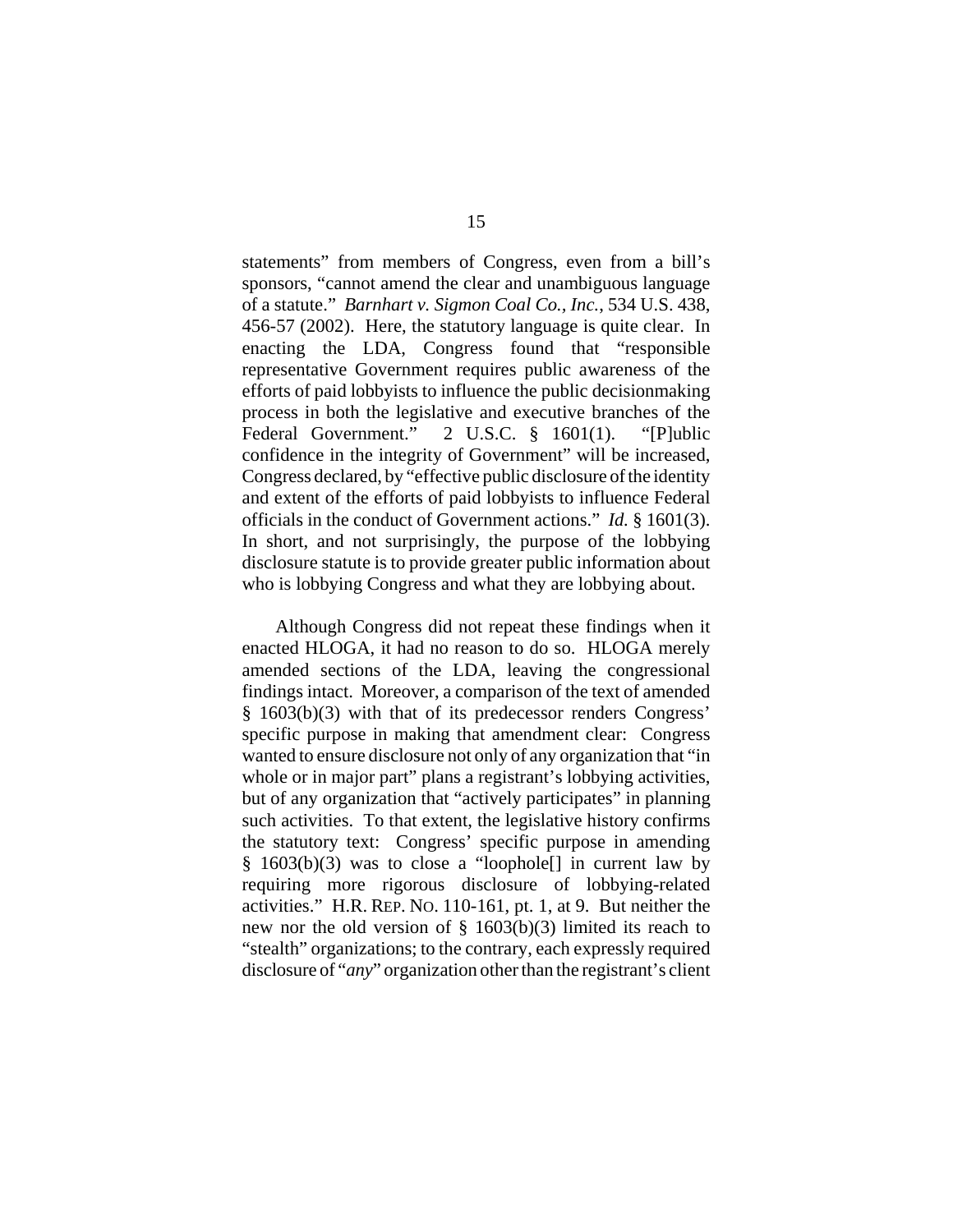statements" from members of Congress, even from a bill's sponsors, "cannot amend the clear and unambiguous language of a statute." *Barnhart v. Sigmon Coal Co., Inc.*, 534 U.S. 438, 456-57 (2002). Here, the statutory language is quite clear. In enacting the LDA, Congress found that "responsible representative Government requires public awareness of the efforts of paid lobbyists to influence the public decisionmaking process in both the legislative and executive branches of the Federal Government." 2 U.S.C. § 1601(1). "[P]ublic confidence in the integrity of Government" will be increased, Congress declared, by "effective public disclosure of the identity and extent of the efforts of paid lobbyists to influence Federal officials in the conduct of Government actions." *Id.* § 1601(3). In short, and not surprisingly, the purpose of the lobbying disclosure statute is to provide greater public information about who is lobbying Congress and what they are lobbying about.

Although Congress did not repeat these findings when it enacted HLOGA, it had no reason to do so. HLOGA merely amended sections of the LDA, leaving the congressional findings intact. Moreover, a comparison of the text of amended § 1603(b)(3) with that of its predecessor renders Congress' specific purpose in making that amendment clear: Congress wanted to ensure disclosure not only of any organization that "in whole or in major part" plans a registrant's lobbying activities, but of any organization that "actively participates" in planning such activities. To that extent, the legislative history confirms the statutory text: Congress' specific purpose in amending § 1603(b)(3) was to close a "loophole[] in current law by requiring more rigorous disclosure of lobbying-related activities." H.R. REP. NO. 110-161, pt. 1, at 9. But neither the new nor the old version of  $\S$  1603(b)(3) limited its reach to "stealth" organizations; to the contrary, each expressly required disclosure of "*any*" organization other than the registrant's client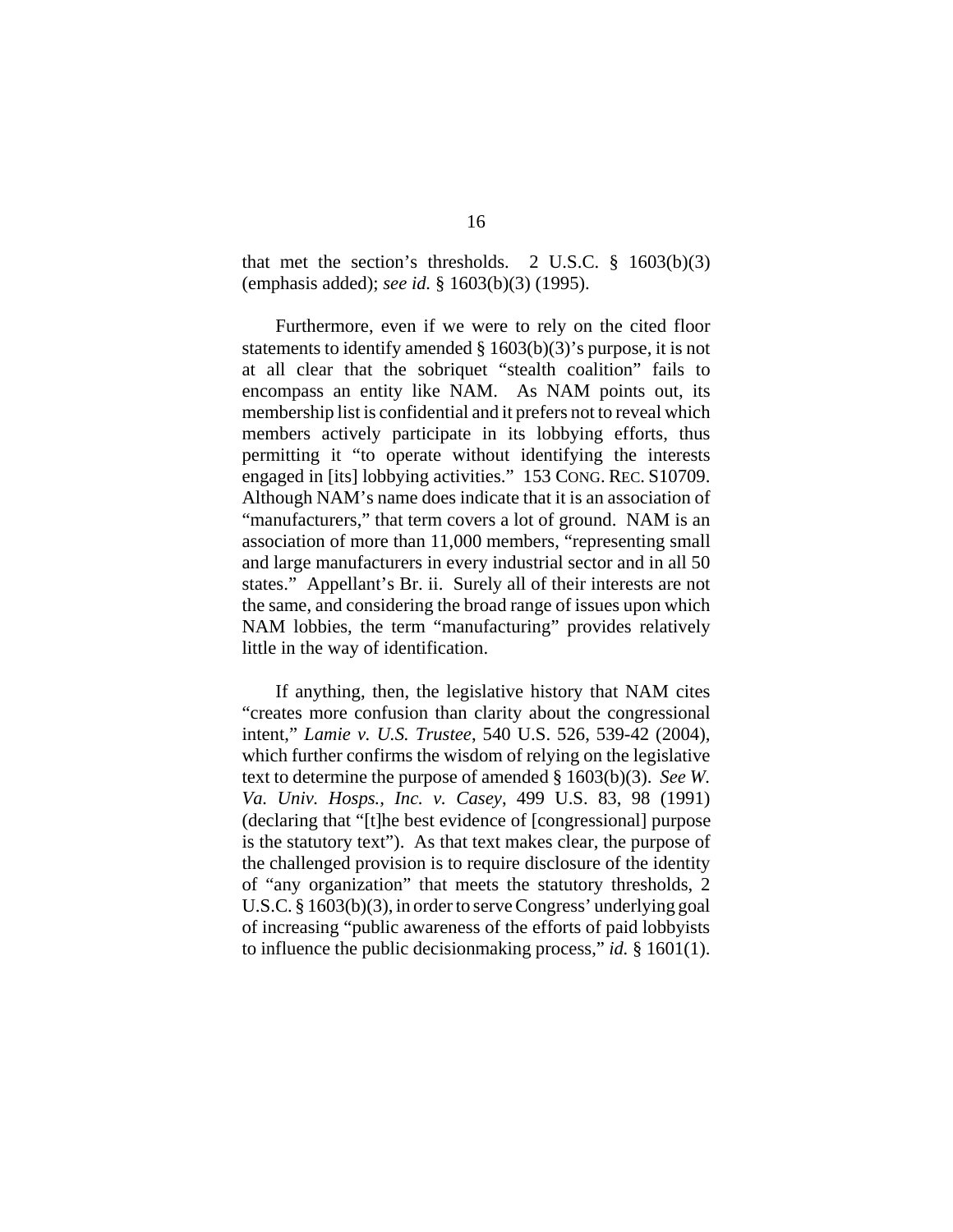that met the section's thresholds. 2 U.S.C.  $\S$  1603(b)(3) (emphasis added); *see id.* § 1603(b)(3) (1995).

Furthermore, even if we were to rely on the cited floor statements to identify amended § 1603(b)(3)'s purpose, it is not at all clear that the sobriquet "stealth coalition" fails to encompass an entity like NAM. As NAM points out, its membership list is confidential and it prefers not to reveal which members actively participate in its lobbying efforts, thus permitting it "to operate without identifying the interests engaged in [its] lobbying activities." 153 CONG. REC. S10709. Although NAM's name does indicate that it is an association of "manufacturers," that term covers a lot of ground. NAM is an association of more than 11,000 members, "representing small and large manufacturers in every industrial sector and in all 50 states." Appellant's Br. ii. Surely all of their interests are not the same, and considering the broad range of issues upon which NAM lobbies, the term "manufacturing" provides relatively little in the way of identification.

If anything, then, the legislative history that NAM cites "creates more confusion than clarity about the congressional intent," *Lamie v. U.S. Trustee*, 540 U.S. 526, 539-42 (2004), which further confirms the wisdom of relying on the legislative text to determine the purpose of amended § 1603(b)(3). *See W. Va. Univ. Hosps., Inc. v. Casey*, 499 U.S. 83, 98 (1991) (declaring that "[t]he best evidence of [congressional] purpose is the statutory text"). As that text makes clear, the purpose of the challenged provision is to require disclosure of the identity of "any organization" that meets the statutory thresholds, 2 U.S.C. § 1603(b)(3), in order to serve Congress' underlying goal of increasing "public awareness of the efforts of paid lobbyists to influence the public decisionmaking process," *id.* § 1601(1).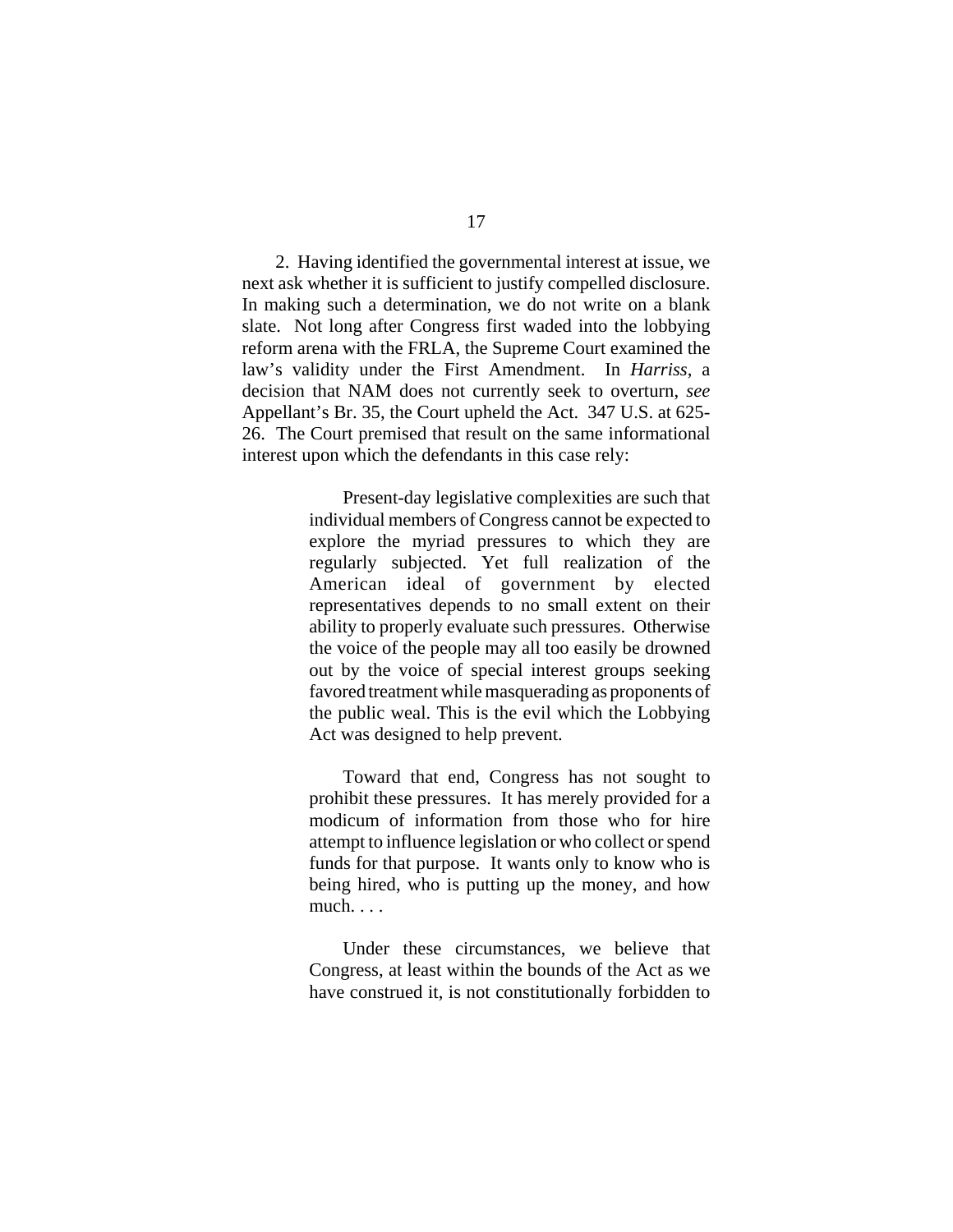2. Having identified the governmental interest at issue, we next ask whether it is sufficient to justify compelled disclosure. In making such a determination, we do not write on a blank slate. Not long after Congress first waded into the lobbying reform arena with the FRLA, the Supreme Court examined the law's validity under the First Amendment. In *Harriss*, a decision that NAM does not currently seek to overturn, *see* Appellant's Br. 35, the Court upheld the Act. 347 U.S. at 625- 26. The Court premised that result on the same informational interest upon which the defendants in this case rely:

> Present-day legislative complexities are such that individual members of Congress cannot be expected to explore the myriad pressures to which they are regularly subjected. Yet full realization of the American ideal of government by elected representatives depends to no small extent on their ability to properly evaluate such pressures. Otherwise the voice of the people may all too easily be drowned out by the voice of special interest groups seeking favored treatment while masquerading as proponents of the public weal. This is the evil which the Lobbying Act was designed to help prevent.

> Toward that end, Congress has not sought to prohibit these pressures. It has merely provided for a modicum of information from those who for hire attempt to influence legislation or who collect or spend funds for that purpose. It wants only to know who is being hired, who is putting up the money, and how much. . . .

> Under these circumstances, we believe that Congress, at least within the bounds of the Act as we have construed it, is not constitutionally forbidden to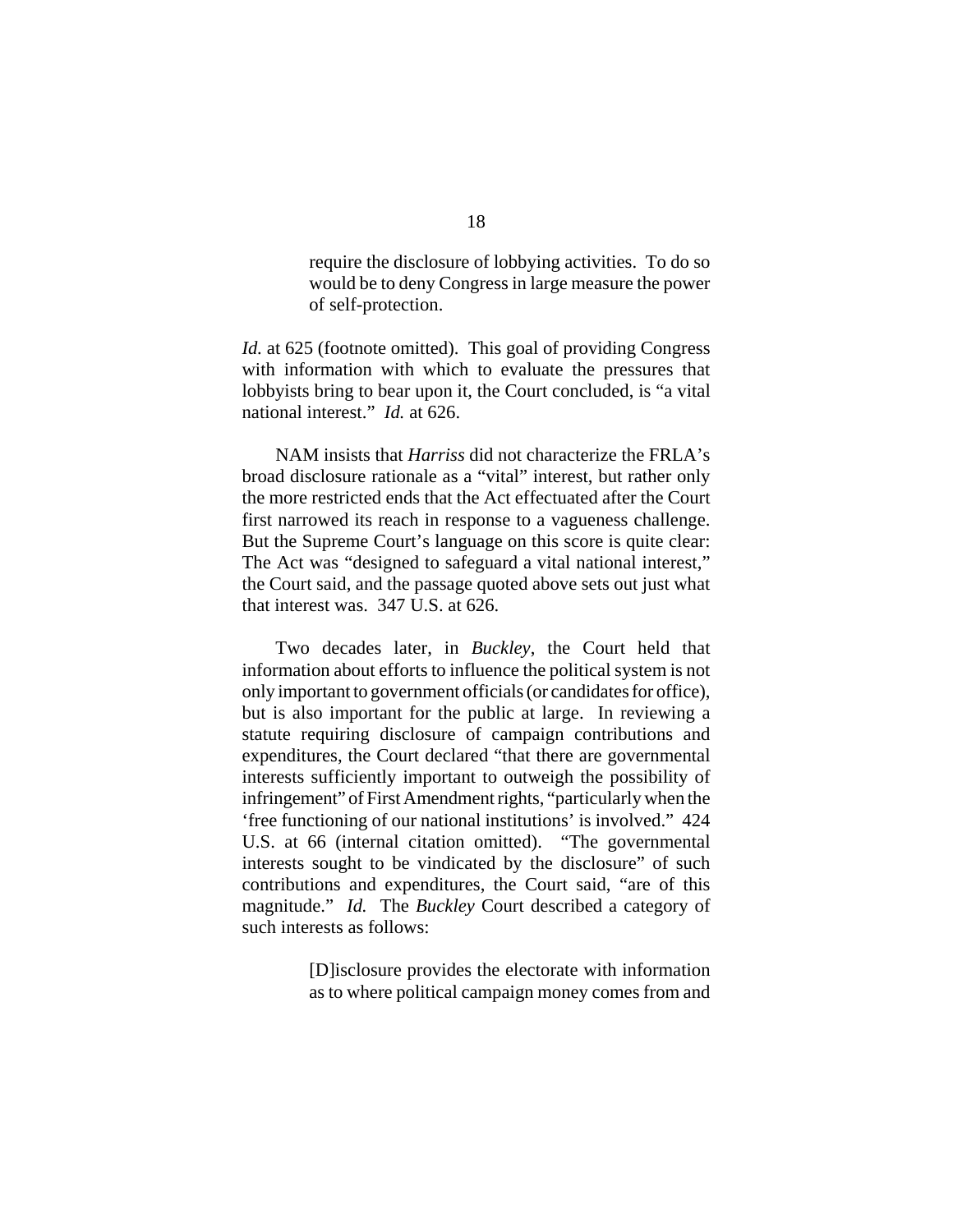require the disclosure of lobbying activities. To do so would be to deny Congress in large measure the power of self-protection.

*Id.* at 625 (footnote omitted). This goal of providing Congress with information with which to evaluate the pressures that lobbyists bring to bear upon it, the Court concluded, is "a vital national interest." *Id.* at 626.

NAM insists that *Harriss* did not characterize the FRLA's broad disclosure rationale as a "vital" interest, but rather only the more restricted ends that the Act effectuated after the Court first narrowed its reach in response to a vagueness challenge. But the Supreme Court's language on this score is quite clear: The Act was "designed to safeguard a vital national interest," the Court said, and the passage quoted above sets out just what that interest was. 347 U.S. at 626.

Two decades later, in *Buckley*, the Court held that information about efforts to influence the political system is not only important to government officials (or candidates for office), but is also important for the public at large. In reviewing a statute requiring disclosure of campaign contributions and expenditures, the Court declared "that there are governmental interests sufficiently important to outweigh the possibility of infringement" of First Amendment rights, "particularly when the 'free functioning of our national institutions' is involved." 424 U.S. at 66 (internal citation omitted). "The governmental interests sought to be vindicated by the disclosure" of such contributions and expenditures, the Court said, "are of this magnitude." *Id.* The *Buckley* Court described a category of such interests as follows:

> [D]isclosure provides the electorate with information as to where political campaign money comes from and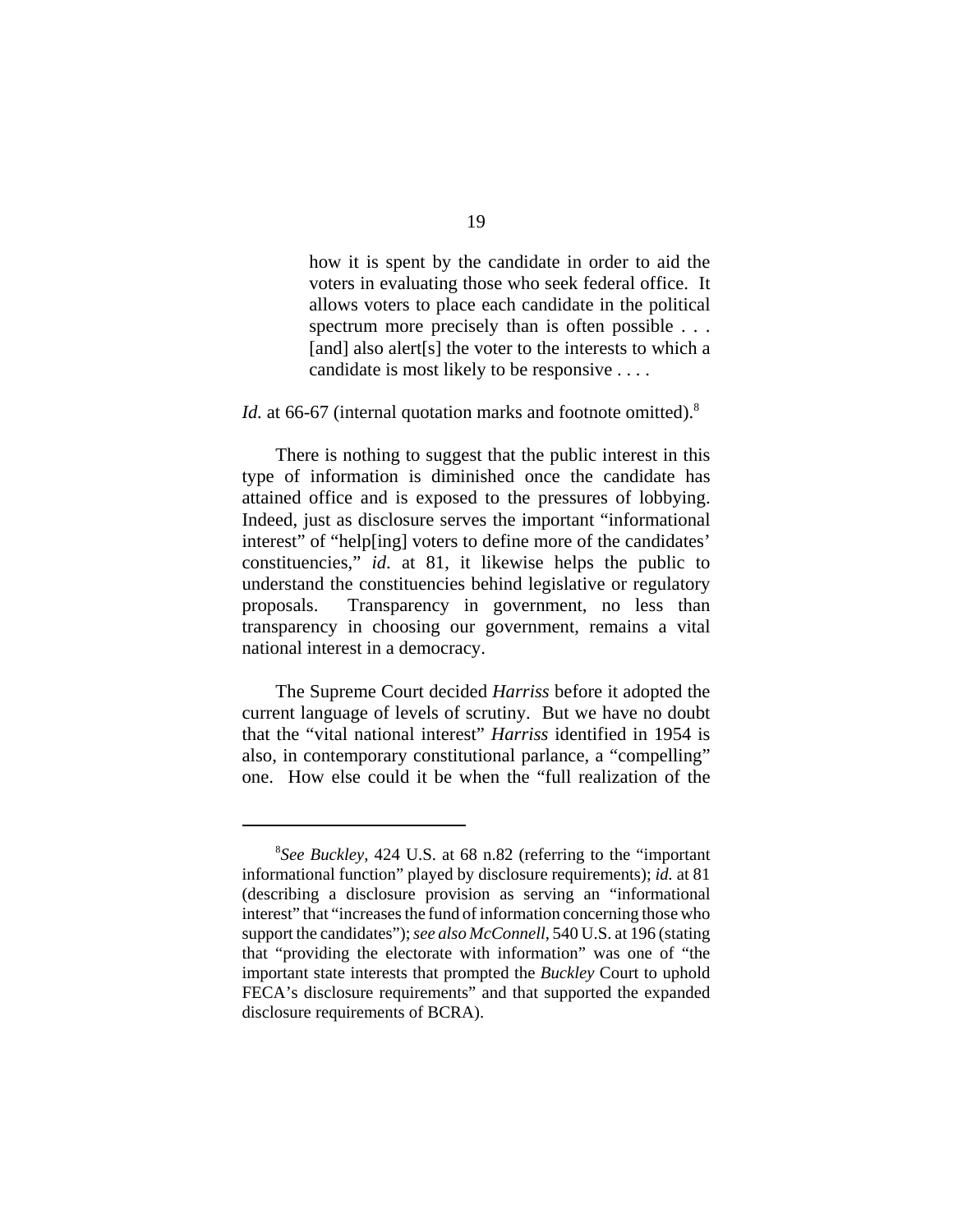how it is spent by the candidate in order to aid the voters in evaluating those who seek federal office. It allows voters to place each candidate in the political spectrum more precisely than is often possible . . . [and] also alert[s] the voter to the interests to which a candidate is most likely to be responsive . . . .

# *Id.* at 66-67 (internal quotation marks and footnote omitted).<sup>8</sup>

There is nothing to suggest that the public interest in this type of information is diminished once the candidate has attained office and is exposed to the pressures of lobbying. Indeed, just as disclosure serves the important "informational interest" of "help[ing] voters to define more of the candidates' constituencies," *id*. at 81, it likewise helps the public to understand the constituencies behind legislative or regulatory proposals. Transparency in government, no less than transparency in choosing our government, remains a vital national interest in a democracy.

The Supreme Court decided *Harriss* before it adopted the current language of levels of scrutiny. But we have no doubt that the "vital national interest" *Harriss* identified in 1954 is also, in contemporary constitutional parlance, a "compelling" one. How else could it be when the "full realization of the

<sup>8</sup> *See Buckley*, 424 U.S. at 68 n.82 (referring to the "important informational function" played by disclosure requirements); *id.* at 81 (describing a disclosure provision as serving an "informational interest" that "increases the fund of information concerning those who support the candidates"); *see also McConnell*, 540 U.S. at 196 (stating that "providing the electorate with information" was one of "the important state interests that prompted the *Buckley* Court to uphold FECA's disclosure requirements" and that supported the expanded disclosure requirements of BCRA).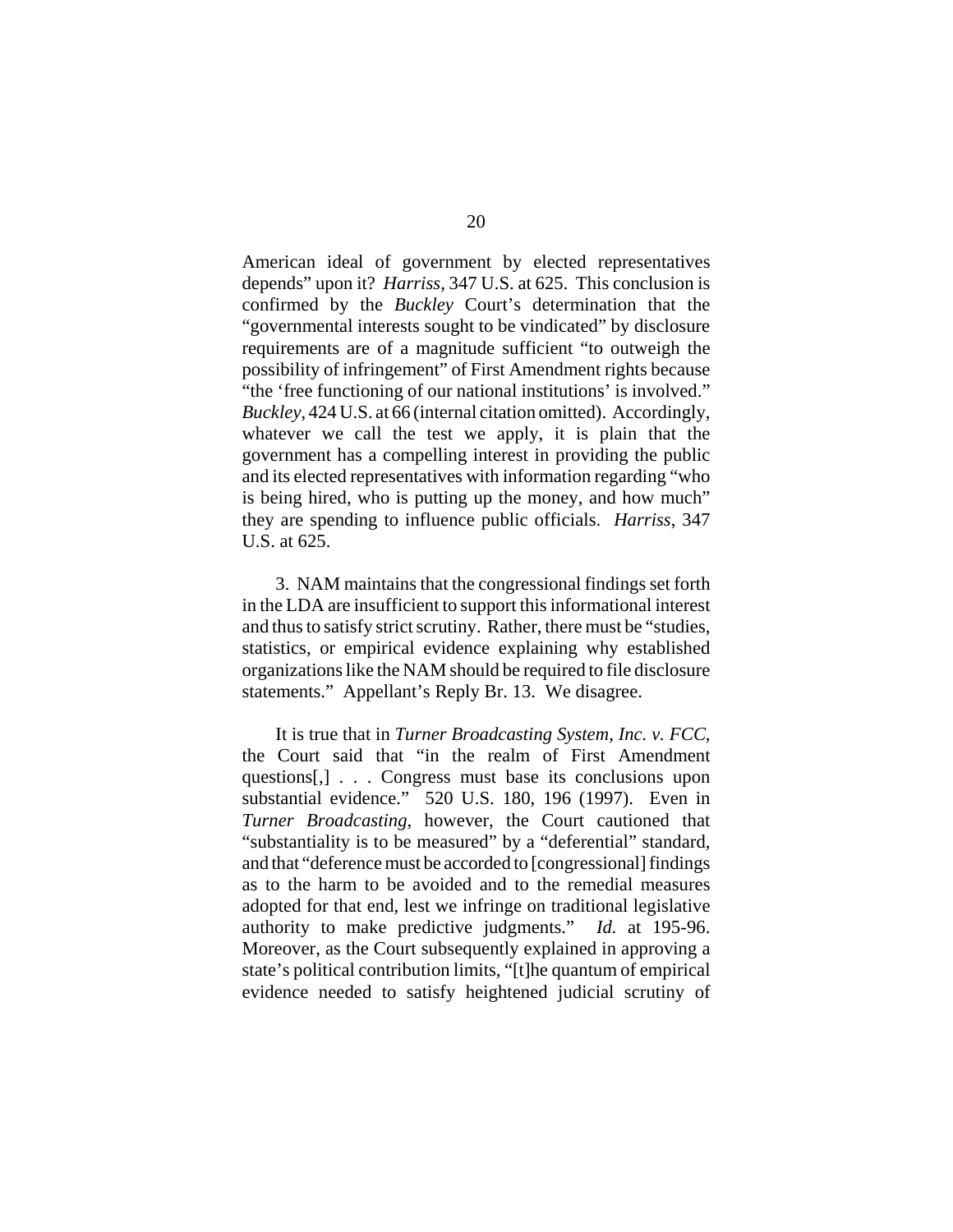American ideal of government by elected representatives depends" upon it? *Harriss*, 347 U.S. at 625. This conclusion is confirmed by the *Buckley* Court's determination that the "governmental interests sought to be vindicated" by disclosure requirements are of a magnitude sufficient "to outweigh the possibility of infringement" of First Amendment rights because "the 'free functioning of our national institutions' is involved." *Buckley*, 424 U.S. at 66 (internal citation omitted). Accordingly, whatever we call the test we apply, it is plain that the government has a compelling interest in providing the public and its elected representatives with information regarding "who is being hired, who is putting up the money, and how much" they are spending to influence public officials. *Harriss*, 347 U.S. at 625.

3. NAM maintains that the congressional findings set forth in the LDA are insufficient to support this informational interest and thus to satisfy strict scrutiny. Rather, there must be "studies, statistics, or empirical evidence explaining why established organizations like the NAM should be required to file disclosure statements." Appellant's Reply Br. 13. We disagree.

It is true that in *Turner Broadcasting System, Inc. v. FCC*, the Court said that "in the realm of First Amendment questions[,] . . . Congress must base its conclusions upon substantial evidence." 520 U.S. 180, 196 (1997). Even in *Turner Broadcasting*, however, the Court cautioned that "substantiality is to be measured" by a "deferential" standard, and that "deference must be accorded to [congressional] findings as to the harm to be avoided and to the remedial measures adopted for that end, lest we infringe on traditional legislative authority to make predictive judgments." *Id.* at 195-96. Moreover, as the Court subsequently explained in approving a state's political contribution limits, "[t]he quantum of empirical evidence needed to satisfy heightened judicial scrutiny of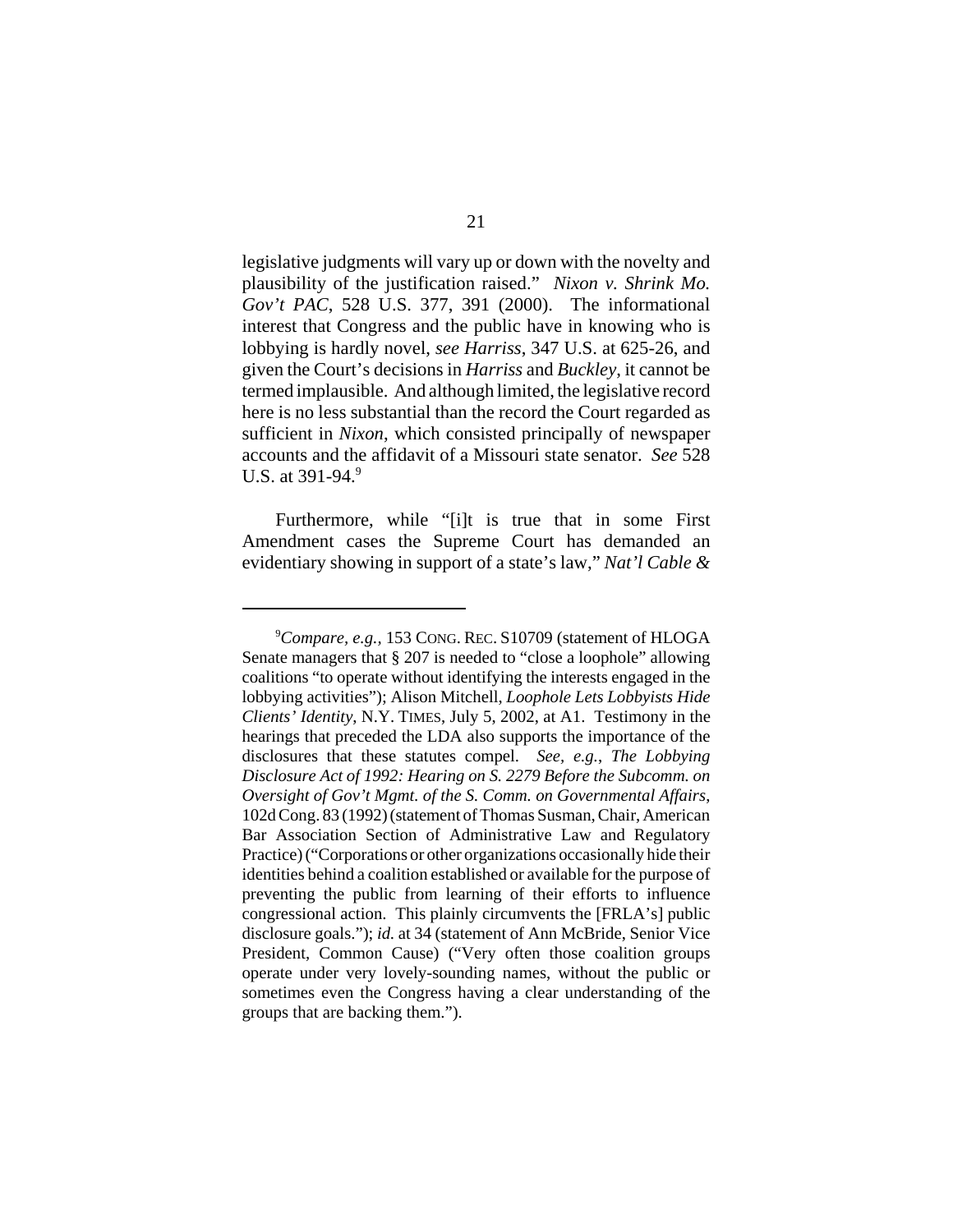legislative judgments will vary up or down with the novelty and plausibility of the justification raised." *Nixon v. Shrink Mo. Gov't PAC*, 528 U.S. 377, 391 (2000). The informational interest that Congress and the public have in knowing who is lobbying is hardly novel, *see Harriss*, 347 U.S. at 625-26, and given the Court's decisions in *Harriss* and *Buckley*, it cannot be termed implausible. And although limited, the legislative record here is no less substantial than the record the Court regarded as sufficient in *Nixon*, which consisted principally of newspaper accounts and the affidavit of a Missouri state senator. *See* 528 U.S. at  $391-94.9$ 

Furthermore, while "[i]t is true that in some First Amendment cases the Supreme Court has demanded an evidentiary showing in support of a state's law," *Nat'l Cable &*

<sup>9</sup> *Compare, e.g.,* 153 CONG. REC. S10709 (statement of HLOGA Senate managers that § 207 is needed to "close a loophole" allowing coalitions "to operate without identifying the interests engaged in the lobbying activities"); Alison Mitchell, *Loophole Lets Lobbyists Hide Clients' Identity*, N.Y. TIMES, July 5, 2002, at A1. Testimony in the hearings that preceded the LDA also supports the importance of the disclosures that these statutes compel. *See, e.g.*, *The Lobbying Disclosure Act of 1992: Hearing on S. 2279 Before the Subcomm. on Oversight of Gov't Mgmt. of the S. Comm. on Governmental Affairs*, 102d Cong. 83 (1992) (statement of Thomas Susman, Chair, American Bar Association Section of Administrative Law and Regulatory Practice) ("Corporations or other organizations occasionally hide their identities behind a coalition established or available for the purpose of preventing the public from learning of their efforts to influence congressional action. This plainly circumvents the [FRLA's] public disclosure goals."); *id.* at 34 (statement of Ann McBride, Senior Vice President, Common Cause) ("Very often those coalition groups operate under very lovely-sounding names, without the public or sometimes even the Congress having a clear understanding of the groups that are backing them.").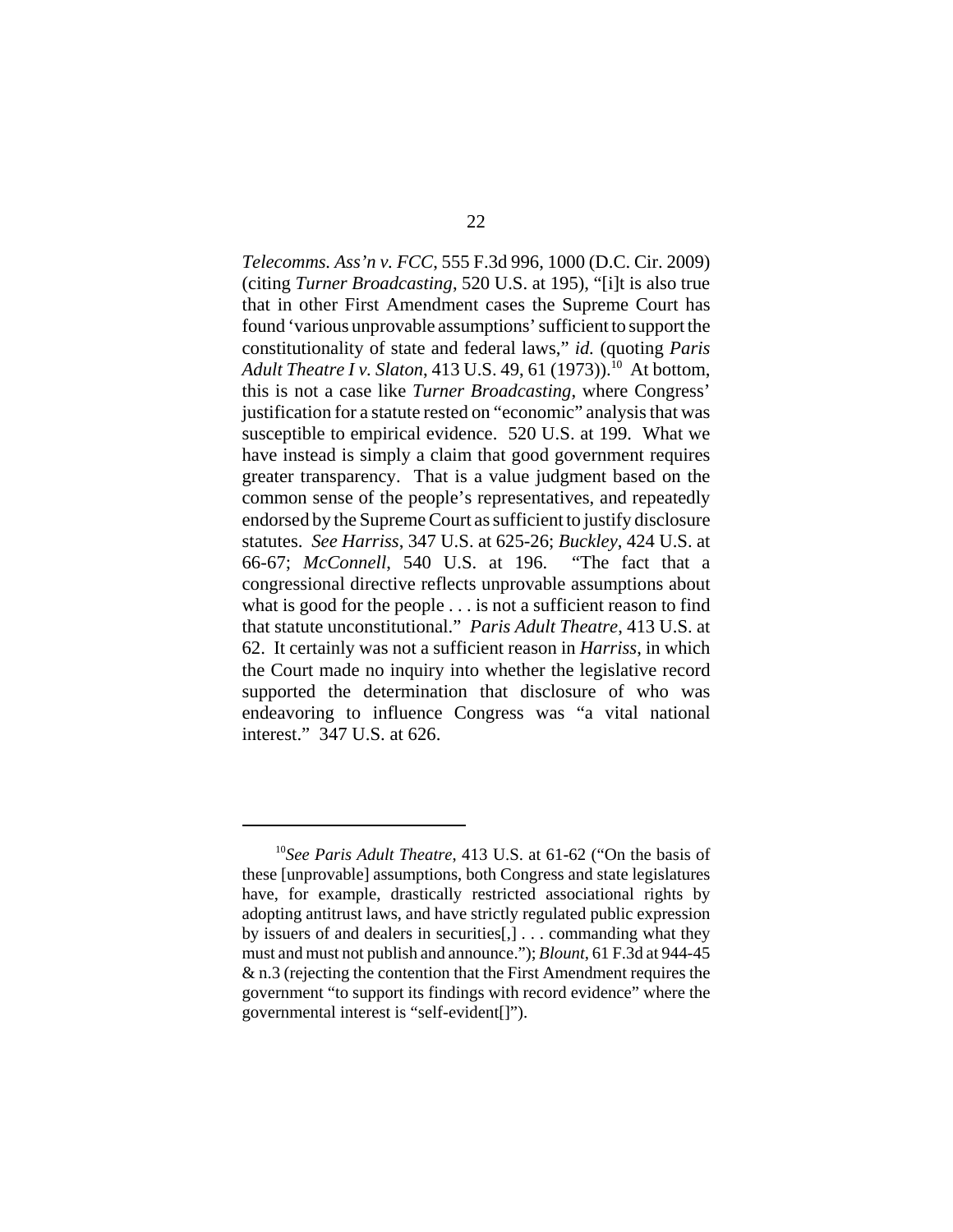*Telecomms. Ass'n v. FCC*, 555 F.3d 996, 1000 (D.C. Cir. 2009) (citing *Turner Broadcasting*, 520 U.S. at 195), "[i]t is also true that in other First Amendment cases the Supreme Court has found 'various unprovable assumptions' sufficient to support the constitutionality of state and federal laws," *id.* (quoting *Paris Adult Theatre I v. Slaton, 413 U.S. 49, 61 (1973)).*<sup>10</sup> At bottom, this is not a case like *Turner Broadcasting*, where Congress' justification for a statute rested on "economic" analysis that was susceptible to empirical evidence. 520 U.S. at 199. What we have instead is simply a claim that good government requires greater transparency. That is a value judgment based on the common sense of the people's representatives, and repeatedly endorsed by the Supreme Court as sufficient to justify disclosure statutes. *See Harriss*, 347 U.S. at 625-26; *Buckley*, 424 U.S. at 66-67; *McConnell*, 540 U.S. at 196. "The fact that a congressional directive reflects unprovable assumptions about what is good for the people . . . is not a sufficient reason to find that statute unconstitutional." *Paris Adult Theatre*, 413 U.S. at 62. It certainly was not a sufficient reason in *Harriss*, in which the Court made no inquiry into whether the legislative record supported the determination that disclosure of who was endeavoring to influence Congress was "a vital national interest." 347 U.S. at 626.

<sup>10</sup>*See Paris Adult Theatre*, 413 U.S. at 61-62 ("On the basis of these [unprovable] assumptions, both Congress and state legislatures have, for example, drastically restricted associational rights by adopting antitrust laws, and have strictly regulated public expression by issuers of and dealers in securities[,] . . . commanding what they must and must not publish and announce."); *Blount*, 61 F.3d at 944-45 & n.3 (rejecting the contention that the First Amendment requires the government "to support its findings with record evidence" where the governmental interest is "self-evident[]").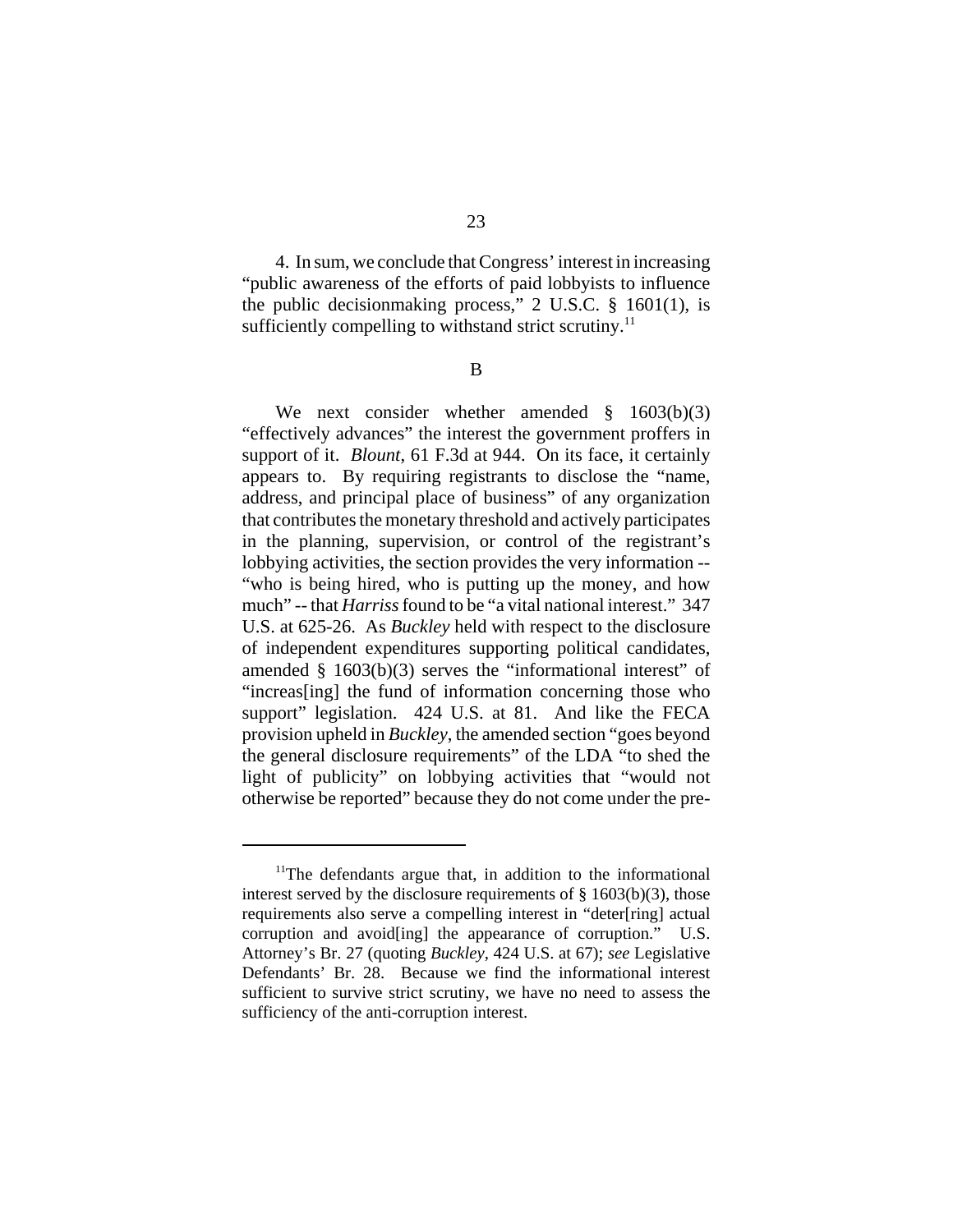4. In sum, we conclude that Congress' interest in increasing "public awareness of the efforts of paid lobbyists to influence the public decisionmaking process," 2 U.S.C. § 1601(1), is sufficiently compelling to withstand strict scrutiny. $^{11}$ 

B

We next consider whether amended § 1603(b)(3) "effectively advances" the interest the government proffers in support of it. *Blount*, 61 F.3d at 944. On its face, it certainly appears to. By requiring registrants to disclose the "name, address, and principal place of business" of any organization that contributes the monetary threshold and actively participates in the planning, supervision, or control of the registrant's lobbying activities, the section provides the very information -- "who is being hired, who is putting up the money, and how much" -- that *Harriss* found to be "a vital national interest." 347 U.S. at 625-26. As *Buckley* held with respect to the disclosure of independent expenditures supporting political candidates, amended  $§$  1603(b)(3) serves the "informational interest" of "increas[ing] the fund of information concerning those who support" legislation. 424 U.S. at 81. And like the FECA provision upheld in *Buckley*, the amended section "goes beyond the general disclosure requirements" of the LDA "to shed the light of publicity" on lobbying activities that "would not otherwise be reported" because they do not come under the pre-

<sup>&</sup>lt;sup>11</sup>The defendants argue that, in addition to the informational interest served by the disclosure requirements of  $\S$  1603(b)(3), those requirements also serve a compelling interest in "deter[ring] actual corruption and avoid [ing] the appearance of corruption." U.S. Attorney's Br. 27 (quoting *Buckley*, 424 U.S. at 67); *see* Legislative Defendants' Br. 28. Because we find the informational interest sufficient to survive strict scrutiny, we have no need to assess the sufficiency of the anti-corruption interest.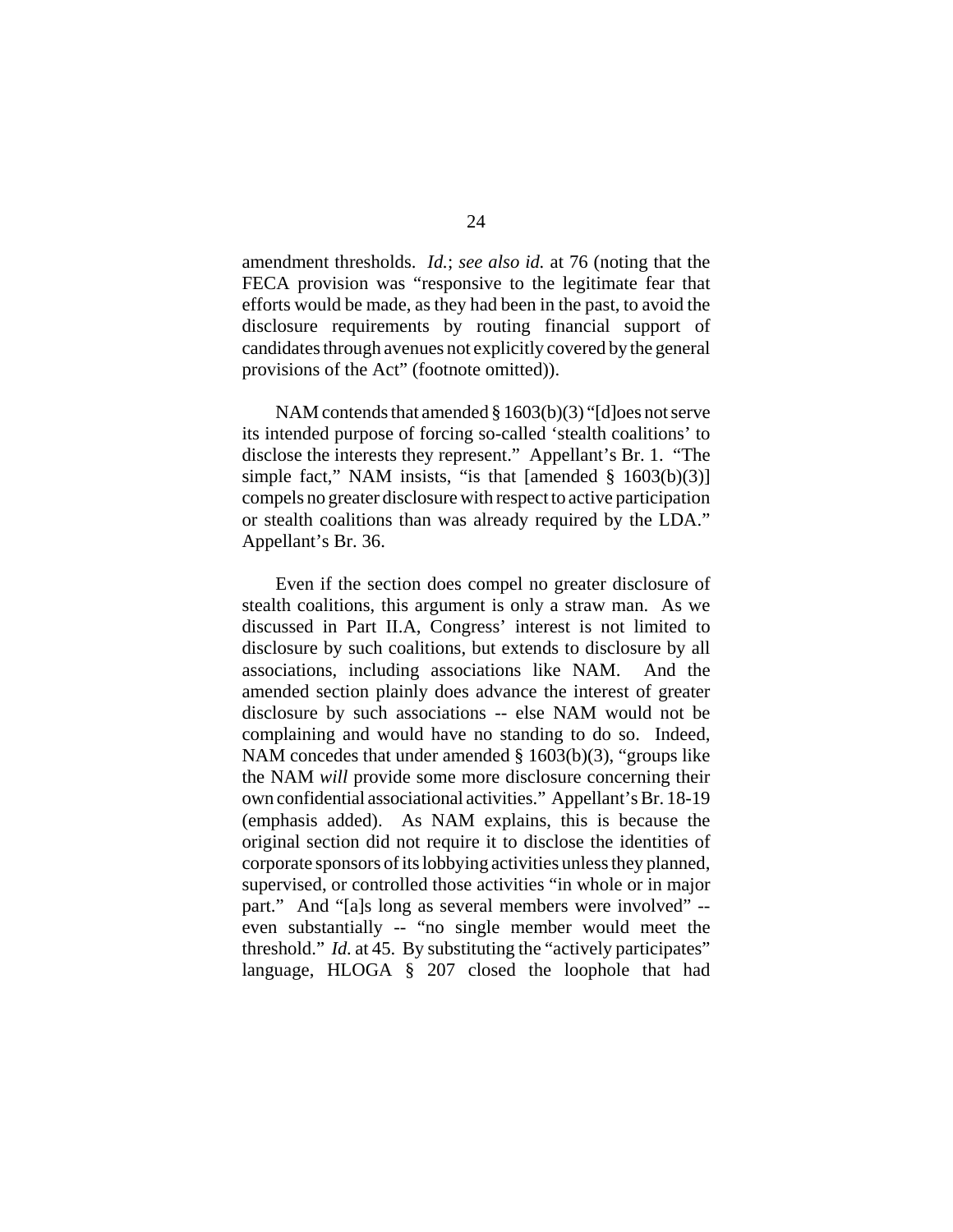amendment thresholds. *Id.*; *see also id.* at 76 (noting that the FECA provision was "responsive to the legitimate fear that efforts would be made, as they had been in the past, to avoid the disclosure requirements by routing financial support of candidates through avenues not explicitly covered by the general provisions of the Act" (footnote omitted)).

NAM contends that amended § 1603(b)(3) "[d]oes not serve its intended purpose of forcing so-called 'stealth coalitions' to disclose the interests they represent." Appellant's Br. 1. "The simple fact," NAM insists, "is that [amended  $\S$  1603(b)(3)] compels no greater disclosure with respect to active participation or stealth coalitions than was already required by the LDA." Appellant's Br. 36.

Even if the section does compel no greater disclosure of stealth coalitions, this argument is only a straw man. As we discussed in Part II.A, Congress' interest is not limited to disclosure by such coalitions, but extends to disclosure by all associations, including associations like NAM. And the amended section plainly does advance the interest of greater disclosure by such associations -- else NAM would not be complaining and would have no standing to do so. Indeed, NAM concedes that under amended § 1603(b)(3), "groups like the NAM *will* provide some more disclosure concerning their own confidential associational activities." Appellant's Br. 18-19 (emphasis added). As NAM explains, this is because the original section did not require it to disclose the identities of corporate sponsors of its lobbying activities unless they planned, supervised, or controlled those activities "in whole or in major part." And "[a]s long as several members were involved" - even substantially -- "no single member would meet the threshold." *Id.* at 45. By substituting the "actively participates" language, HLOGA § 207 closed the loophole that had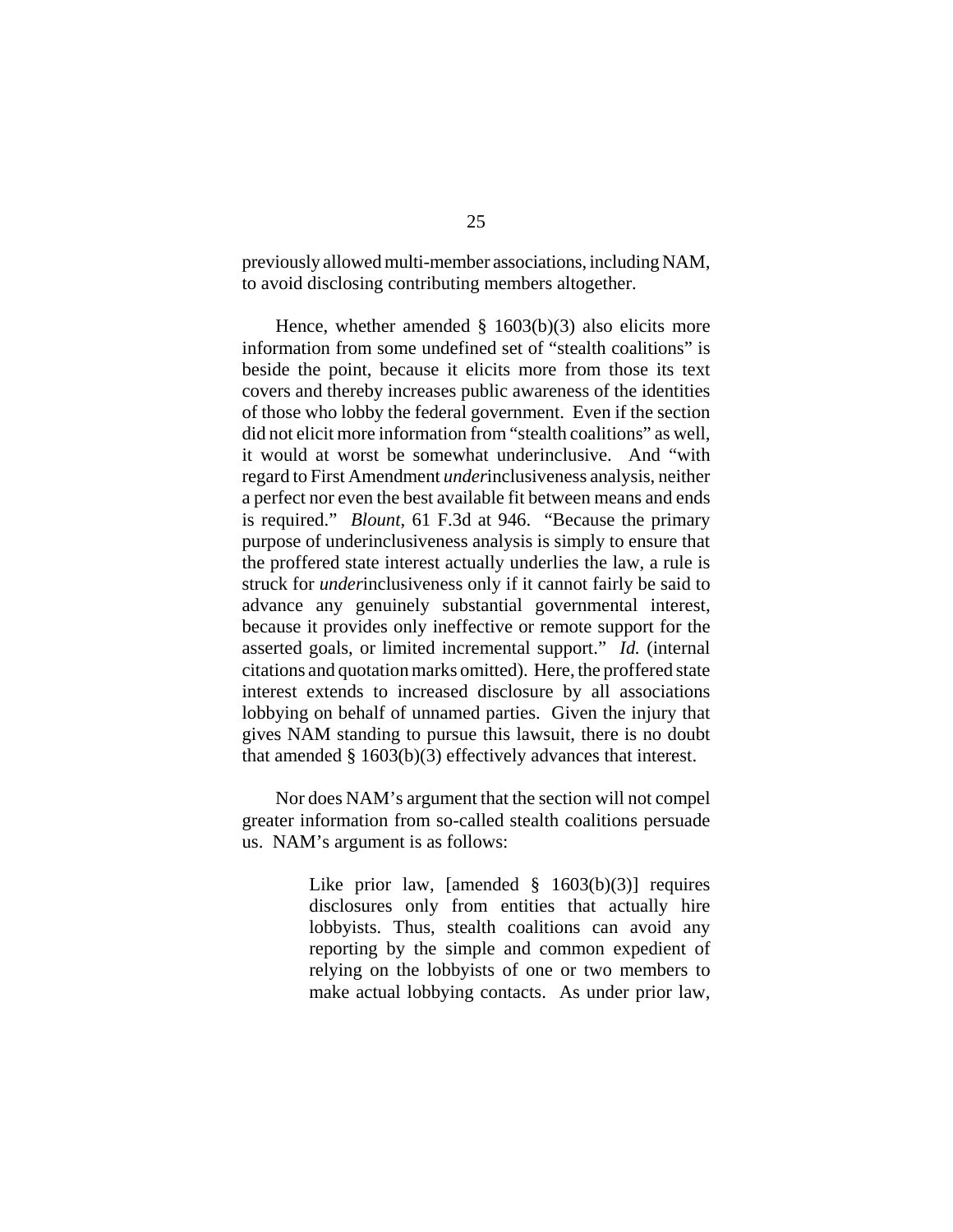previously allowed multi-member associations, including NAM, to avoid disclosing contributing members altogether.

Hence, whether amended  $\S$  1603(b)(3) also elicits more information from some undefined set of "stealth coalitions" is beside the point, because it elicits more from those its text covers and thereby increases public awareness of the identities of those who lobby the federal government. Even if the section did not elicit more information from "stealth coalitions" as well, it would at worst be somewhat underinclusive. And "with regard to First Amendment *under*inclusiveness analysis, neither a perfect nor even the best available fit between means and ends is required." *Blount*, 61 F.3d at 946. "Because the primary purpose of underinclusiveness analysis is simply to ensure that the proffered state interest actually underlies the law, a rule is struck for *under*inclusiveness only if it cannot fairly be said to advance any genuinely substantial governmental interest, because it provides only ineffective or remote support for the asserted goals, or limited incremental support." *Id.* (internal citations and quotation marks omitted). Here, the proffered state interest extends to increased disclosure by all associations lobbying on behalf of unnamed parties. Given the injury that gives NAM standing to pursue this lawsuit, there is no doubt that amended § 1603(b)(3) effectively advances that interest.

Nor does NAM's argument that the section will not compel greater information from so-called stealth coalitions persuade us. NAM's argument is as follows:

> Like prior law, [amended  $\S$  1603(b)(3)] requires disclosures only from entities that actually hire lobbyists. Thus, stealth coalitions can avoid any reporting by the simple and common expedient of relying on the lobbyists of one or two members to make actual lobbying contacts. As under prior law,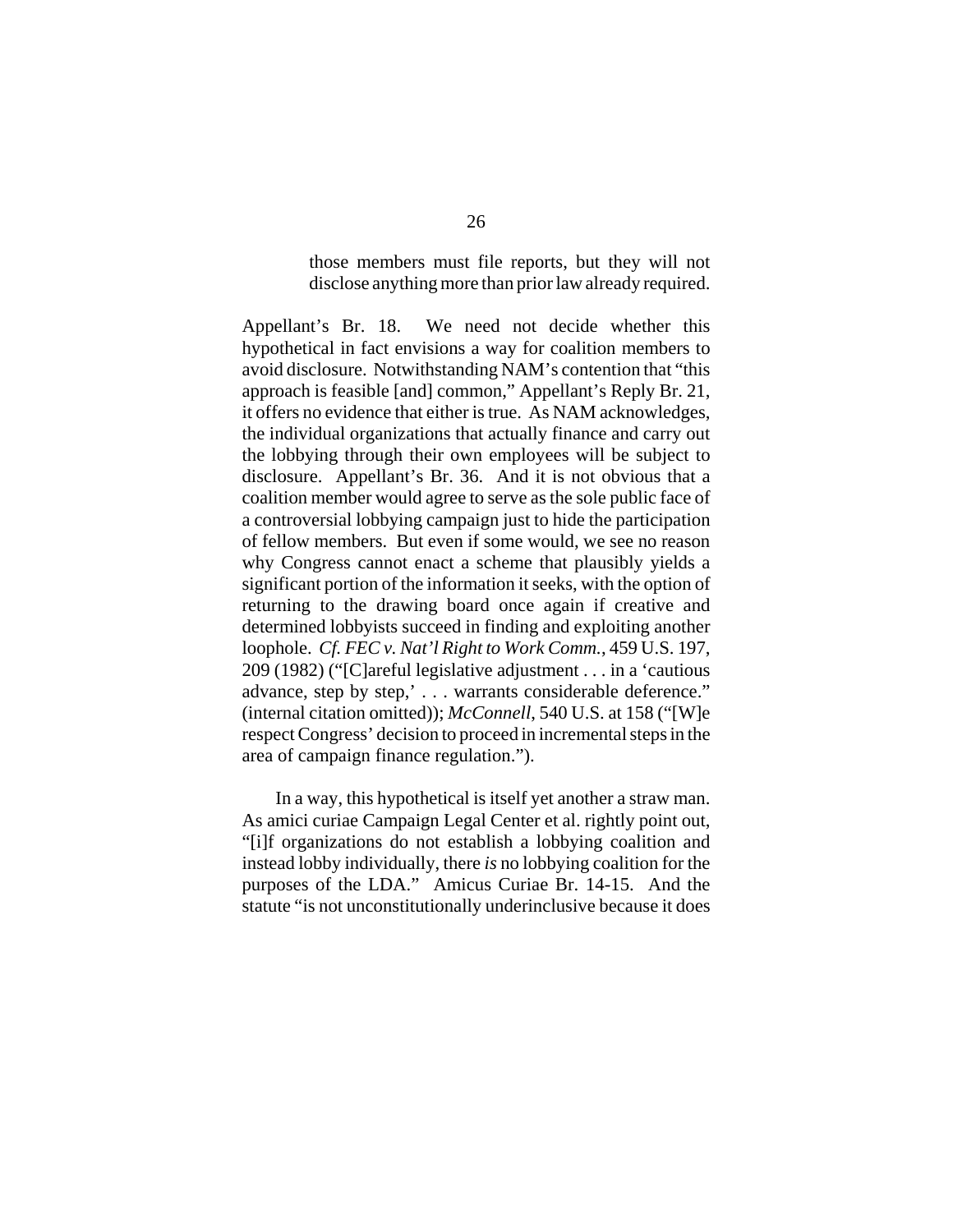those members must file reports, but they will not disclose anything more than prior law already required.

Appellant's Br. 18. We need not decide whether this hypothetical in fact envisions a way for coalition members to avoid disclosure. Notwithstanding NAM's contention that "this approach is feasible [and] common," Appellant's Reply Br. 21, it offers no evidence that either is true. As NAM acknowledges, the individual organizations that actually finance and carry out the lobbying through their own employees will be subject to disclosure. Appellant's Br. 36. And it is not obvious that a coalition member would agree to serve as the sole public face of a controversial lobbying campaign just to hide the participation of fellow members. But even if some would, we see no reason why Congress cannot enact a scheme that plausibly yields a significant portion of the information it seeks, with the option of returning to the drawing board once again if creative and determined lobbyists succeed in finding and exploiting another loophole. *Cf. FEC v. Nat'l Right to Work Comm.*, 459 U.S. 197, 209 (1982) ("[C]areful legislative adjustment . . . in a 'cautious advance, step by step,' . . . warrants considerable deference." (internal citation omitted)); *McConnell*, 540 U.S. at 158 ("[W]e respect Congress' decision to proceed in incremental steps in the area of campaign finance regulation.").

In a way, this hypothetical is itself yet another a straw man. As amici curiae Campaign Legal Center et al. rightly point out, "[i]f organizations do not establish a lobbying coalition and instead lobby individually, there *is* no lobbying coalition for the purposes of the LDA." Amicus Curiae Br. 14-15. And the statute "is not unconstitutionally underinclusive because it does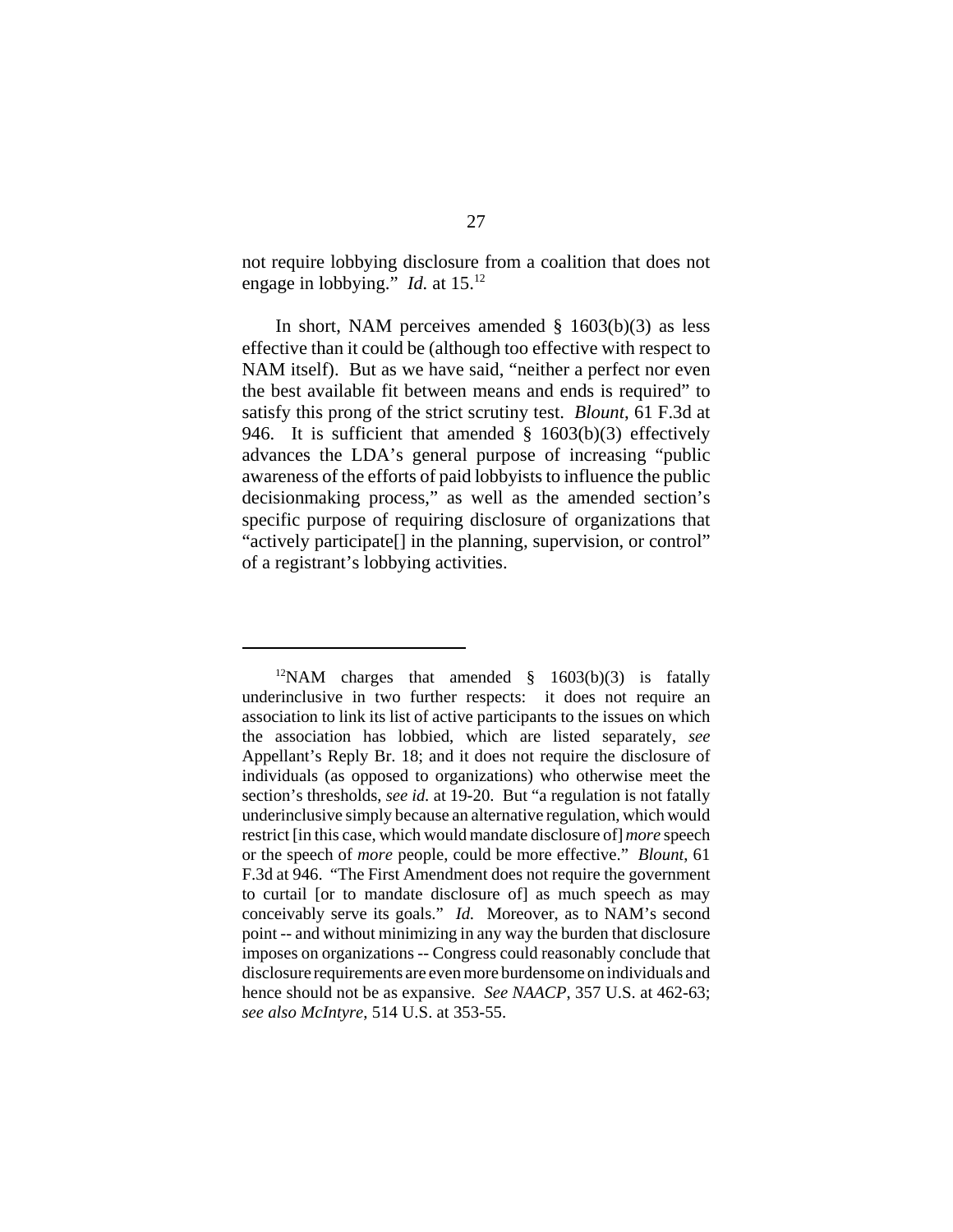not require lobbying disclosure from a coalition that does not engage in lobbying." *Id.* at 15.12

In short, NAM perceives amended § 1603(b)(3) as less effective than it could be (although too effective with respect to NAM itself). But as we have said, "neither a perfect nor even the best available fit between means and ends is required" to satisfy this prong of the strict scrutiny test. *Blount*, 61 F.3d at 946. It is sufficient that amended  $\S$  1603(b)(3) effectively advances the LDA's general purpose of increasing "public awareness of the efforts of paid lobbyists to influence the public decisionmaking process," as well as the amended section's specific purpose of requiring disclosure of organizations that "actively participate[] in the planning, supervision, or control" of a registrant's lobbying activities.

 $12NAM$  charges that amended § 1603(b)(3) is fatally underinclusive in two further respects: it does not require an association to link its list of active participants to the issues on which the association has lobbied, which are listed separately, *see* Appellant's Reply Br. 18; and it does not require the disclosure of individuals (as opposed to organizations) who otherwise meet the section's thresholds, *see id.* at 19-20. But "a regulation is not fatally underinclusive simply because an alternative regulation, which would restrict [in this case, which would mandate disclosure of] *more* speech or the speech of *more* people, could be more effective." *Blount*, 61 F.3d at 946. "The First Amendment does not require the government to curtail [or to mandate disclosure of] as much speech as may conceivably serve its goals." *Id.* Moreover, as to NAM's second point -- and without minimizing in any way the burden that disclosure imposes on organizations -- Congress could reasonably conclude that disclosure requirements are even more burdensome on individuals and hence should not be as expansive. *See NAACP*, 357 U.S. at 462-63; *see also McIntyre*, 514 U.S. at 353-55.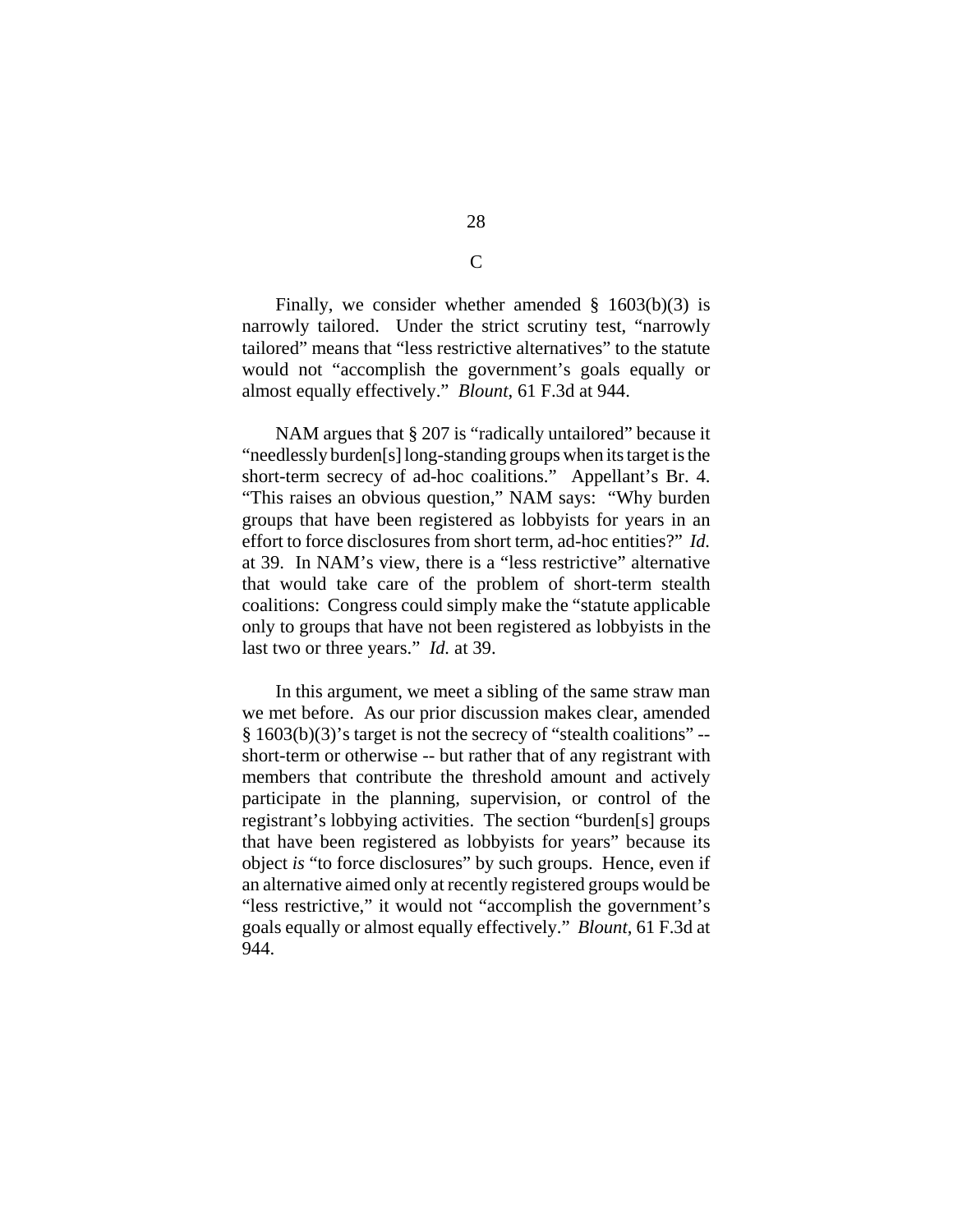Finally, we consider whether amended  $\S$  1603(b)(3) is narrowly tailored. Under the strict scrutiny test, "narrowly tailored" means that "less restrictive alternatives" to the statute would not "accomplish the government's goals equally or almost equally effectively." *Blount*, 61 F.3d at 944.

NAM argues that § 207 is "radically untailored" because it "needlessly burden[s] long-standing groups when its target is the short-term secrecy of ad-hoc coalitions." Appellant's Br. 4. "This raises an obvious question," NAM says: "Why burden groups that have been registered as lobbyists for years in an effort to force disclosures from short term, ad-hoc entities?" *Id.* at 39. In NAM's view, there is a "less restrictive" alternative that would take care of the problem of short-term stealth coalitions: Congress could simply make the "statute applicable only to groups that have not been registered as lobbyists in the last two or three years." *Id.* at 39.

In this argument, we meet a sibling of the same straw man we met before. As our prior discussion makes clear, amended § 1603(b)(3)'s target is not the secrecy of "stealth coalitions" - short-term or otherwise -- but rather that of any registrant with members that contribute the threshold amount and actively participate in the planning, supervision, or control of the registrant's lobbying activities. The section "burden[s] groups that have been registered as lobbyists for years" because its object *is* "to force disclosures" by such groups. Hence, even if an alternative aimed only at recently registered groups would be "less restrictive," it would not "accomplish the government's goals equally or almost equally effectively." *Blount*, 61 F.3d at 944.

 $\overline{C}$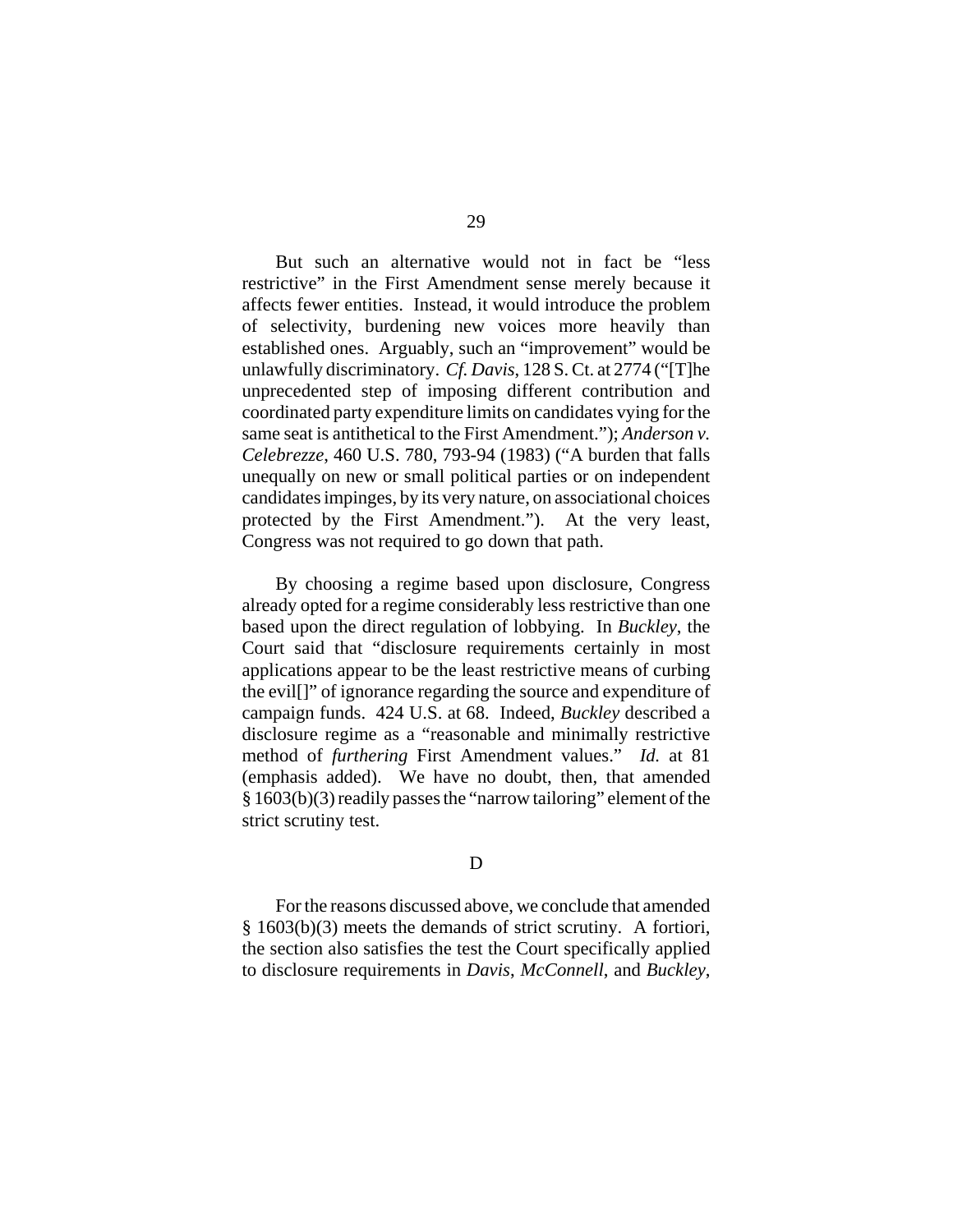But such an alternative would not in fact be "less restrictive" in the First Amendment sense merely because it affects fewer entities. Instead, it would introduce the problem of selectivity, burdening new voices more heavily than established ones. Arguably, such an "improvement" would be unlawfully discriminatory. *Cf. Davis*, 128 S. Ct. at 2774 ("[T]he unprecedented step of imposing different contribution and coordinated party expenditure limits on candidates vying for the same seat is antithetical to the First Amendment."); *Anderson v. Celebrezze*, 460 U.S. 780, 793-94 (1983) ("A burden that falls unequally on new or small political parties or on independent candidates impinges, by its very nature, on associational choices protected by the First Amendment."). At the very least, Congress was not required to go down that path.

By choosing a regime based upon disclosure, Congress already opted for a regime considerably less restrictive than one based upon the direct regulation of lobbying. In *Buckley*, the Court said that "disclosure requirements certainly in most applications appear to be the least restrictive means of curbing the evil[]" of ignorance regarding the source and expenditure of campaign funds. 424 U.S. at 68. Indeed, *Buckley* described a disclosure regime as a "reasonable and minimally restrictive method of *furthering* First Amendment values." *Id.* at 81 (emphasis added). We have no doubt, then, that amended § 1603(b)(3) readily passes the "narrow tailoring" element of the strict scrutiny test.

#### D

For the reasons discussed above, we conclude that amended § 1603(b)(3) meets the demands of strict scrutiny. A fortiori, the section also satisfies the test the Court specifically applied to disclosure requirements in *Davis*, *McConnell*, and *Buckley*,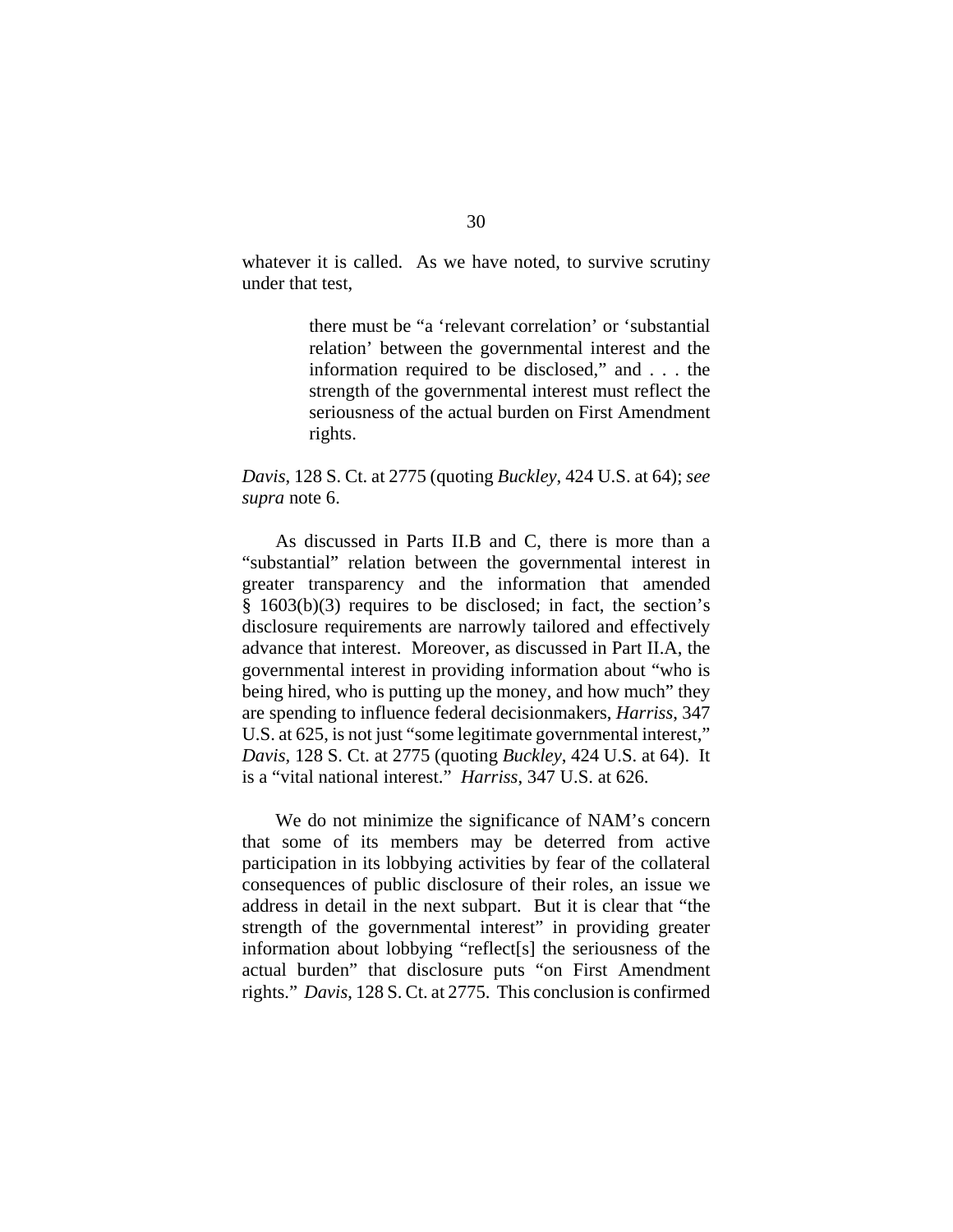whatever it is called. As we have noted, to survive scrutiny under that test,

> there must be "a 'relevant correlation' or 'substantial relation' between the governmental interest and the information required to be disclosed," and . . . the strength of the governmental interest must reflect the seriousness of the actual burden on First Amendment rights.

# *Davis*, 128 S. Ct. at 2775 (quoting *Buckley*, 424 U.S. at 64); *see supra* note 6.

As discussed in Parts II.B and C, there is more than a "substantial" relation between the governmental interest in greater transparency and the information that amended § 1603(b)(3) requires to be disclosed; in fact, the section's disclosure requirements are narrowly tailored and effectively advance that interest. Moreover, as discussed in Part II.A, the governmental interest in providing information about "who is being hired, who is putting up the money, and how much" they are spending to influence federal decisionmakers, *Harriss*, 347 U.S. at 625, is not just "some legitimate governmental interest," *Davis*, 128 S. Ct. at 2775 (quoting *Buckley*, 424 U.S. at 64). It is a "vital national interest." *Harriss*, 347 U.S. at 626.

We do not minimize the significance of NAM's concern that some of its members may be deterred from active participation in its lobbying activities by fear of the collateral consequences of public disclosure of their roles, an issue we address in detail in the next subpart. But it is clear that "the strength of the governmental interest" in providing greater information about lobbying "reflect[s] the seriousness of the actual burden" that disclosure puts "on First Amendment rights." *Davis*, 128 S. Ct. at 2775. This conclusion is confirmed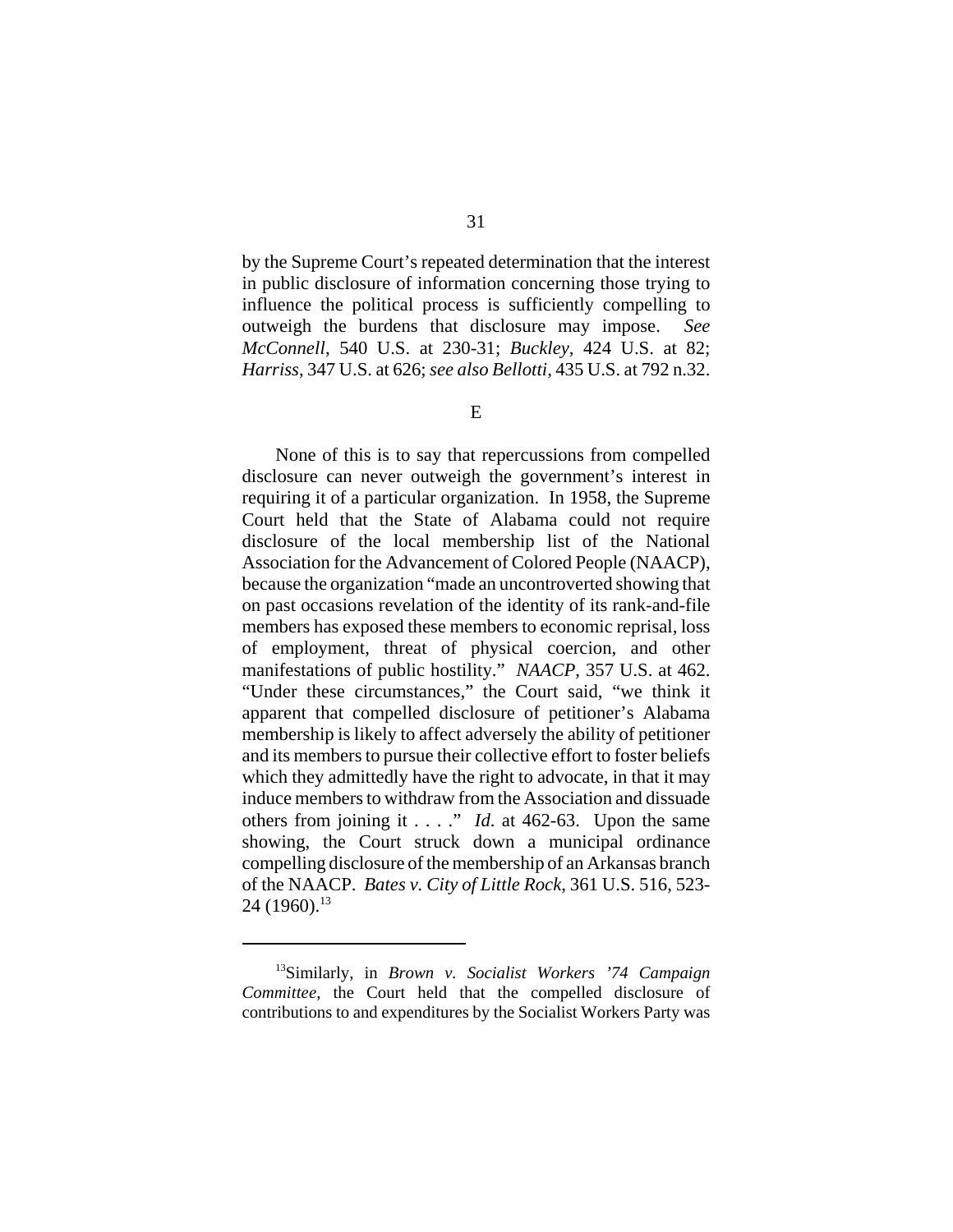by the Supreme Court's repeated determination that the interest in public disclosure of information concerning those trying to influence the political process is sufficiently compelling to outweigh the burdens that disclosure may impose. *See McConnell*, 540 U.S. at 230-31; *Buckley*, 424 U.S. at 82; *Harriss*, 347 U.S. at 626; *see also Bellotti*, 435 U.S. at 792 n.32.

E

None of this is to say that repercussions from compelled disclosure can never outweigh the government's interest in requiring it of a particular organization. In 1958, the Supreme Court held that the State of Alabama could not require disclosure of the local membership list of the National Association for the Advancement of Colored People (NAACP), because the organization "made an uncontroverted showing that on past occasions revelation of the identity of its rank-and-file members has exposed these members to economic reprisal, loss of employment, threat of physical coercion, and other manifestations of public hostility." *NAACP*, 357 U.S. at 462. "Under these circumstances," the Court said, "we think it apparent that compelled disclosure of petitioner's Alabama membership is likely to affect adversely the ability of petitioner and its members to pursue their collective effort to foster beliefs which they admittedly have the right to advocate, in that it may induce members to withdraw from the Association and dissuade others from joining it . . . ." *Id*. at 462-63. Upon the same showing, the Court struck down a municipal ordinance compelling disclosure of the membership of an Arkansas branch of the NAACP. *Bates v. City of Little Rock*, 361 U.S. 516, 523- 24 (1960).<sup>13</sup>

<sup>13</sup>Similarly, in *Brown v. Socialist Workers '74 Campaign Committee*, the Court held that the compelled disclosure of contributions to and expenditures by the Socialist Workers Party was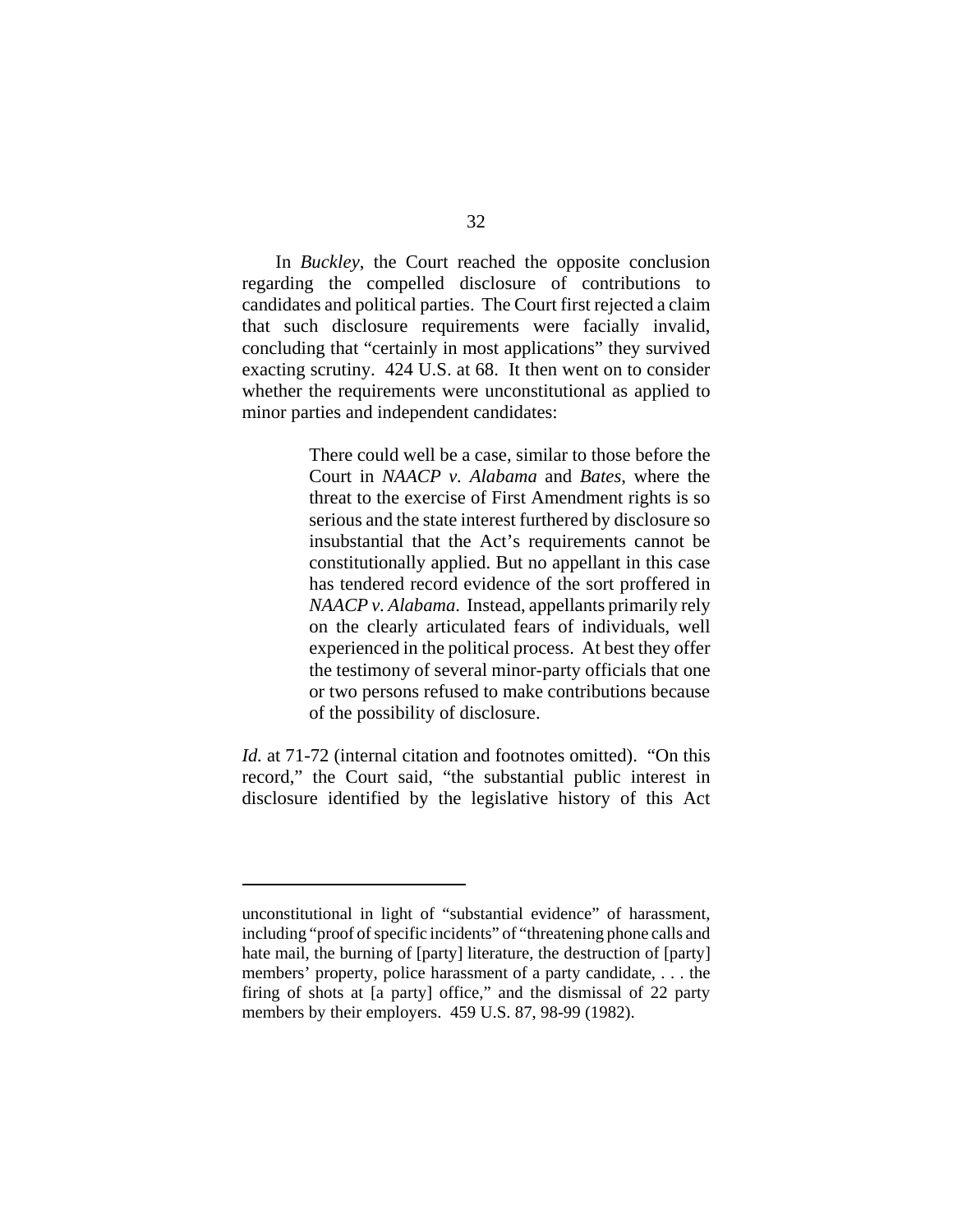In *Buckley*, the Court reached the opposite conclusion regarding the compelled disclosure of contributions to candidates and political parties. The Court first rejected a claim that such disclosure requirements were facially invalid, concluding that "certainly in most applications" they survived exacting scrutiny. 424 U.S. at 68. It then went on to consider whether the requirements were unconstitutional as applied to minor parties and independent candidates:

> There could well be a case, similar to those before the Court in *NAACP v. Alabama* and *Bates*, where the threat to the exercise of First Amendment rights is so serious and the state interest furthered by disclosure so insubstantial that the Act's requirements cannot be constitutionally applied. But no appellant in this case has tendered record evidence of the sort proffered in *NAACP v. Alabama*. Instead, appellants primarily rely on the clearly articulated fears of individuals, well experienced in the political process. At best they offer the testimony of several minor-party officials that one or two persons refused to make contributions because of the possibility of disclosure.

*Id.* at 71-72 (internal citation and footnotes omitted). "On this record," the Court said, "the substantial public interest in disclosure identified by the legislative history of this Act

unconstitutional in light of "substantial evidence" of harassment, including "proof of specific incidents" of "threatening phone calls and hate mail, the burning of [party] literature, the destruction of [party] members' property, police harassment of a party candidate, . . . the firing of shots at [a party] office," and the dismissal of 22 party members by their employers. 459 U.S. 87, 98-99 (1982).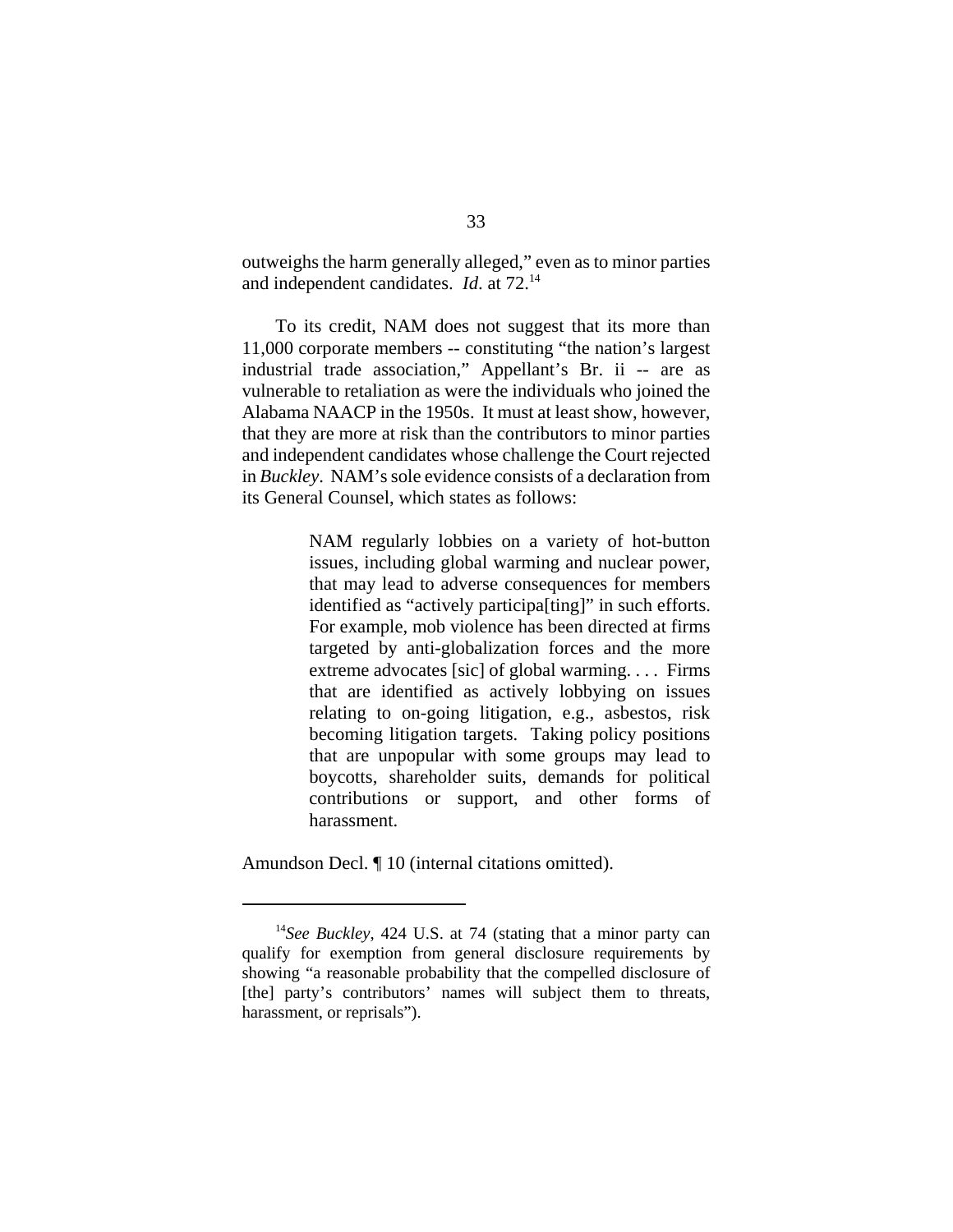outweighs the harm generally alleged," even as to minor parties and independent candidates. *Id*. at 72.14

To its credit, NAM does not suggest that its more than 11,000 corporate members -- constituting "the nation's largest industrial trade association," Appellant's Br. ii -- are as vulnerable to retaliation as were the individuals who joined the Alabama NAACP in the 1950s. It must at least show, however, that they are more at risk than the contributors to minor parties and independent candidates whose challenge the Court rejected in *Buckley*. NAM's sole evidence consists of a declaration from its General Counsel, which states as follows:

> NAM regularly lobbies on a variety of hot-button issues, including global warming and nuclear power, that may lead to adverse consequences for members identified as "actively participa[ting]" in such efforts. For example, mob violence has been directed at firms targeted by anti-globalization forces and the more extreme advocates [sic] of global warming. . . . Firms that are identified as actively lobbying on issues relating to on-going litigation, e.g., asbestos, risk becoming litigation targets. Taking policy positions that are unpopular with some groups may lead to boycotts, shareholder suits, demands for political contributions or support, and other forms of harassment.

Amundson Decl.  $\P$  10 (internal citations omitted).

<sup>14</sup>*See Buckley*, 424 U.S. at 74 (stating that a minor party can qualify for exemption from general disclosure requirements by showing "a reasonable probability that the compelled disclosure of [the] party's contributors' names will subject them to threats, harassment, or reprisals").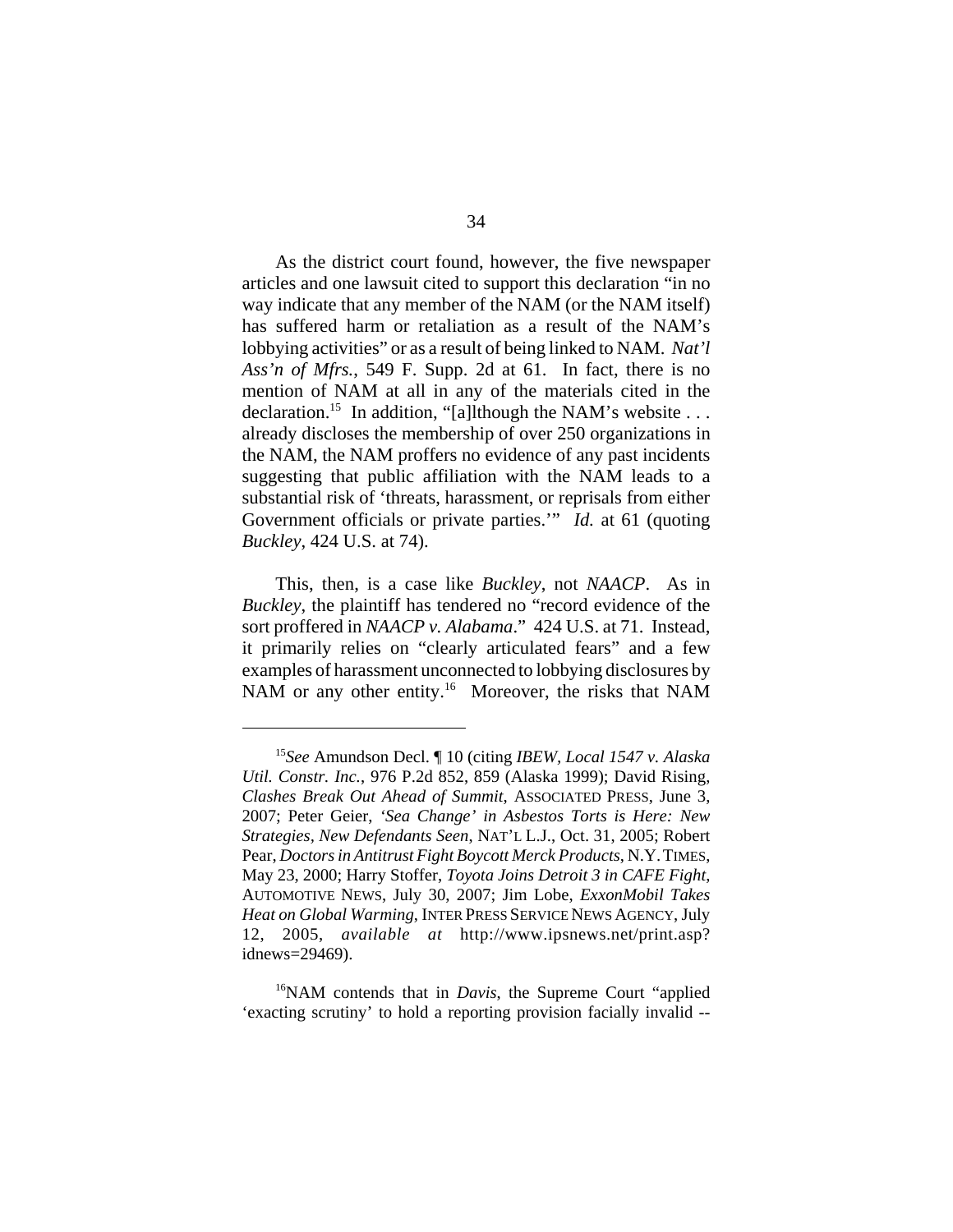As the district court found, however, the five newspaper articles and one lawsuit cited to support this declaration "in no way indicate that any member of the NAM (or the NAM itself) has suffered harm or retaliation as a result of the NAM's lobbying activities" or as a result of being linked to NAM. *Nat'l Ass'n of Mfrs.*, 549 F. Supp. 2d at 61. In fact, there is no mention of NAM at all in any of the materials cited in the declaration.<sup>15</sup> In addition, "[a]lthough the NAM's website ... already discloses the membership of over 250 organizations in the NAM, the NAM proffers no evidence of any past incidents suggesting that public affiliation with the NAM leads to a substantial risk of 'threats, harassment, or reprisals from either Government officials or private parties.'" *Id.* at 61 (quoting *Buckley*, 424 U.S. at 74).

This, then, is a case like *Buckley*, not *NAACP*. As in *Buckley*, the plaintiff has tendered no "record evidence of the sort proffered in *NAACP v. Alabama*." 424 U.S. at 71. Instead, it primarily relies on "clearly articulated fears" and a few examples of harassment unconnected to lobbying disclosures by NAM or any other entity.<sup>16</sup> Moreover, the risks that NAM

<sup>15</sup>*See* Amundson Decl. ¶ 10 (citing *IBEW, Local 1547 v. Alaska Util. Constr. Inc.*, 976 P.2d 852, 859 (Alaska 1999); David Rising, *Clashes Break Out Ahead of Summit*, ASSOCIATED PRESS, June 3, 2007; Peter Geier, *'Sea Change' in Asbestos Torts is Here: New Strategies, New Defendants Seen*, NAT'L L.J., Oct. 31, 2005; Robert Pear, *Doctors in Antitrust Fight Boycott Merck Products*, N.Y.TIMES, May 23, 2000; Harry Stoffer, *Toyota Joins Detroit 3 in CAFE Fight*, AUTOMOTIVE NEWS, July 30, 2007; Jim Lobe, *ExxonMobil Takes Heat on Global Warming*, INTER PRESS SERVICE NEWS AGENCY, July 12, 2005, *available at* http://www.ipsnews.net/print.asp? idnews=29469).

<sup>&</sup>lt;sup>16</sup>NAM contends that in *Davis*, the Supreme Court "applied" 'exacting scrutiny' to hold a reporting provision facially invalid --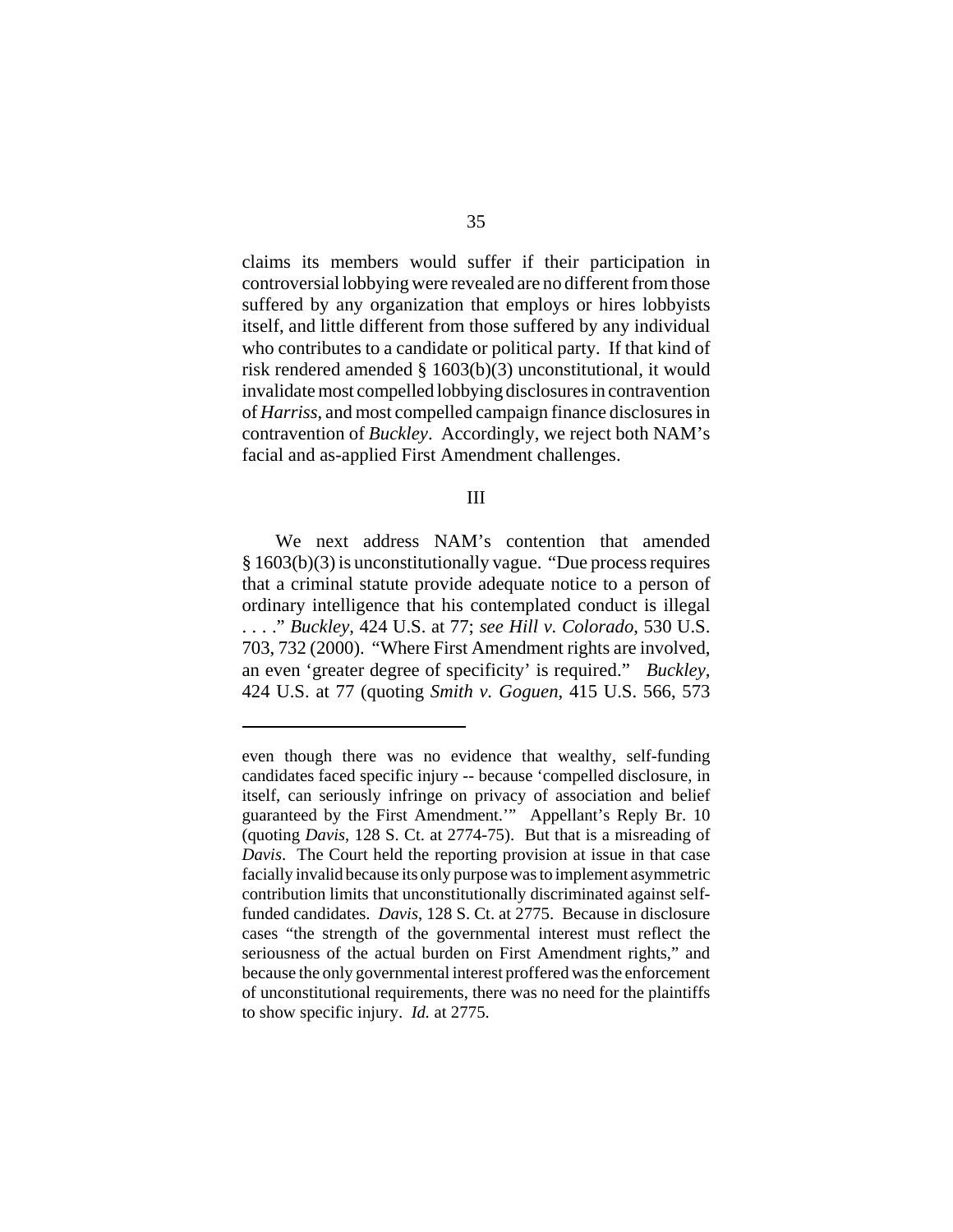claims its members would suffer if their participation in controversial lobbying were revealed are no different from those suffered by any organization that employs or hires lobbyists itself, and little different from those suffered by any individual who contributes to a candidate or political party. If that kind of risk rendered amended § 1603(b)(3) unconstitutional, it would invalidate most compelled lobbying disclosures in contravention of *Harriss*, and most compelled campaign finance disclosures in contravention of *Buckley*. Accordingly, we reject both NAM's facial and as-applied First Amendment challenges.

#### III

We next address NAM's contention that amended § 1603(b)(3) is unconstitutionally vague. "Due process requires that a criminal statute provide adequate notice to a person of ordinary intelligence that his contemplated conduct is illegal . . . ." *Buckley*, 424 U.S. at 77; *see Hill v. Colorado*, 530 U.S. 703, 732 (2000). "Where First Amendment rights are involved, an even 'greater degree of specificity' is required." *Buckley*, 424 U.S. at 77 (quoting *Smith v. Goguen*, 415 U.S. 566, 573

even though there was no evidence that wealthy, self-funding candidates faced specific injury -- because 'compelled disclosure, in itself, can seriously infringe on privacy of association and belief guaranteed by the First Amendment.'" Appellant's Reply Br. 10 (quoting *Davis*, 128 S. Ct. at 2774-75). But that is a misreading of *Davis*. The Court held the reporting provision at issue in that case facially invalid because its only purpose was to implement asymmetric contribution limits that unconstitutionally discriminated against selffunded candidates. *Davis*, 128 S. Ct. at 2775. Because in disclosure cases "the strength of the governmental interest must reflect the seriousness of the actual burden on First Amendment rights," and because the only governmental interest proffered was the enforcement of unconstitutional requirements, there was no need for the plaintiffs to show specific injury. *Id.* at 2775.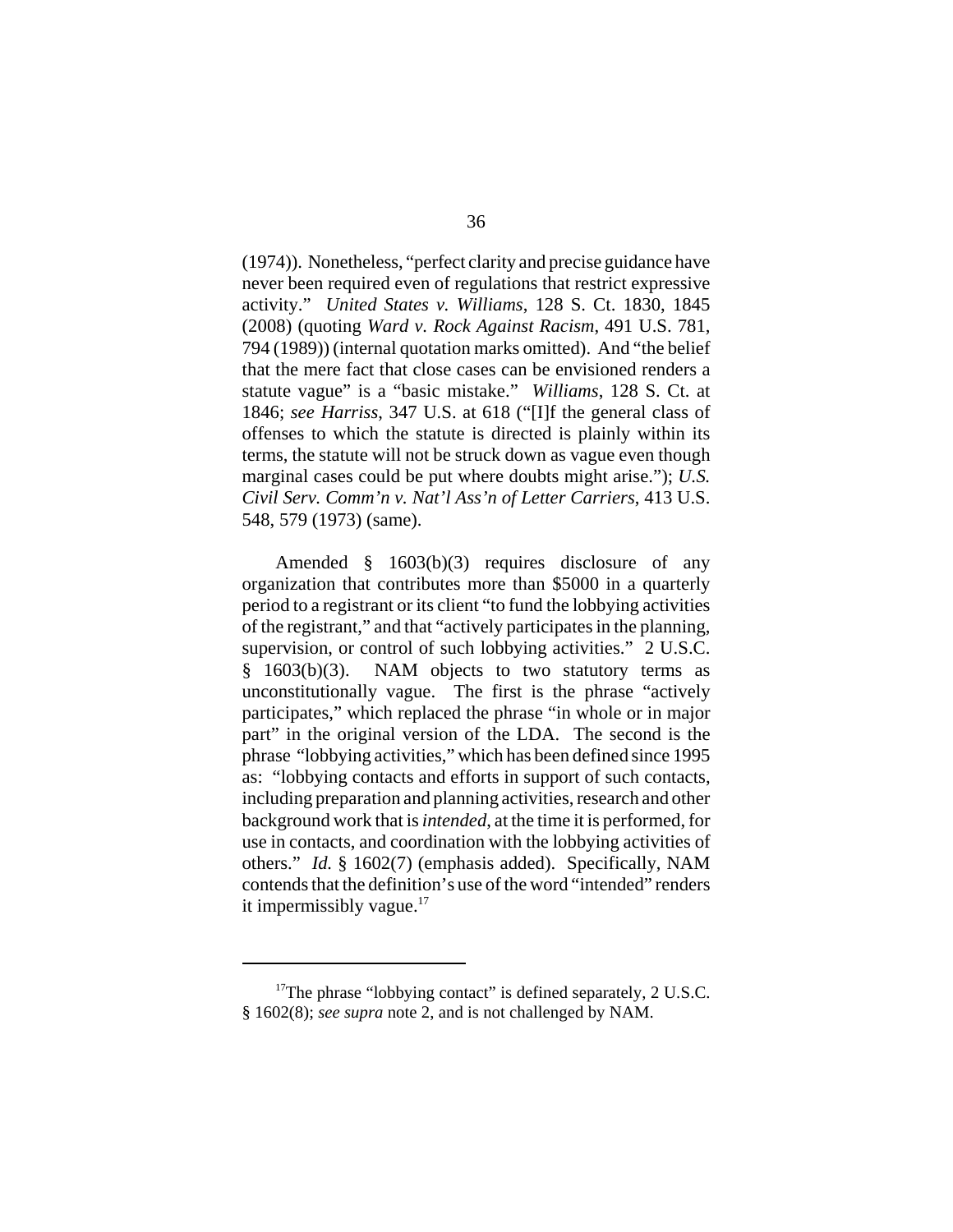(1974)). Nonetheless, "perfect clarity and precise guidance have never been required even of regulations that restrict expressive activity." *United States v. Williams*, 128 S. Ct. 1830, 1845 (2008) (quoting *Ward v. Rock Against Racism*, 491 U.S. 781, 794 (1989)) (internal quotation marks omitted). And "the belief that the mere fact that close cases can be envisioned renders a statute vague" is a "basic mistake." *Williams*, 128 S. Ct. at 1846; *see Harriss*, 347 U.S. at 618 ("[I]f the general class of offenses to which the statute is directed is plainly within its terms, the statute will not be struck down as vague even though marginal cases could be put where doubts might arise."); *U.S. Civil Serv. Comm'n v. Nat'l Ass'n of Letter Carriers*, 413 U.S. 548, 579 (1973) (same).

Amended § 1603(b)(3) requires disclosure of any organization that contributes more than \$5000 in a quarterly period to a registrant or its client "to fund the lobbying activities of the registrant," and that "actively participates in the planning, supervision, or control of such lobbying activities." 2 U.S.C. § 1603(b)(3). NAM objects to two statutory terms as unconstitutionally vague. The first is the phrase "actively participates," which replaced the phrase "in whole or in major part" in the original version of the LDA. The second is the phrase "lobbying activities," which has been defined since 1995 as: "lobbying contacts and efforts in support of such contacts, including preparation and planning activities, research and other background work that is *intended*, at the time it is performed, for use in contacts, and coordination with the lobbying activities of others." *Id.* § 1602(7) (emphasis added). Specifically, NAM contends that the definition's use of the word "intended" renders it impermissibly vague. $17$ 

 $17$ The phrase "lobbying contact" is defined separately, 2 U.S.C. § 1602(8); *see supra* note 2, and is not challenged by NAM.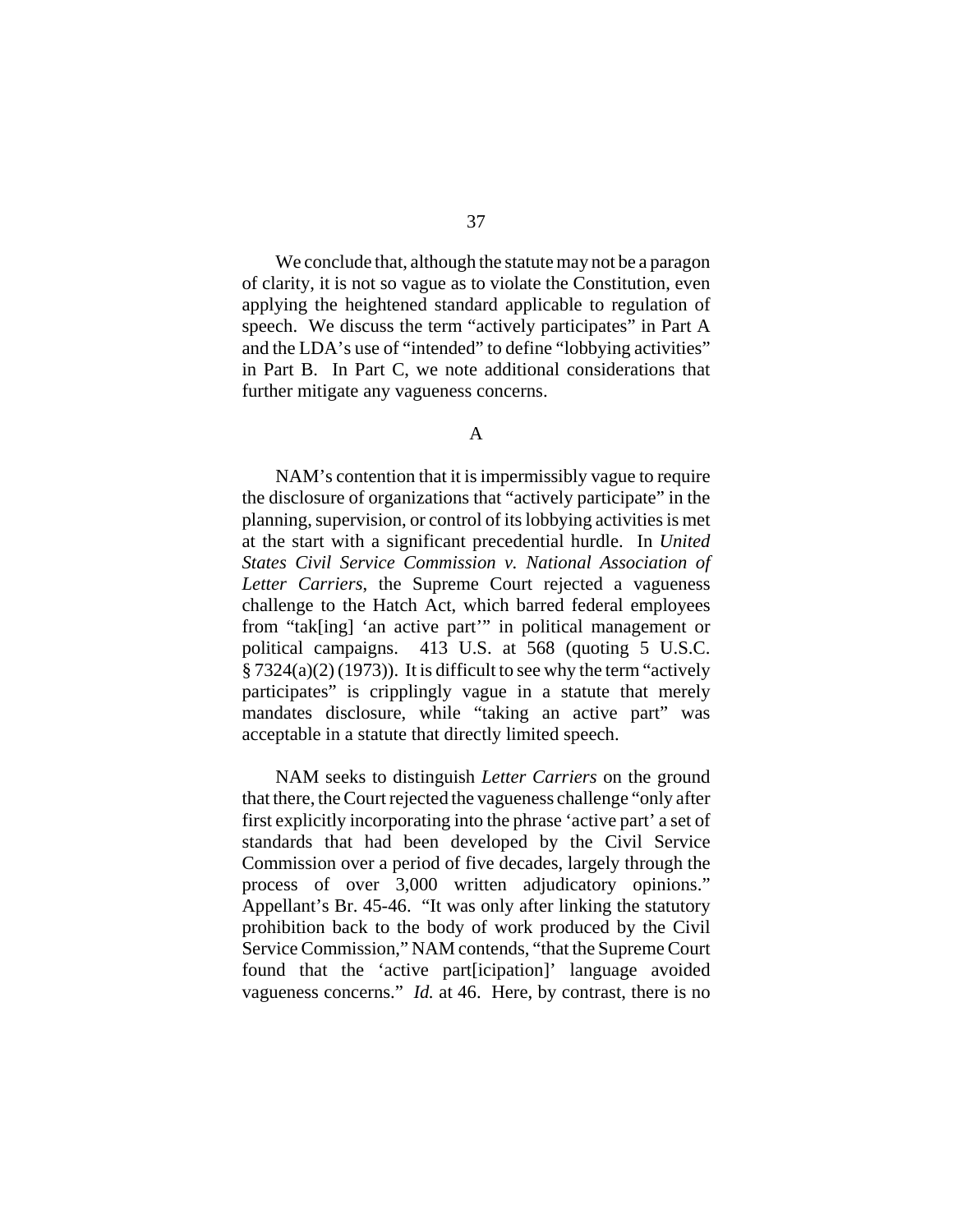We conclude that, although the statute may not be a paragon of clarity, it is not so vague as to violate the Constitution, even applying the heightened standard applicable to regulation of speech. We discuss the term "actively participates" in Part A and the LDA's use of "intended" to define "lobbying activities" in Part B. In Part C, we note additional considerations that further mitigate any vagueness concerns.

NAM's contention that it is impermissibly vague to require the disclosure of organizations that "actively participate" in the planning, supervision, or control of its lobbying activities is met at the start with a significant precedential hurdle. In *United States Civil Service Commission v. National Association of Letter Carriers*, the Supreme Court rejected a vagueness challenge to the Hatch Act, which barred federal employees from "tak[ing] 'an active part'" in political management or political campaigns. 413 U.S. at 568 (quoting 5 U.S.C.  $\S 7324(a)(2) (1973)$ . It is difficult to see why the term "actively participates" is cripplingly vague in a statute that merely mandates disclosure, while "taking an active part" was acceptable in a statute that directly limited speech.

NAM seeks to distinguish *Letter Carriers* on the ground that there, the Court rejected the vagueness challenge "only after first explicitly incorporating into the phrase 'active part' a set of standards that had been developed by the Civil Service Commission over a period of five decades, largely through the process of over 3,000 written adjudicatory opinions." Appellant's Br. 45-46. "It was only after linking the statutory prohibition back to the body of work produced by the Civil Service Commission," NAM contends, "that the Supreme Court found that the 'active part[icipation]' language avoided vagueness concerns." *Id.* at 46. Here, by contrast, there is no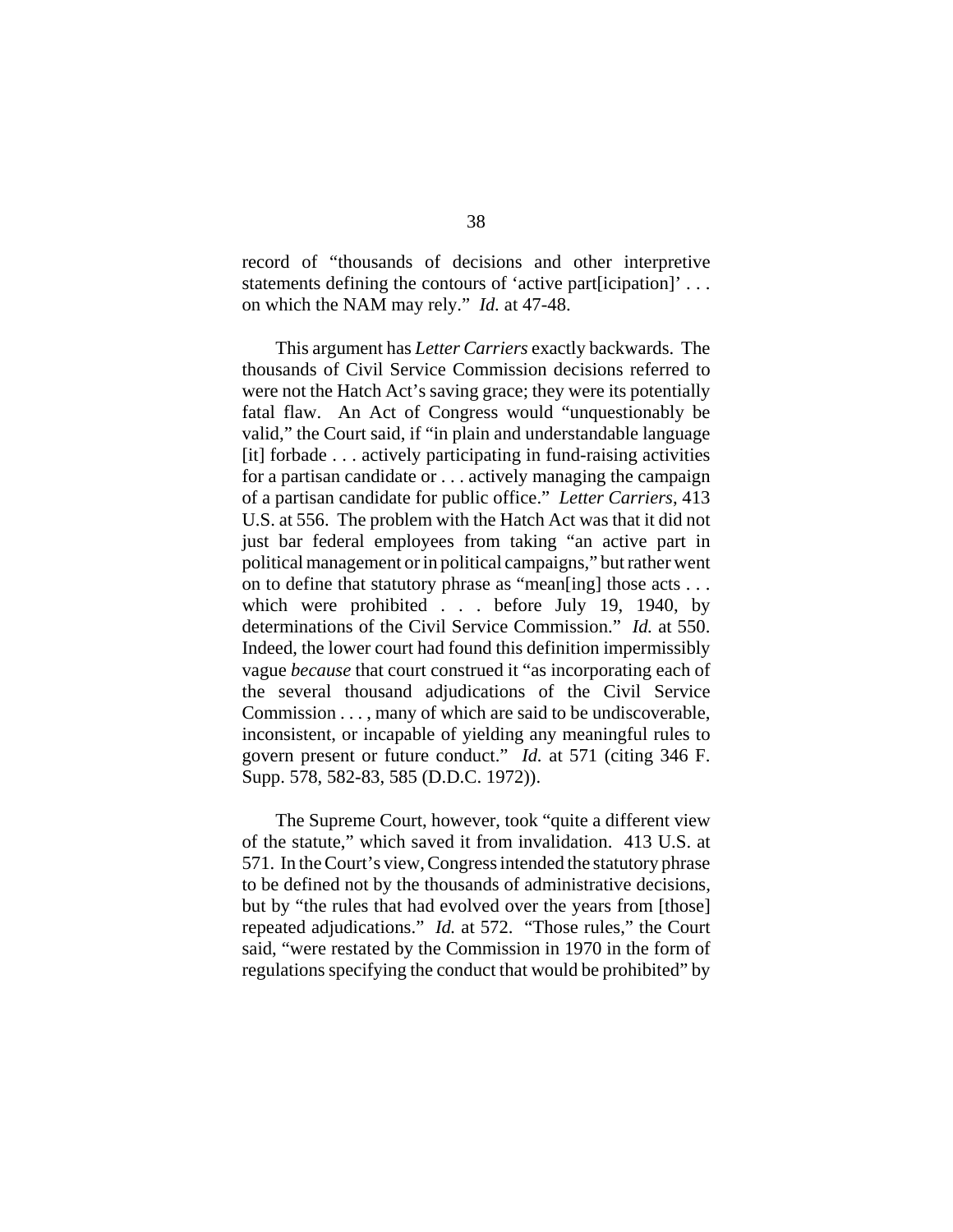record of "thousands of decisions and other interpretive statements defining the contours of 'active part[icipation]' . . . on which the NAM may rely." *Id.* at 47-48.

This argument has *Letter Carriers* exactly backwards. The thousands of Civil Service Commission decisions referred to were not the Hatch Act's saving grace; they were its potentially fatal flaw. An Act of Congress would "unquestionably be valid," the Court said, if "in plain and understandable language [it] forbade . . . actively participating in fund-raising activities for a partisan candidate or . . . actively managing the campaign of a partisan candidate for public office." *Letter Carriers*, 413 U.S. at 556. The problem with the Hatch Act was that it did not just bar federal employees from taking "an active part in political management or in political campaigns," but rather went on to define that statutory phrase as "mean[ing] those acts . . . which were prohibited . . . before July 19, 1940, by determinations of the Civil Service Commission." *Id.* at 550. Indeed, the lower court had found this definition impermissibly vague *because* that court construed it "as incorporating each of the several thousand adjudications of the Civil Service Commission . . . , many of which are said to be undiscoverable, inconsistent, or incapable of yielding any meaningful rules to govern present or future conduct." *Id.* at 571 (citing 346 F. Supp. 578, 582-83, 585 (D.D.C. 1972)).

The Supreme Court, however, took "quite a different view of the statute," which saved it from invalidation. 413 U.S. at 571. In the Court's view, Congress intended the statutory phrase to be defined not by the thousands of administrative decisions, but by "the rules that had evolved over the years from [those] repeated adjudications." *Id.* at 572. "Those rules," the Court said, "were restated by the Commission in 1970 in the form of regulations specifying the conduct that would be prohibited" by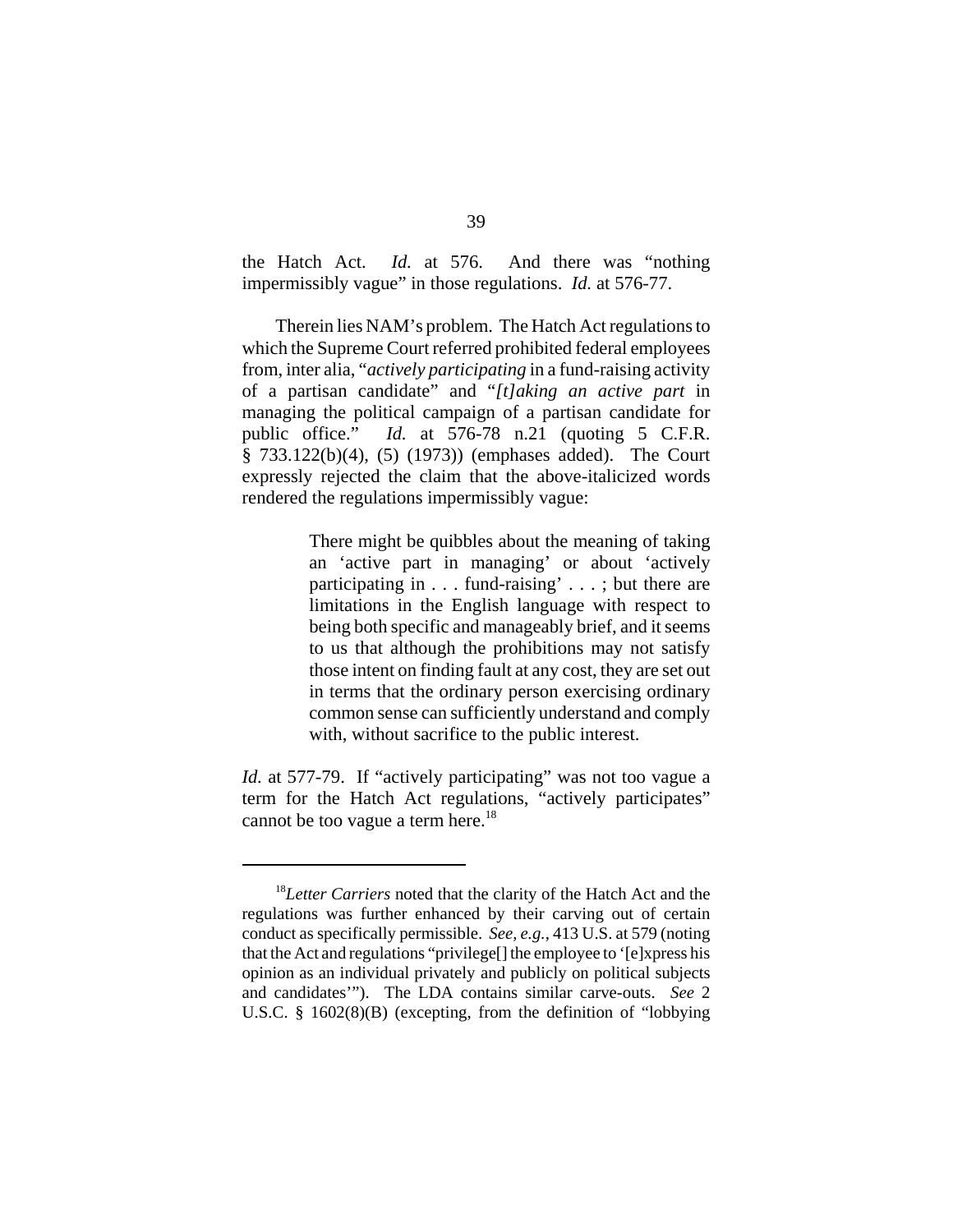the Hatch Act. *Id.* at 576. And there was "nothing impermissibly vague" in those regulations. *Id.* at 576-77.

Therein lies NAM's problem. The Hatch Act regulations to which the Supreme Court referred prohibited federal employees from, inter alia, "*actively participating* in a fund-raising activity of a partisan candidate" and "*[t]aking an active part* in managing the political campaign of a partisan candidate for public office." *Id.* at 576-78 n.21 (quoting 5 C.F.R. § 733.122(b)(4), (5) (1973)) (emphases added). The Court expressly rejected the claim that the above-italicized words rendered the regulations impermissibly vague:

> There might be quibbles about the meaning of taking an 'active part in managing' or about 'actively participating in . . . fund-raising' . . . ; but there are limitations in the English language with respect to being both specific and manageably brief, and it seems to us that although the prohibitions may not satisfy those intent on finding fault at any cost, they are set out in terms that the ordinary person exercising ordinary common sense can sufficiently understand and comply with, without sacrifice to the public interest.

*Id.* at 577-79. If "actively participating" was not too vague a term for the Hatch Act regulations, "actively participates" cannot be too vague a term here.<sup>18</sup>

<sup>18</sup>*Letter Carriers* noted that the clarity of the Hatch Act and the regulations was further enhanced by their carving out of certain conduct as specifically permissible. *See, e.g.*, 413 U.S. at 579 (noting that the Act and regulations "privilege[] the employee to '[e]xpress his opinion as an individual privately and publicly on political subjects and candidates'"). The LDA contains similar carve-outs. *See* 2 U.S.C. § 1602(8)(B) (excepting, from the definition of "lobbying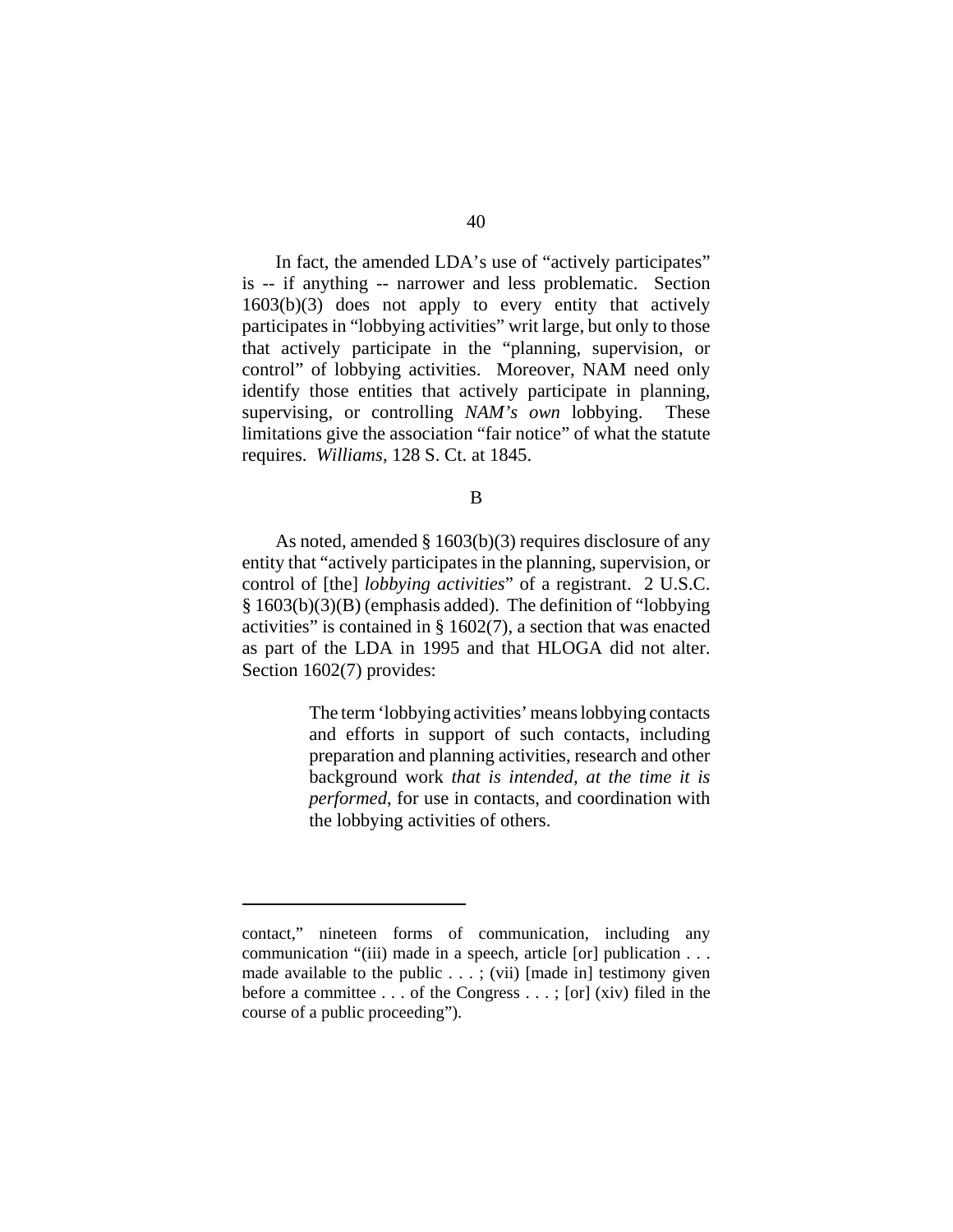In fact, the amended LDA's use of "actively participates" is -- if anything -- narrower and less problematic. Section 1603(b)(3) does not apply to every entity that actively participates in "lobbying activities" writ large, but only to those that actively participate in the "planning, supervision, or control" of lobbying activities. Moreover, NAM need only identify those entities that actively participate in planning, supervising, or controlling *NAM's own* lobbying. These limitations give the association "fair notice" of what the statute requires. *Williams*, 128 S. Ct. at 1845.

#### B

As noted, amended § 1603(b)(3) requires disclosure of any entity that "actively participates in the planning, supervision, or control of [the] *lobbying activities*" of a registrant. 2 U.S.C. § 1603(b)(3)(B) (emphasis added). The definition of "lobbying activities" is contained in § 1602(7), a section that was enacted as part of the LDA in 1995 and that HLOGA did not alter. Section 1602(7) provides:

> The term 'lobbying activities' means lobbying contacts and efforts in support of such contacts, including preparation and planning activities, research and other background work *that is intended, at the time it is performed*, for use in contacts, and coordination with the lobbying activities of others.

contact," nineteen forms of communication, including any communication "(iii) made in a speech, article [or] publication . . . made available to the public  $\dots$ ; (vii) [made in] testimony given before a committee . . . of the Congress . . . ; [or] (xiv) filed in the course of a public proceeding").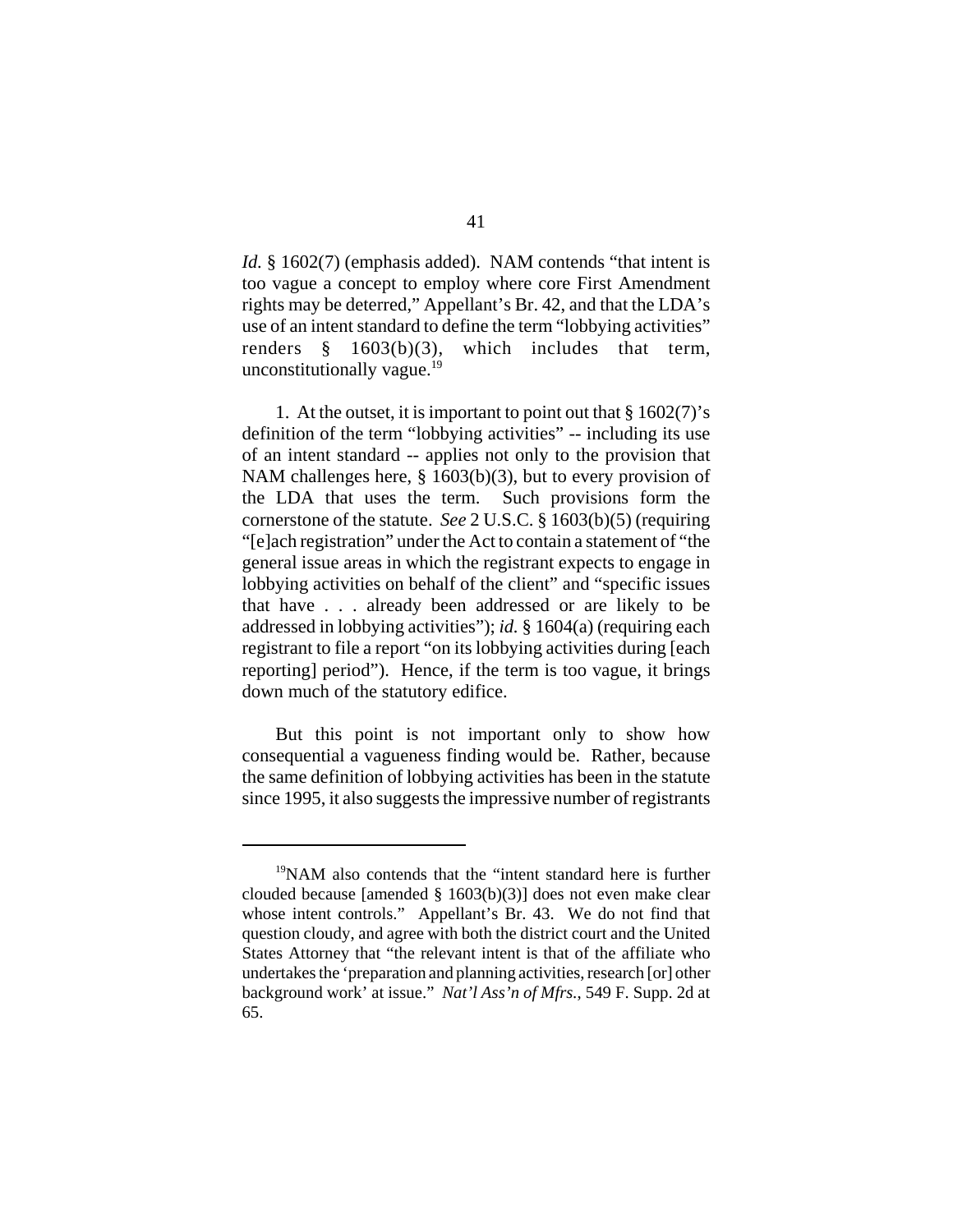*Id.* § 1602(7) (emphasis added). NAM contends "that intent is too vague a concept to employ where core First Amendment rights may be deterred," Appellant's Br. 42, and that the LDA's use of an intent standard to define the term "lobbying activities" renders § 1603(b)(3), which includes that term, unconstitutionally vague. $^{19}$ 

1. At the outset, it is important to point out that § 1602(7)'s definition of the term "lobbying activities" -- including its use of an intent standard -- applies not only to the provision that NAM challenges here, § 1603(b)(3), but to every provision of the LDA that uses the term. Such provisions form the cornerstone of the statute. *See* 2 U.S.C. § 1603(b)(5) (requiring "[e]ach registration" under the Act to contain a statement of "the general issue areas in which the registrant expects to engage in lobbying activities on behalf of the client" and "specific issues that have . . . already been addressed or are likely to be addressed in lobbying activities"); *id.* § 1604(a) (requiring each registrant to file a report "on its lobbying activities during [each reporting] period"). Hence, if the term is too vague, it brings down much of the statutory edifice.

But this point is not important only to show how consequential a vagueness finding would be. Rather, because the same definition of lobbying activities has been in the statute since 1995, it also suggests the impressive number of registrants

<sup>&</sup>lt;sup>19</sup>NAM also contends that the "intent standard here is further clouded because [amended § 1603(b)(3)] does not even make clear whose intent controls." Appellant's Br. 43. We do not find that question cloudy, and agree with both the district court and the United States Attorney that "the relevant intent is that of the affiliate who undertakes the 'preparation and planning activities, research [or] other background work' at issue." *Nat'l Ass'n of Mfrs.*, 549 F. Supp. 2d at 65.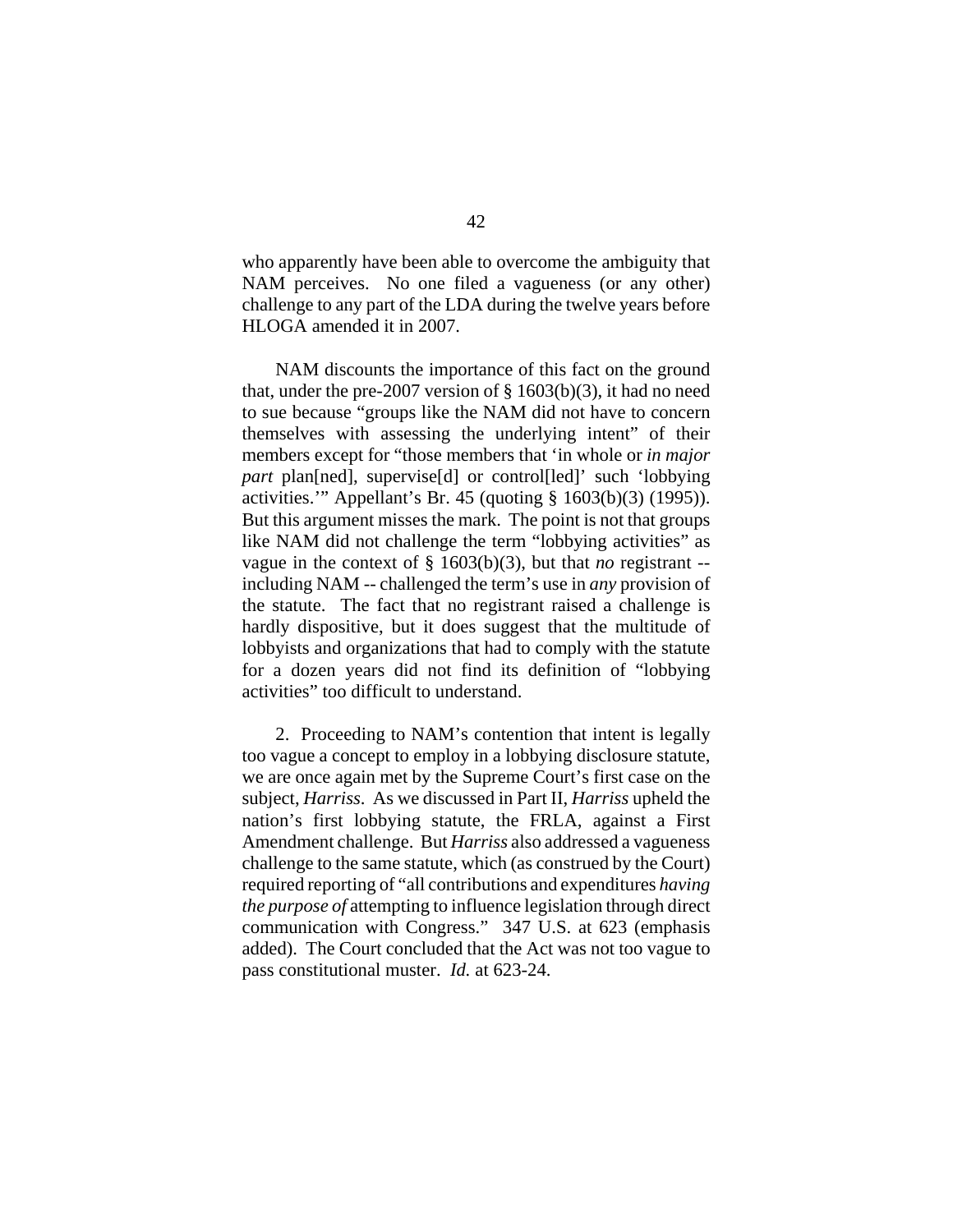who apparently have been able to overcome the ambiguity that NAM perceives. No one filed a vagueness (or any other) challenge to any part of the LDA during the twelve years before HLOGA amended it in 2007.

NAM discounts the importance of this fact on the ground that, under the pre-2007 version of § 1603(b)(3), it had no need to sue because "groups like the NAM did not have to concern themselves with assessing the underlying intent" of their members except for "those members that 'in whole or *in major part* plan[ned], supervise[d] or control[led]' such 'lobbying activities.'" Appellant's Br. 45 (quoting § 1603(b)(3) (1995)). But this argument misses the mark. The point is not that groups like NAM did not challenge the term "lobbying activities" as vague in the context of § 1603(b)(3), but that *no* registrant - including NAM -- challenged the term's use in *any* provision of the statute. The fact that no registrant raised a challenge is hardly dispositive, but it does suggest that the multitude of lobbyists and organizations that had to comply with the statute for a dozen years did not find its definition of "lobbying activities" too difficult to understand.

2. Proceeding to NAM's contention that intent is legally too vague a concept to employ in a lobbying disclosure statute, we are once again met by the Supreme Court's first case on the subject, *Harriss*. As we discussed in Part II, *Harriss* upheld the nation's first lobbying statute, the FRLA, against a First Amendment challenge. But *Harriss* also addressed a vagueness challenge to the same statute, which (as construed by the Court) required reporting of "all contributions and expenditures *having the purpose of* attempting to influence legislation through direct communication with Congress." 347 U.S. at 623 (emphasis added). The Court concluded that the Act was not too vague to pass constitutional muster. *Id.* at 623-24.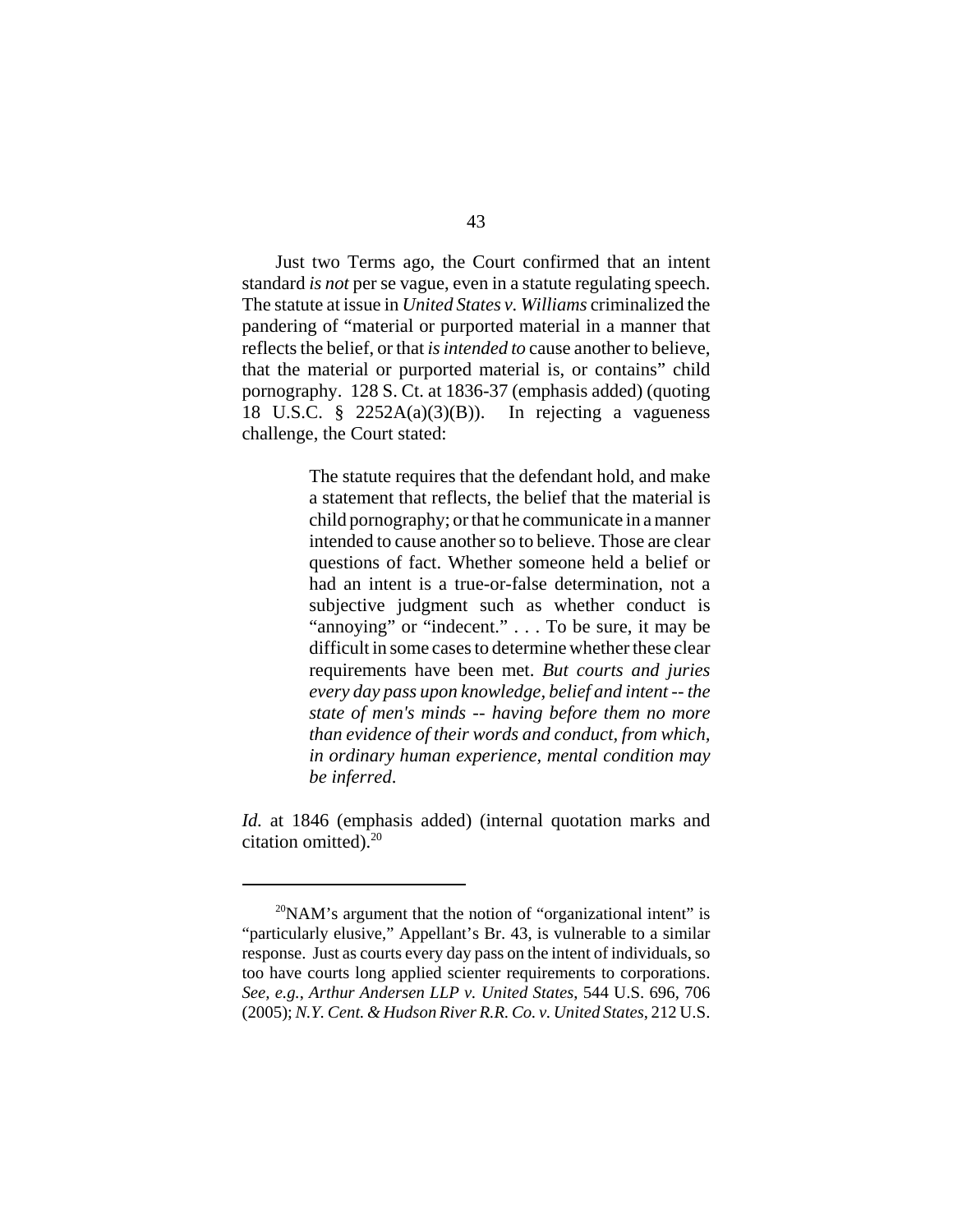Just two Terms ago, the Court confirmed that an intent standard *is not* per se vague, even in a statute regulating speech. The statute at issue in *United States v. Williams* criminalized the pandering of "material or purported material in a manner that reflects the belief, or that *is intended to* cause another to believe, that the material or purported material is, or contains" child pornography. 128 S. Ct. at 1836-37 (emphasis added) (quoting 18 U.S.C.  $\frac{8}{9}$  2252A(a)(3)(B)). In rejecting a vagueness challenge, the Court stated:

> The statute requires that the defendant hold, and make a statement that reflects, the belief that the material is child pornography; or that he communicate in a manner intended to cause another so to believe. Those are clear questions of fact. Whether someone held a belief or had an intent is a true-or-false determination, not a subjective judgment such as whether conduct is "annoying" or "indecent." . . . To be sure, it may be difficult in some cases to determine whether these clear requirements have been met. *But courts and juries every day pass upon knowledge, belief and intent -- the state of men's minds -- having before them no more than evidence of their words and conduct, from which, in ordinary human experience, mental condition may be inferred*.

*Id.* at 1846 (emphasis added) (internal quotation marks and citation omitted).<sup>20</sup>

 $^{20}$ NAM's argument that the notion of "organizational intent" is "particularly elusive," Appellant's Br. 43, is vulnerable to a similar response. Just as courts every day pass on the intent of individuals, so too have courts long applied scienter requirements to corporations. *See, e.g.*, *Arthur Andersen LLP v. United States*, 544 U.S. 696, 706 (2005); *N.Y. Cent. & Hudson River R.R. Co. v. United States*, 212 U.S.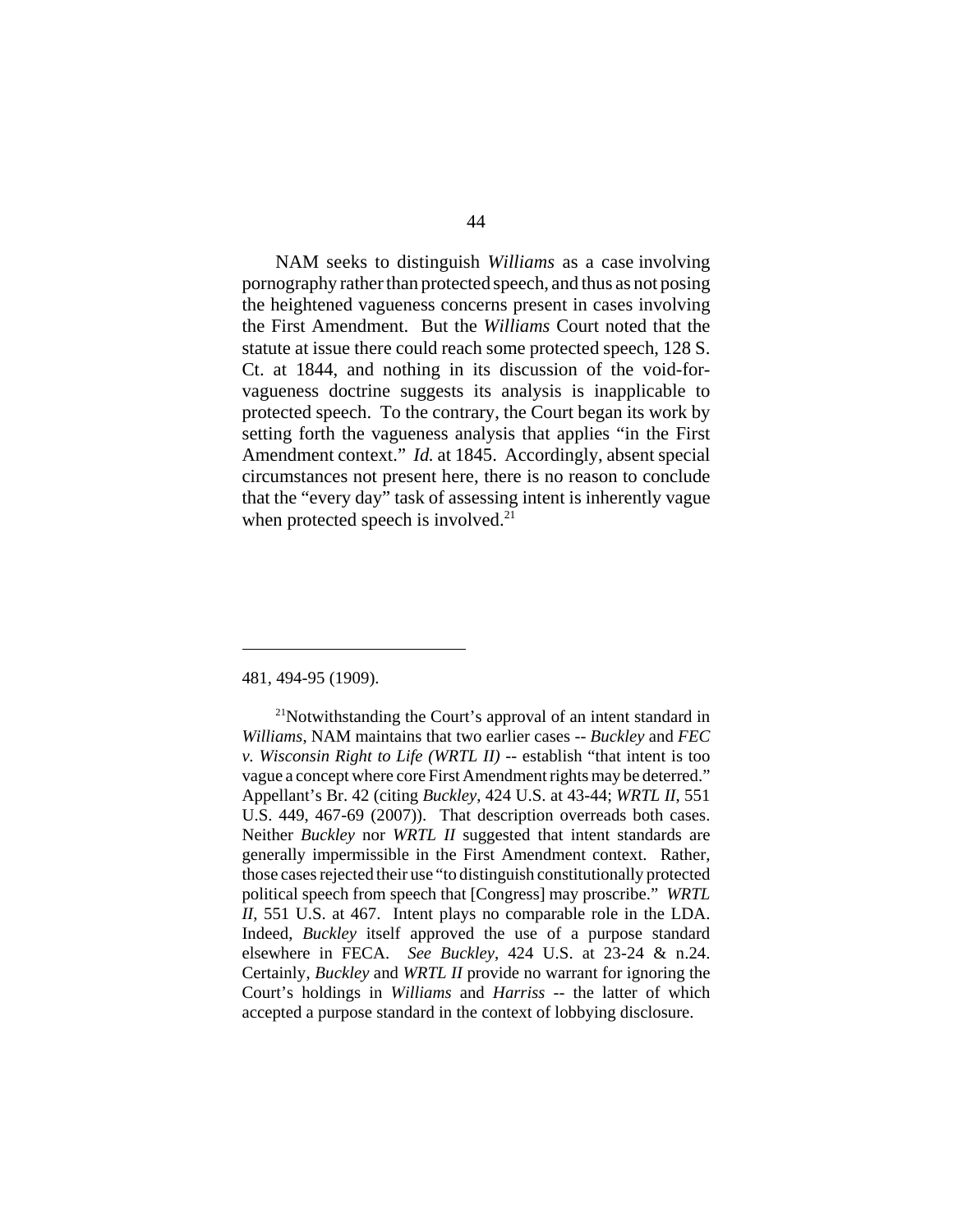NAM seeks to distinguish *Williams* as a case involving pornography rather than protected speech, and thus as not posing the heightened vagueness concerns present in cases involving the First Amendment. But the *Williams* Court noted that the statute at issue there could reach some protected speech, 128 S. Ct. at 1844, and nothing in its discussion of the void-forvagueness doctrine suggests its analysis is inapplicable to protected speech. To the contrary, the Court began its work by setting forth the vagueness analysis that applies "in the First Amendment context." *Id.* at 1845. Accordingly, absent special circumstances not present here, there is no reason to conclude that the "every day" task of assessing intent is inherently vague when protected speech is involved. $21$ 

#### 481, 494-95 (1909).

<sup>&</sup>lt;sup>21</sup>Notwithstanding the Court's approval of an intent standard in *Williams*, NAM maintains that two earlier cases -- *Buckley* and *FEC v. Wisconsin Right to Life (WRTL II)* -- establish "that intent is too vague a concept where core First Amendment rights may be deterred." Appellant's Br. 42 (citing *Buckley*, 424 U.S. at 43-44; *WRTL II*, 551 U.S. 449, 467-69 (2007)). That description overreads both cases. Neither *Buckley* nor *WRTL II* suggested that intent standards are generally impermissible in the First Amendment context. Rather, those cases rejected their use "to distinguish constitutionally protected political speech from speech that [Congress] may proscribe." *WRTL II*, 551 U.S. at 467. Intent plays no comparable role in the LDA. Indeed, *Buckley* itself approved the use of a purpose standard elsewhere in FECA. *See Buckley*, 424 U.S. at 23-24 & n.24. Certainly, *Buckley* and *WRTL II* provide no warrant for ignoring the Court's holdings in *Williams* and *Harriss* -- the latter of which accepted a purpose standard in the context of lobbying disclosure.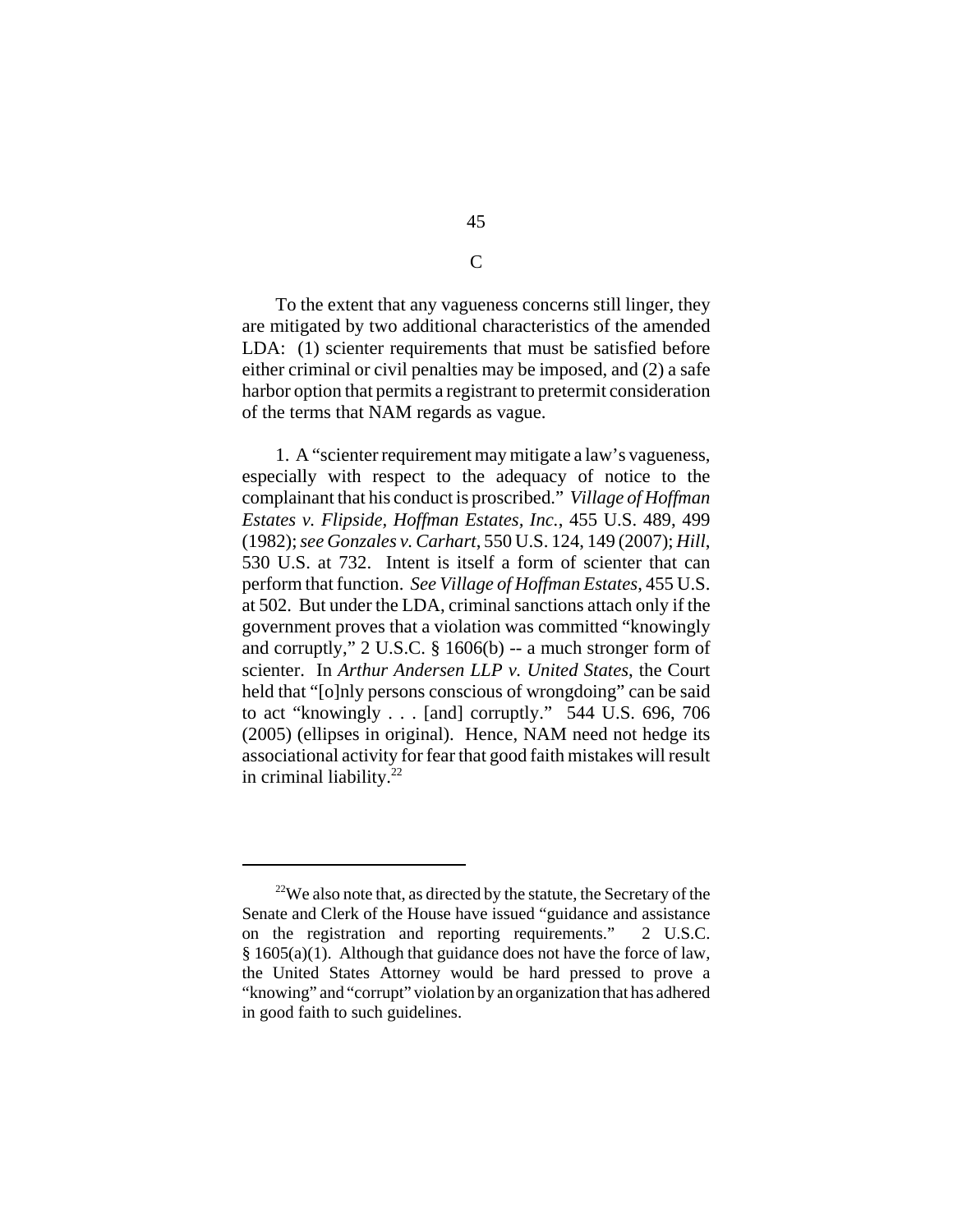To the extent that any vagueness concerns still linger, they are mitigated by two additional characteristics of the amended LDA: (1) scienter requirements that must be satisfied before either criminal or civil penalties may be imposed, and (2) a safe harbor option that permits a registrant to pretermit consideration of the terms that NAM regards as vague.

1. A "scienter requirement may mitigate a law's vagueness, especially with respect to the adequacy of notice to the complainant that his conduct is proscribed." *Village of Hoffman Estates v. Flipside, Hoffman Estates, Inc.*, 455 U.S. 489, 499 (1982); *see Gonzales v. Carhart*, 550 U.S. 124, 149 (2007); *Hill*, 530 U.S. at 732. Intent is itself a form of scienter that can perform that function. *See Village of Hoffman Estates*, 455 U.S. at 502. But under the LDA, criminal sanctions attach only if the government proves that a violation was committed "knowingly and corruptly," 2 U.S.C. § 1606(b) -- a much stronger form of scienter. In *Arthur Andersen LLP v. United States*, the Court held that "[o]nly persons conscious of wrongdoing" can be said to act "knowingly . . . [and] corruptly." 544 U.S. 696, 706 (2005) (ellipses in original). Hence, NAM need not hedge its associational activity for fear that good faith mistakes will result in criminal liability. $22$ 

 $\overline{C}$ 

 $22$ We also note that, as directed by the statute, the Secretary of the Senate and Clerk of the House have issued "guidance and assistance on the registration and reporting requirements." 2 U.S.C.  $§ 1605(a)(1)$ . Although that guidance does not have the force of law, the United States Attorney would be hard pressed to prove a "knowing" and "corrupt" violation by an organization that has adhered in good faith to such guidelines.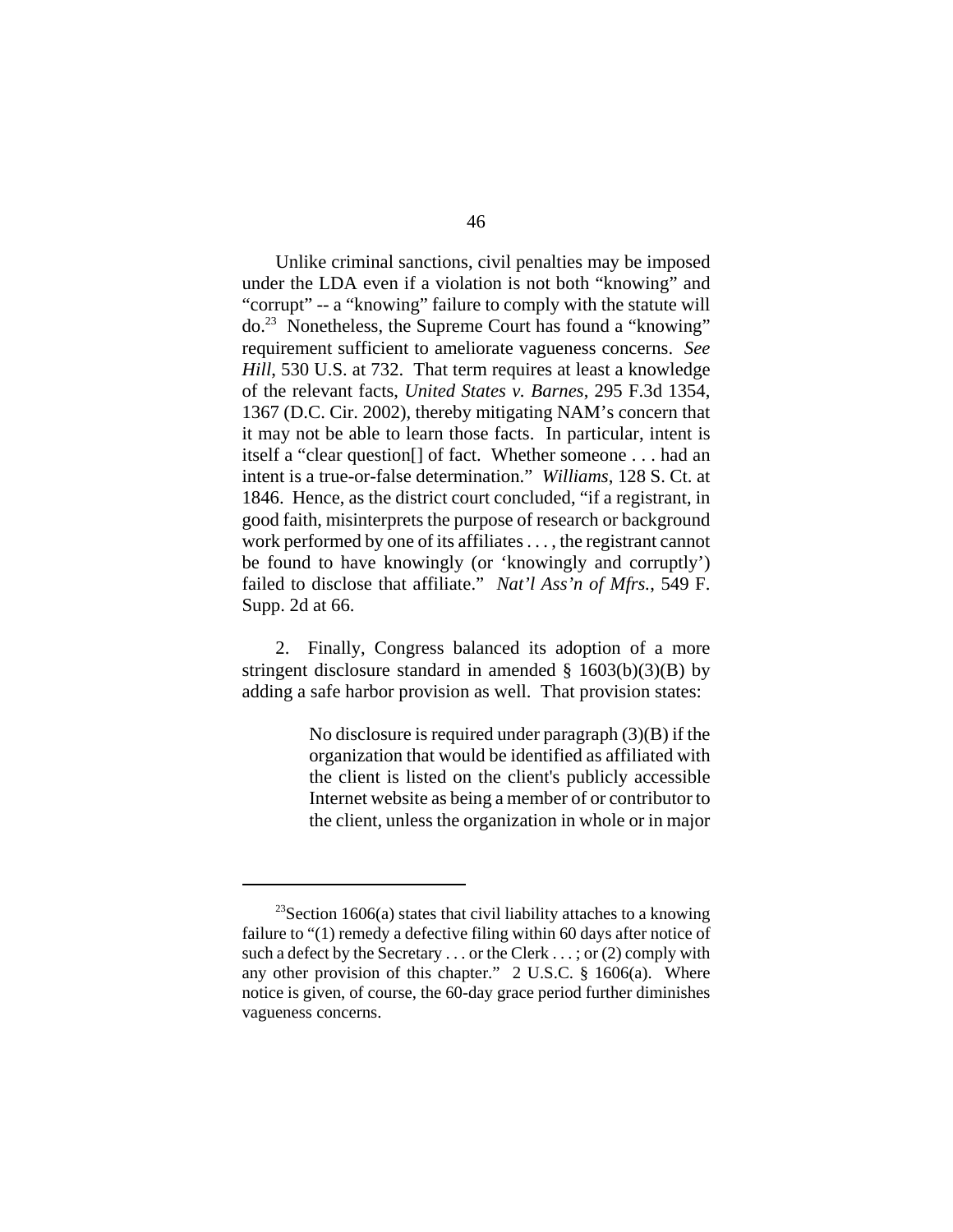Unlike criminal sanctions, civil penalties may be imposed under the LDA even if a violation is not both "knowing" and "corrupt" -- a "knowing" failure to comply with the statute will do.23 Nonetheless, the Supreme Court has found a "knowing" requirement sufficient to ameliorate vagueness concerns. *See Hill*, 530 U.S. at 732. That term requires at least a knowledge of the relevant facts, *United States v. Barnes*, 295 F.3d 1354, 1367 (D.C. Cir. 2002), thereby mitigating NAM's concern that it may not be able to learn those facts. In particular, intent is itself a "clear question[] of fact. Whether someone . . . had an intent is a true-or-false determination." *Williams*, 128 S. Ct. at 1846. Hence, as the district court concluded, "if a registrant, in good faith, misinterprets the purpose of research or background work performed by one of its affiliates . . . , the registrant cannot be found to have knowingly (or 'knowingly and corruptly') failed to disclose that affiliate." *Nat'l Ass'n of Mfrs.*, 549 F. Supp. 2d at 66.

2. Finally, Congress balanced its adoption of a more stringent disclosure standard in amended  $\S$  1603(b)(3)(B) by adding a safe harbor provision as well. That provision states:

> No disclosure is required under paragraph (3)(B) if the organization that would be identified as affiliated with the client is listed on the client's publicly accessible Internet website as being a member of or contributor to the client, unless the organization in whole or in major

<sup>&</sup>lt;sup>23</sup>Section 1606(a) states that civil liability attaches to a knowing failure to "(1) remedy a defective filing within 60 days after notice of such a defect by the Secretary . . . or the Clerk . . . ; or (2) comply with any other provision of this chapter." 2 U.S.C. § 1606(a). Where notice is given, of course, the 60-day grace period further diminishes vagueness concerns.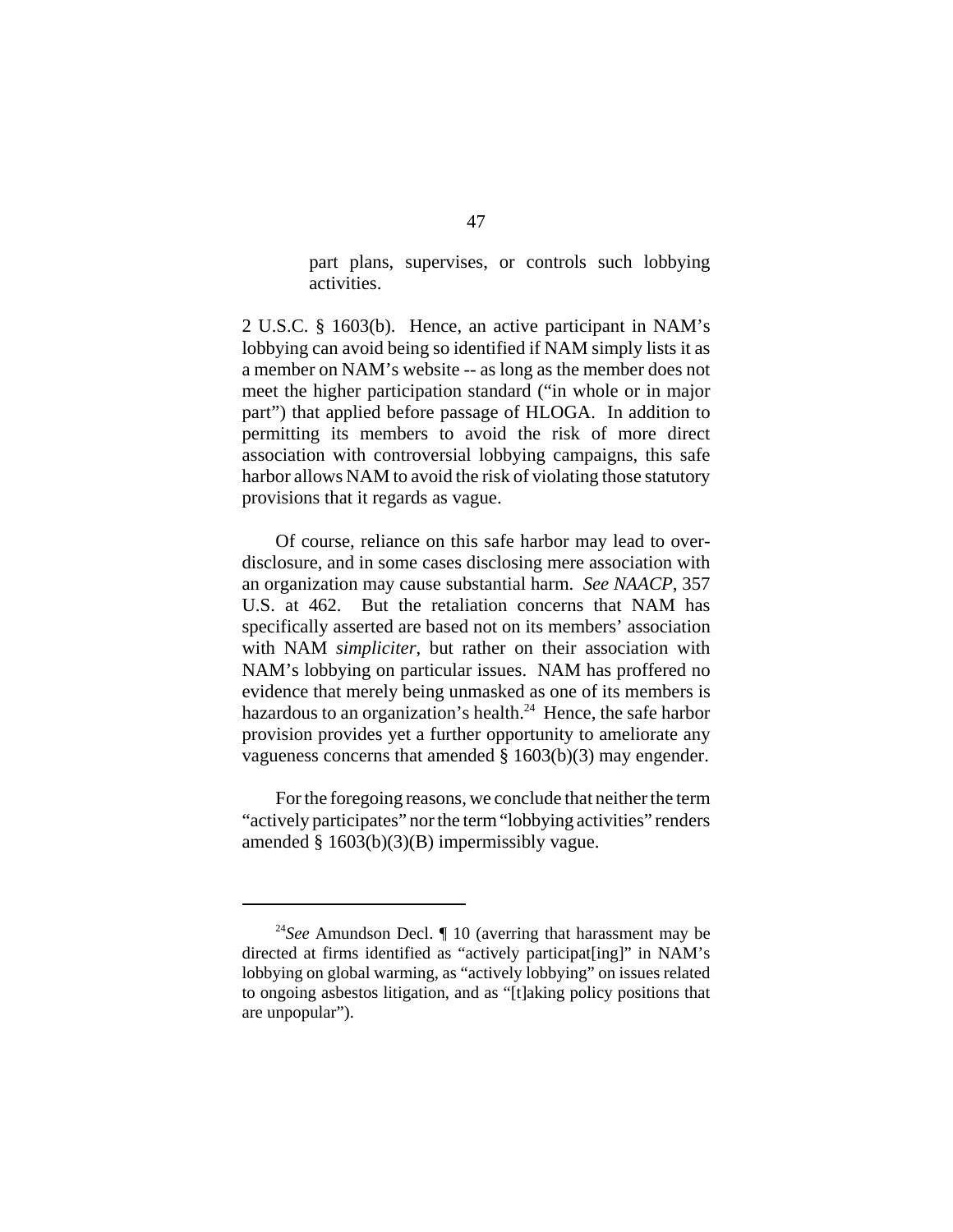part plans, supervises, or controls such lobbying activities.

2 U.S.C. § 1603(b). Hence, an active participant in NAM's lobbying can avoid being so identified if NAM simply lists it as a member on NAM's website -- as long as the member does not meet the higher participation standard ("in whole or in major part") that applied before passage of HLOGA. In addition to permitting its members to avoid the risk of more direct association with controversial lobbying campaigns, this safe harbor allows NAM to avoid the risk of violating those statutory provisions that it regards as vague.

Of course, reliance on this safe harbor may lead to overdisclosure, and in some cases disclosing mere association with an organization may cause substantial harm. *See NAACP*, 357 U.S. at 462. But the retaliation concerns that NAM has specifically asserted are based not on its members' association with NAM *simpliciter*, but rather on their association with NAM's lobbying on particular issues. NAM has proffered no evidence that merely being unmasked as one of its members is hazardous to an organization's health. $24$  Hence, the safe harbor provision provides yet a further opportunity to ameliorate any vagueness concerns that amended § 1603(b)(3) may engender.

For the foregoing reasons, we conclude that neither the term "actively participates" nor the term "lobbying activities" renders amended § 1603(b)(3)(B) impermissibly vague.

<sup>24</sup>*See* Amundson Decl. ¶ 10 (averring that harassment may be directed at firms identified as "actively participat[ing]" in NAM's lobbying on global warming, as "actively lobbying" on issues related to ongoing asbestos litigation, and as "[t]aking policy positions that are unpopular").